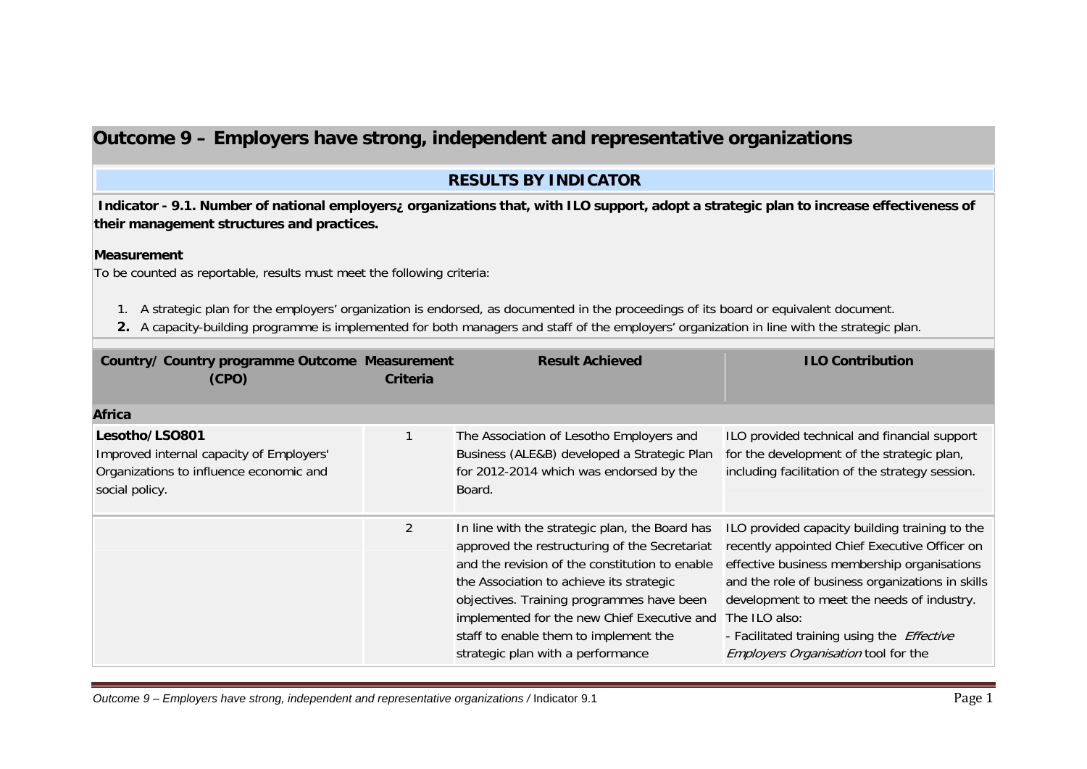# **Outcome 9 – Employers have strong, independent and representative organizations**

## **RESULTS BY INDICATOR**

**Indicator - 9.1. Number of national employers¿ organizations that, with ILO support, adopt a strategic plan to increase effectiveness of their management structures and practices.** 

### **Measurement**

To be counted as reportable, results must meet the following criteria:

- 1. A strategic plan for the employers' organization is endorsed, as documented in the proceedings of its board or equivalent document.
- **2.** A capacity-building programme is implemented for both managers and staff of the employers' organization in line with the strategic plan.

| Country/ Country programme Outcome Measurement<br>(CPO)                                                                 | Criteria       | <b>Result Achieved</b>                                                                                                                                                                                                                                                                                                                                                  | <b>ILO Contribution</b>                                                                                                                                                                                                                                                                                                                                       |
|-------------------------------------------------------------------------------------------------------------------------|----------------|-------------------------------------------------------------------------------------------------------------------------------------------------------------------------------------------------------------------------------------------------------------------------------------------------------------------------------------------------------------------------|---------------------------------------------------------------------------------------------------------------------------------------------------------------------------------------------------------------------------------------------------------------------------------------------------------------------------------------------------------------|
| Africa                                                                                                                  |                |                                                                                                                                                                                                                                                                                                                                                                         |                                                                                                                                                                                                                                                                                                                                                               |
| Lesotho/LSO801<br>Improved internal capacity of Employers'<br>Organizations to influence economic and<br>social policy. |                | The Association of Lesotho Employers and<br>Business (ALE&B) developed a Strategic Plan<br>for 2012-2014 which was endorsed by the<br>Board.                                                                                                                                                                                                                            | ILO provided technical and financial support<br>for the development of the strategic plan,<br>including facilitation of the strategy session.                                                                                                                                                                                                                 |
|                                                                                                                         | $\overline{2}$ | In line with the strategic plan, the Board has<br>approved the restructuring of the Secretariat<br>and the revision of the constitution to enable<br>the Association to achieve its strategic<br>objectives. Training programmes have been<br>implemented for the new Chief Executive and<br>staff to enable them to implement the<br>strategic plan with a performance | ILO provided capacity building training to the<br>recently appointed Chief Executive Officer on<br>effective business membership organisations<br>and the role of business organizations in skills<br>development to meet the needs of industry.<br>The ILO also:<br>- Facilitated training using the <i>Effective</i><br>Employers Organisation tool for the |

Outcome 9 – Employers have strong, independent and representative organizations / Indicator 9.1 Page 1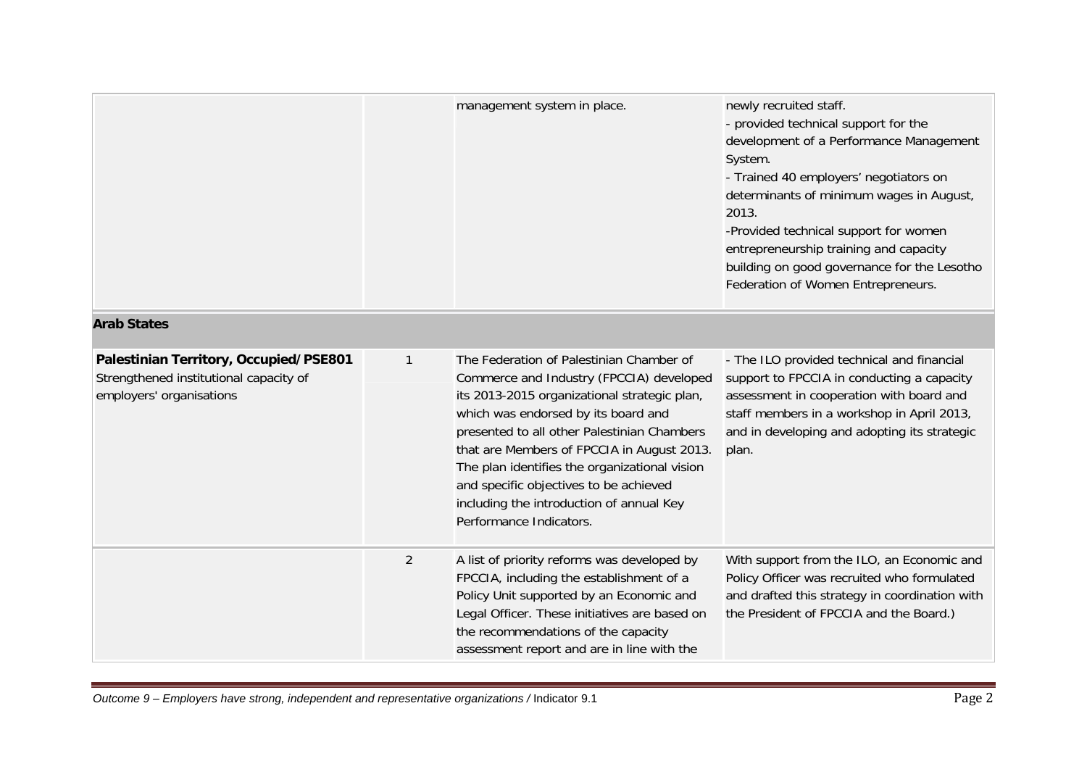|                                                                                                              |                | management system in place.                                                                                                                                                                                                                                                                                                                                                                                                                | newly recruited staff.<br>- provided technical support for the<br>development of a Performance Management<br>System.<br>- Trained 40 employers' negotiators on<br>determinants of minimum wages in August,<br>2013.<br>-Provided technical support for women<br>entrepreneurship training and capacity<br>building on good governance for the Lesotho<br>Federation of Women Entrepreneurs. |
|--------------------------------------------------------------------------------------------------------------|----------------|--------------------------------------------------------------------------------------------------------------------------------------------------------------------------------------------------------------------------------------------------------------------------------------------------------------------------------------------------------------------------------------------------------------------------------------------|---------------------------------------------------------------------------------------------------------------------------------------------------------------------------------------------------------------------------------------------------------------------------------------------------------------------------------------------------------------------------------------------|
| <b>Arab States</b>                                                                                           |                |                                                                                                                                                                                                                                                                                                                                                                                                                                            |                                                                                                                                                                                                                                                                                                                                                                                             |
| Palestinian Territory, Occupied/PSE801<br>Strengthened institutional capacity of<br>employers' organisations | $\mathbf{1}$   | The Federation of Palestinian Chamber of<br>Commerce and Industry (FPCCIA) developed<br>its 2013-2015 organizational strategic plan,<br>which was endorsed by its board and<br>presented to all other Palestinian Chambers<br>that are Members of FPCCIA in August 2013.<br>The plan identifies the organizational vision<br>and specific objectives to be achieved<br>including the introduction of annual Key<br>Performance Indicators. | - The ILO provided technical and financial<br>support to FPCCIA in conducting a capacity<br>assessment in cooperation with board and<br>staff members in a workshop in April 2013,<br>and in developing and adopting its strategic<br>plan.                                                                                                                                                 |
|                                                                                                              | $\overline{2}$ | A list of priority reforms was developed by<br>FPCCIA, including the establishment of a<br>Policy Unit supported by an Economic and<br>Legal Officer. These initiatives are based on<br>the recommendations of the capacity<br>assessment report and are in line with the                                                                                                                                                                  | With support from the ILO, an Economic and<br>Policy Officer was recruited who formulated<br>and drafted this strategy in coordination with<br>the President of FPCCIA and the Board.)                                                                                                                                                                                                      |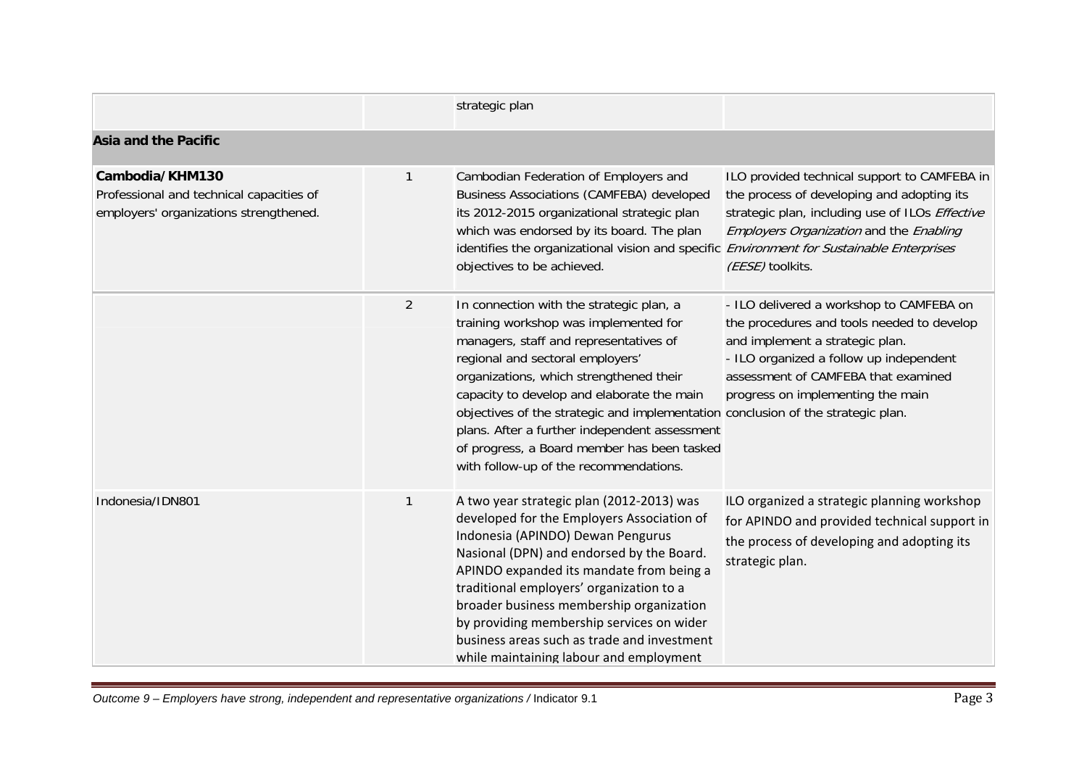|                                                                                                       |                | strategic plan                                                                                                                                                                                                                                                                                                                                                                                                                                                                         |                                                                                                                                                                                                                                                  |
|-------------------------------------------------------------------------------------------------------|----------------|----------------------------------------------------------------------------------------------------------------------------------------------------------------------------------------------------------------------------------------------------------------------------------------------------------------------------------------------------------------------------------------------------------------------------------------------------------------------------------------|--------------------------------------------------------------------------------------------------------------------------------------------------------------------------------------------------------------------------------------------------|
| <b>Asia and the Pacific</b>                                                                           |                |                                                                                                                                                                                                                                                                                                                                                                                                                                                                                        |                                                                                                                                                                                                                                                  |
| Cambodia/KHM130<br>Professional and technical capacities of<br>employers' organizations strengthened. | 1              | Cambodian Federation of Employers and<br><b>Business Associations (CAMFEBA) developed</b><br>its 2012-2015 organizational strategic plan<br>which was endorsed by its board. The plan<br>identifies the organizational vision and specific Environment for Sustainable Enterprises<br>objectives to be achieved.                                                                                                                                                                       | ILO provided technical support to CAMFEBA in<br>the process of developing and adopting its<br>strategic plan, including use of ILOs Effective<br>Employers Organization and the Enabling<br>(EESE) toolkits.                                     |
|                                                                                                       | $\overline{2}$ | In connection with the strategic plan, a<br>training workshop was implemented for<br>managers, staff and representatives of<br>regional and sectoral employers'<br>organizations, which strengthened their<br>capacity to develop and elaborate the main<br>objectives of the strategic and implementation conclusion of the strategic plan.<br>plans. After a further independent assessment<br>of progress, a Board member has been tasked<br>with follow-up of the recommendations. | - ILO delivered a workshop to CAMFEBA on<br>the procedures and tools needed to develop<br>and implement a strategic plan.<br>- ILO organized a follow up independent<br>assessment of CAMFEBA that examined<br>progress on implementing the main |
| Indonesia/IDN801                                                                                      | 1              | A two year strategic plan (2012-2013) was<br>developed for the Employers Association of<br>Indonesia (APINDO) Dewan Pengurus<br>Nasional (DPN) and endorsed by the Board.<br>APINDO expanded its mandate from being a<br>traditional employers' organization to a<br>broader business membership organization<br>by providing membership services on wider<br>business areas such as trade and investment<br>while maintaining labour and employment                                   | ILO organized a strategic planning workshop<br>for APINDO and provided technical support in<br>the process of developing and adopting its<br>strategic plan.                                                                                     |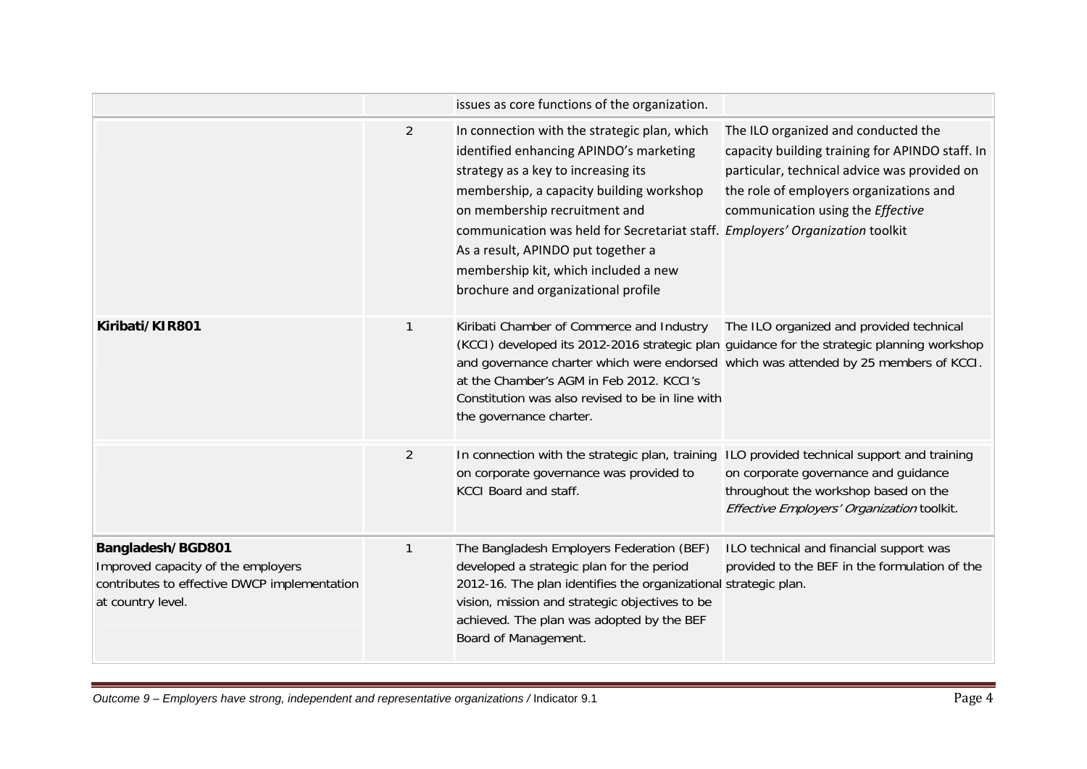|                                                                                                                              |                | issues as core functions of the organization.                                                                                                                                                                                                                                                                                                                                                                     |                                                                                                                                                                                                                        |
|------------------------------------------------------------------------------------------------------------------------------|----------------|-------------------------------------------------------------------------------------------------------------------------------------------------------------------------------------------------------------------------------------------------------------------------------------------------------------------------------------------------------------------------------------------------------------------|------------------------------------------------------------------------------------------------------------------------------------------------------------------------------------------------------------------------|
|                                                                                                                              | $\overline{2}$ | In connection with the strategic plan, which<br>identified enhancing APINDO's marketing<br>strategy as a key to increasing its<br>membership, a capacity building workshop<br>on membership recruitment and<br>communication was held for Secretariat staff. Employers' Organization toolkit<br>As a result, APINDO put together a<br>membership kit, which included a new<br>brochure and organizational profile | The ILO organized and conducted the<br>capacity building training for APINDO staff. In<br>particular, technical advice was provided on<br>the role of employers organizations and<br>communication using the Effective |
| Kiribati/KIR801                                                                                                              | 1              | Kiribati Chamber of Commerce and Industry<br>(KCCI) developed its 2012-2016 strategic plan guidance for the strategic planning workshop<br>and governance charter which were endorsed which was attended by 25 members of KCCI.<br>at the Chamber's AGM in Feb 2012. KCCI's<br>Constitution was also revised to be in line with<br>the governance charter.                                                        | The ILO organized and provided technical                                                                                                                                                                               |
|                                                                                                                              | 2              | In connection with the strategic plan, training ILO provided technical support and training<br>on corporate governance was provided to<br><b>KCCI Board and staff.</b>                                                                                                                                                                                                                                            | on corporate governance and guidance<br>throughout the workshop based on the<br>Effective Employers' Organization toolkit.                                                                                             |
| Bangladesh/BGD801<br>Improved capacity of the employers<br>contributes to effective DWCP implementation<br>at country level. | $\mathbf{1}$   | The Bangladesh Employers Federation (BEF)<br>developed a strategic plan for the period<br>2012-16. The plan identifies the organizational strategic plan.<br>vision, mission and strategic objectives to be<br>achieved. The plan was adopted by the BEF<br>Board of Management.                                                                                                                                  | ILO technical and financial support was<br>provided to the BEF in the formulation of the                                                                                                                               |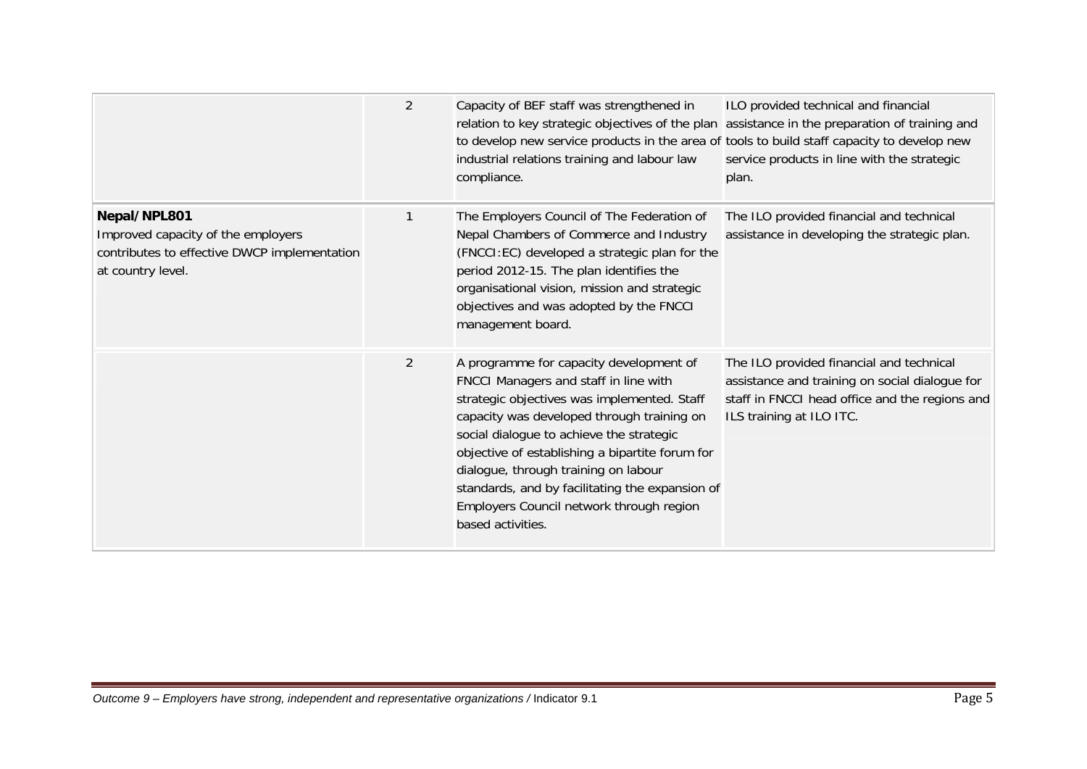|                                                                                                                         | 2              | Capacity of BEF staff was strengthened in<br>relation to key strategic objectives of the plan assistance in the preparation of training and<br>to develop new service products in the area of tools to build staff capacity to develop new<br>industrial relations training and labour law<br>compliance.                                                                                                                                | ILO provided technical and financial<br>service products in line with the strategic<br>plan.                                                                             |
|-------------------------------------------------------------------------------------------------------------------------|----------------|------------------------------------------------------------------------------------------------------------------------------------------------------------------------------------------------------------------------------------------------------------------------------------------------------------------------------------------------------------------------------------------------------------------------------------------|--------------------------------------------------------------------------------------------------------------------------------------------------------------------------|
| Nepal/NPL801<br>Improved capacity of the employers<br>contributes to effective DWCP implementation<br>at country level. | 1              | The Employers Council of The Federation of<br>Nepal Chambers of Commerce and Industry<br>(FNCCI:EC) developed a strategic plan for the<br>period 2012-15. The plan identifies the<br>organisational vision, mission and strategic<br>objectives and was adopted by the FNCCI<br>management board.                                                                                                                                        | The ILO provided financial and technical<br>assistance in developing the strategic plan.                                                                                 |
|                                                                                                                         | $\overline{2}$ | A programme for capacity development of<br>FNCCI Managers and staff in line with<br>strategic objectives was implemented. Staff<br>capacity was developed through training on<br>social dialogue to achieve the strategic<br>objective of establishing a bipartite forum for<br>dialogue, through training on labour<br>standards, and by facilitating the expansion of<br>Employers Council network through region<br>based activities. | The ILO provided financial and technical<br>assistance and training on social dialogue for<br>staff in FNCCI head office and the regions and<br>ILS training at ILO ITC. |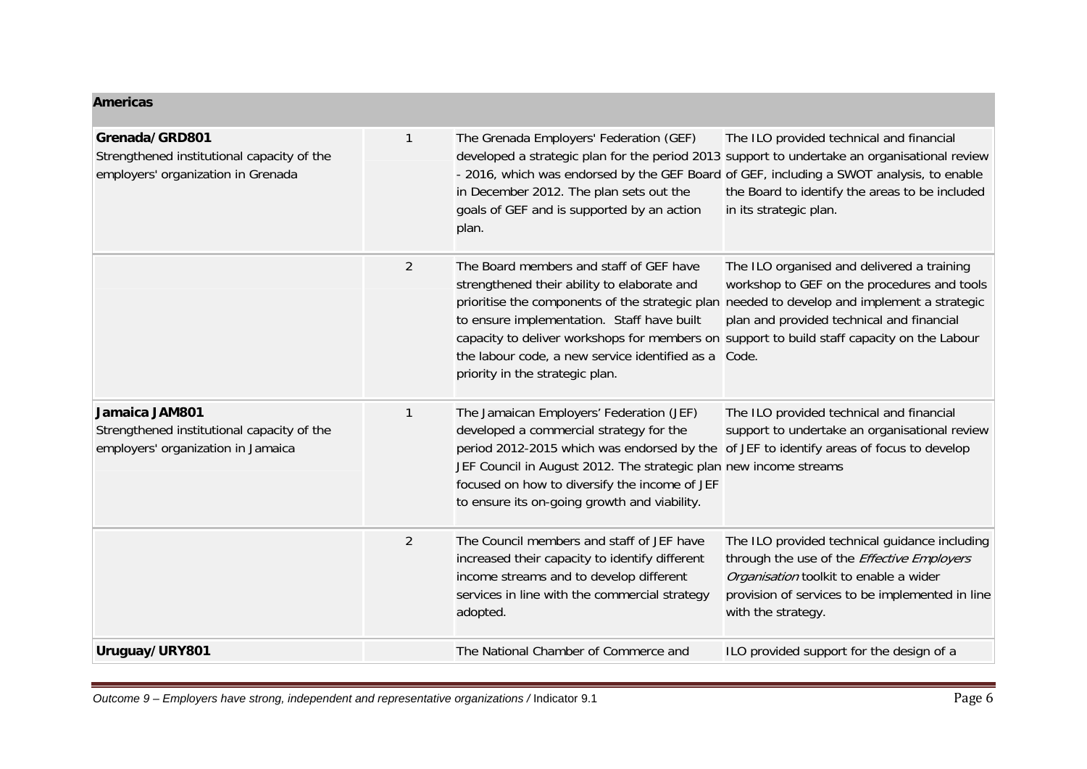| <b>Americas</b>                                                                                    |                |                                                                                                                                                                                                                                                                                                                                                                                                                        |                                                                                                                                                                                                                      |
|----------------------------------------------------------------------------------------------------|----------------|------------------------------------------------------------------------------------------------------------------------------------------------------------------------------------------------------------------------------------------------------------------------------------------------------------------------------------------------------------------------------------------------------------------------|----------------------------------------------------------------------------------------------------------------------------------------------------------------------------------------------------------------------|
| Grenada/GRD801<br>Strengthened institutional capacity of the<br>employers' organization in Grenada | 1              | The Grenada Employers' Federation (GEF)<br>- 2016, which was endorsed by the GEF Board of GEF, including a SWOT analysis, to enable<br>in December 2012. The plan sets out the<br>goals of GEF and is supported by an action<br>plan.                                                                                                                                                                                  | The ILO provided technical and financial<br>developed a strategic plan for the period 2013 support to undertake an organisational review<br>the Board to identify the areas to be included<br>in its strategic plan. |
|                                                                                                    | $\overline{2}$ | The Board members and staff of GEF have<br>strengthened their ability to elaborate and<br>prioritise the components of the strategic plan needed to develop and implement a strategic<br>to ensure implementation. Staff have built<br>capacity to deliver workshops for members on support to build staff capacity on the Labour<br>the labour code, a new service identified as a<br>priority in the strategic plan. | The ILO organised and delivered a training<br>workshop to GEF on the procedures and tools<br>plan and provided technical and financial<br>Code.                                                                      |
| Jamaica JAM801<br>Strengthened institutional capacity of the<br>employers' organization in Jamaica | 1              | The Jamaican Employers' Federation (JEF)<br>developed a commercial strategy for the<br>period 2012-2015 which was endorsed by the of JEF to identify areas of focus to develop<br>JEF Council in August 2012. The strategic plan new income streams<br>focused on how to diversify the income of JEF<br>to ensure its on-going growth and viability.                                                                   | The ILO provided technical and financial<br>support to undertake an organisational review                                                                                                                            |
|                                                                                                    | $\overline{2}$ | The Council members and staff of JEF have<br>increased their capacity to identify different<br>income streams and to develop different<br>services in line with the commercial strategy<br>adopted.                                                                                                                                                                                                                    | The ILO provided technical guidance including<br>through the use of the Effective Employers<br>Organisation toolkit to enable a wider<br>provision of services to be implemented in line<br>with the strategy.       |
| Uruguay/URY801                                                                                     |                | The National Chamber of Commerce and                                                                                                                                                                                                                                                                                                                                                                                   | ILO provided support for the design of a                                                                                                                                                                             |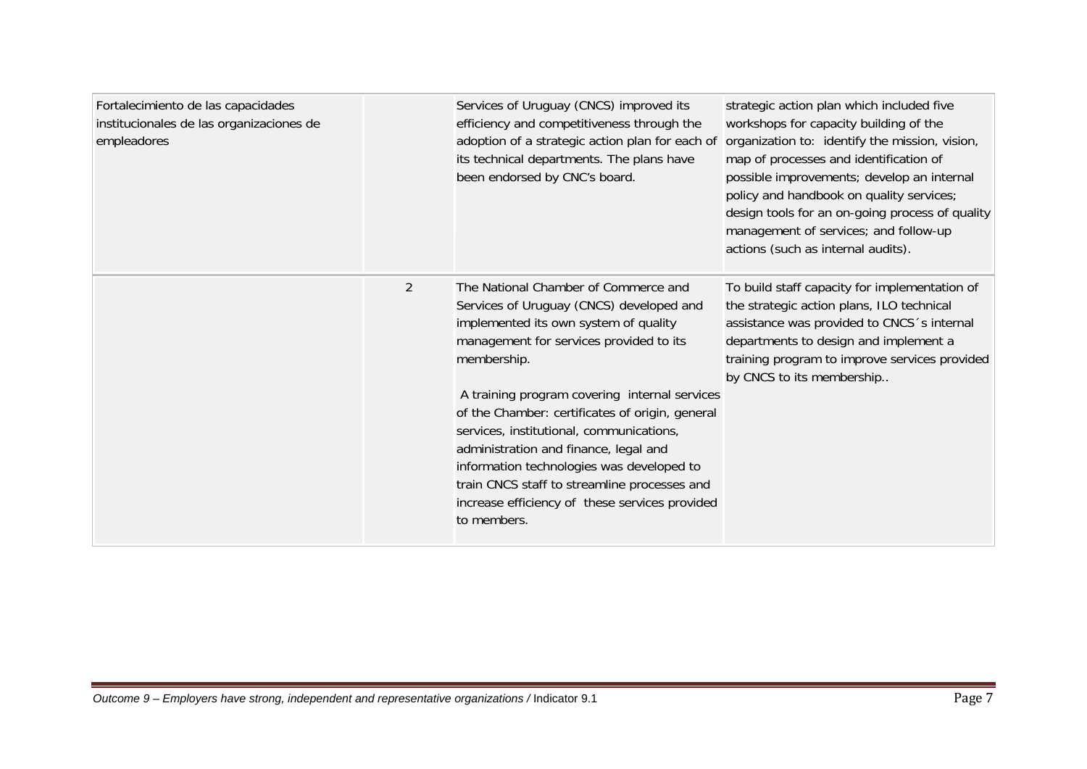| Fortalecimiento de las capacidades<br>institucionales de las organizaciones de<br>empleadores | Services of Uruguay (CNCS) improved its<br>efficiency and competitiveness through the<br>adoption of a strategic action plan for each of<br>its technical departments. The plans have<br>been endorsed by CNC's board.                                                                                                                                                                                                                                                                                                                     | strategic action plan which included five<br>workshops for capacity building of the<br>organization to: identify the mission, vision,<br>map of processes and identification of<br>possible improvements; develop an internal<br>policy and handbook on quality services;<br>design tools for an on-going process of quality<br>management of services; and follow-up<br>actions (such as internal audits). |
|-----------------------------------------------------------------------------------------------|--------------------------------------------------------------------------------------------------------------------------------------------------------------------------------------------------------------------------------------------------------------------------------------------------------------------------------------------------------------------------------------------------------------------------------------------------------------------------------------------------------------------------------------------|-------------------------------------------------------------------------------------------------------------------------------------------------------------------------------------------------------------------------------------------------------------------------------------------------------------------------------------------------------------------------------------------------------------|
| $\overline{2}$                                                                                | The National Chamber of Commerce and<br>Services of Uruguay (CNCS) developed and<br>implemented its own system of quality<br>management for services provided to its<br>membership.<br>A training program covering internal services<br>of the Chamber: certificates of origin, general<br>services, institutional, communications,<br>administration and finance, legal and<br>information technologies was developed to<br>train CNCS staff to streamline processes and<br>increase efficiency of these services provided<br>to members. | To build staff capacity for implementation of<br>the strategic action plans, ILO technical<br>assistance was provided to CNCS 's internal<br>departments to design and implement a<br>training program to improve services provided<br>by CNCS to its membership                                                                                                                                            |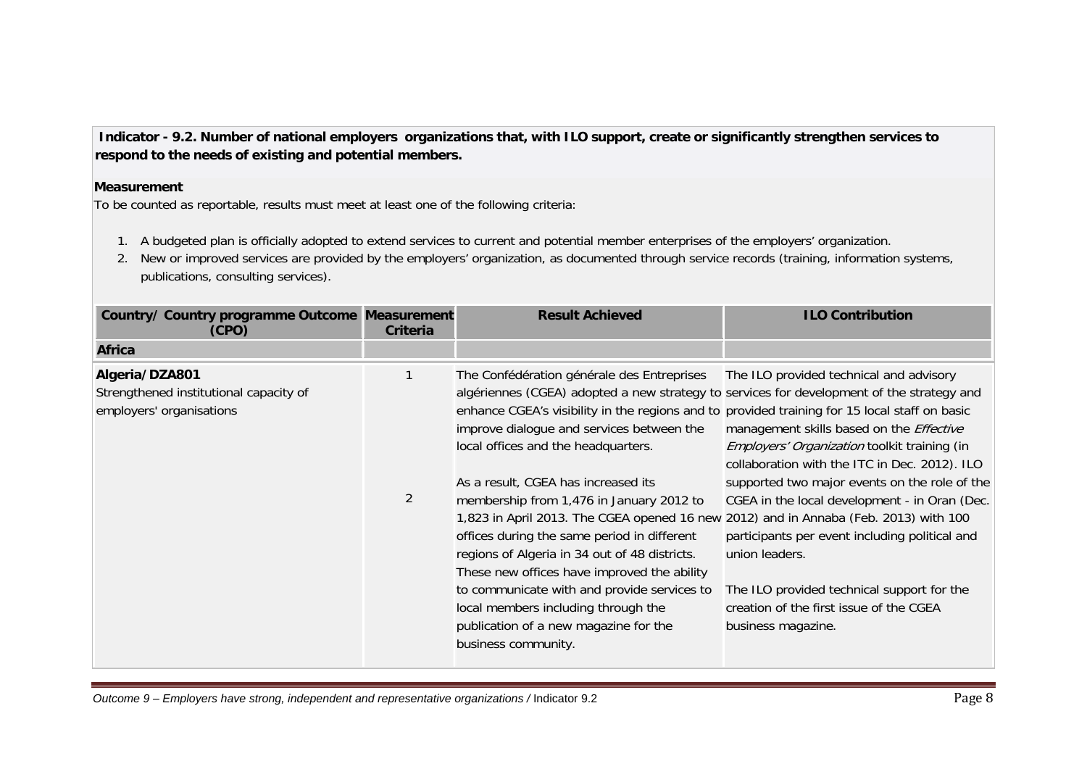**Indicator - 9.2. Number of national employers organizations that, with ILO support, create or significantly strengthen services to respond to the needs of existing and potential members.** 

#### **Measurement**

To be counted as reportable, results must meet at least one of the following criteria:

- 1. A budgeted plan is officially adopted to extend services to current and potential member enterprises of the employers' organization.
- 2. New or improved services are provided by the employers' organization, as documented through service records (training, information systems, publications, consulting services).

| Country/ Country programme Outcome Measurement<br>(CPO)                              | <b>Criteria</b> | <b>Result Achieved</b>                                                                                                                                                                                                                                                                                                                                                                                                                                                                                                                                                                                                                                                                                                                                                                                       | <b>ILO Contribution</b>                                                                                                                                                                                                                                                                                                                                                                                                                                                          |
|--------------------------------------------------------------------------------------|-----------------|--------------------------------------------------------------------------------------------------------------------------------------------------------------------------------------------------------------------------------------------------------------------------------------------------------------------------------------------------------------------------------------------------------------------------------------------------------------------------------------------------------------------------------------------------------------------------------------------------------------------------------------------------------------------------------------------------------------------------------------------------------------------------------------------------------------|----------------------------------------------------------------------------------------------------------------------------------------------------------------------------------------------------------------------------------------------------------------------------------------------------------------------------------------------------------------------------------------------------------------------------------------------------------------------------------|
| <b>Africa</b>                                                                        |                 |                                                                                                                                                                                                                                                                                                                                                                                                                                                                                                                                                                                                                                                                                                                                                                                                              |                                                                                                                                                                                                                                                                                                                                                                                                                                                                                  |
| Algeria/DZA801<br>Strengthened institutional capacity of<br>employers' organisations | $\overline{2}$  | The Confédération générale des Entreprises<br>algériennes (CGEA) adopted a new strategy to services for development of the strategy and<br>enhance CGEA's visibility in the regions and to provided training for 15 local staff on basic<br>improve dialogue and services between the<br>local offices and the headquarters.<br>As a result, CGEA has increased its<br>membership from 1,476 in January 2012 to<br>1,823 in April 2013. The CGEA opened 16 new 2012) and in Annaba (Feb. 2013) with 100<br>offices during the same period in different<br>regions of Algeria in 34 out of 48 districts.<br>These new offices have improved the ability<br>to communicate with and provide services to<br>local members including through the<br>publication of a new magazine for the<br>business community. | The ILO provided technical and advisory<br>management skills based on the Effective<br><i>Employers' Organization</i> toolkit training (in<br>collaboration with the ITC in Dec. 2012). ILO<br>supported two major events on the role of the<br>CGEA in the local development - in Oran (Dec.<br>participants per event including political and<br>union leaders.<br>The ILO provided technical support for the<br>creation of the first issue of the CGEA<br>business magazine. |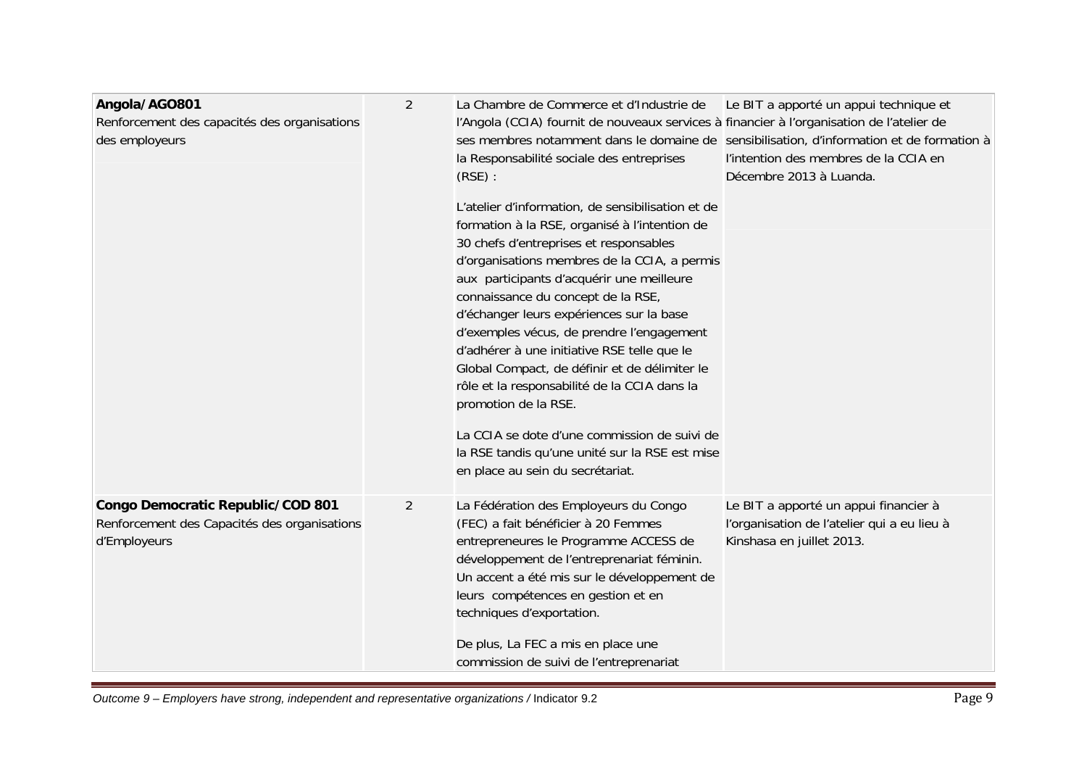| Angola/AGO801<br>Renforcement des capacités des organisations<br>des employeurs                   | 2              | La Chambre de Commerce et d'Industrie de<br>l'Angola (CCIA) fournit de nouveaux services à financier à l'organisation de l'atelier de<br>la Responsabilité sociale des entreprises<br>(RSE):<br>L'atelier d'information, de sensibilisation et de<br>formation à la RSE, organisé à l'intention de<br>30 chefs d'entreprises et responsables<br>d'organisations membres de la CCIA, a permis<br>aux participants d'acquérir une meilleure<br>connaissance du concept de la RSE,<br>d'échanger leurs expériences sur la base<br>d'exemples vécus, de prendre l'engagement<br>d'adhérer à une initiative RSE telle que le<br>Global Compact, de définir et de délimiter le<br>rôle et la responsabilité de la CCIA dans la<br>promotion de la RSE.<br>La CCIA se dote d'une commission de suivi de<br>la RSE tandis qu'une unité sur la RSE est mise<br>en place au sein du secrétariat. | Le BIT a apporté un appui technique et<br>ses membres notamment dans le domaine de sensibilisation, d'information et de formation à<br>l'intention des membres de la CCIA en<br>Décembre 2013 à Luanda. |
|---------------------------------------------------------------------------------------------------|----------------|----------------------------------------------------------------------------------------------------------------------------------------------------------------------------------------------------------------------------------------------------------------------------------------------------------------------------------------------------------------------------------------------------------------------------------------------------------------------------------------------------------------------------------------------------------------------------------------------------------------------------------------------------------------------------------------------------------------------------------------------------------------------------------------------------------------------------------------------------------------------------------------|---------------------------------------------------------------------------------------------------------------------------------------------------------------------------------------------------------|
| Congo Democratic Republic/COD 801<br>Renforcement des Capacités des organisations<br>d'Employeurs | $\overline{2}$ | La Fédération des Employeurs du Congo<br>(FEC) a fait bénéficier à 20 Femmes<br>entrepreneures le Programme ACCESS de<br>développement de l'entreprenariat féminin.<br>Un accent a été mis sur le développement de<br>leurs compétences en gestion et en<br>techniques d'exportation.<br>De plus, La FEC a mis en place une<br>commission de suivi de l'entreprenariat                                                                                                                                                                                                                                                                                                                                                                                                                                                                                                                 | Le BIT a apporté un appui financier à<br>l'organisation de l'atelier qui a eu lieu à<br>Kinshasa en juillet 2013.                                                                                       |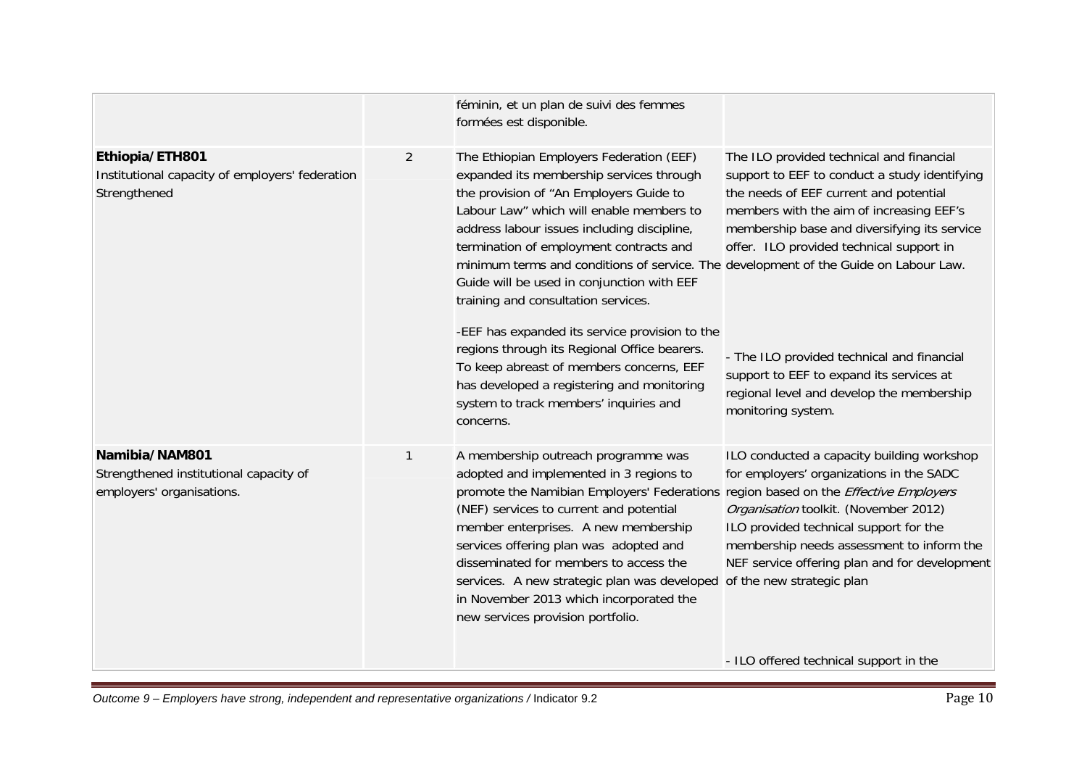|                                                                                       |                | féminin, et un plan de suivi des femmes<br>formées est disponible.                                                                                                                                                                                                                                                                                                                                                                                                           |                                                                                                                                                                                                                                                                                                      |
|---------------------------------------------------------------------------------------|----------------|------------------------------------------------------------------------------------------------------------------------------------------------------------------------------------------------------------------------------------------------------------------------------------------------------------------------------------------------------------------------------------------------------------------------------------------------------------------------------|------------------------------------------------------------------------------------------------------------------------------------------------------------------------------------------------------------------------------------------------------------------------------------------------------|
| Ethiopia/ETH801<br>Institutional capacity of employers' federation<br>Strengthened    | $\overline{2}$ | The Ethiopian Employers Federation (EEF)<br>expanded its membership services through<br>the provision of "An Employers Guide to<br>Labour Law" which will enable members to<br>address labour issues including discipline,<br>termination of employment contracts and<br>minimum terms and conditions of service. The development of the Guide on Labour Law.<br>Guide will be used in conjunction with EEF<br>training and consultation services.                           | The ILO provided technical and financial<br>support to EEF to conduct a study identifying<br>the needs of EEF current and potential<br>members with the aim of increasing EEF's<br>membership base and diversifying its service<br>offer. ILO provided technical support in                          |
|                                                                                       |                | -EEF has expanded its service provision to the<br>regions through its Regional Office bearers.<br>To keep abreast of members concerns, EEF<br>has developed a registering and monitoring<br>system to track members' inquiries and<br>concerns.                                                                                                                                                                                                                              | - The ILO provided technical and financial<br>support to EEF to expand its services at<br>regional level and develop the membership<br>monitoring system.                                                                                                                                            |
| Namibia/NAM801<br>Strengthened institutional capacity of<br>employers' organisations. | 1              | A membership outreach programme was<br>adopted and implemented in 3 regions to<br>promote the Namibian Employers' Federations region based on the Effective Employers<br>(NEF) services to current and potential<br>member enterprises. A new membership<br>services offering plan was adopted and<br>disseminated for members to access the<br>services. A new strategic plan was developed<br>in November 2013 which incorporated the<br>new services provision portfolio. | ILO conducted a capacity building workshop<br>for employers' organizations in the SADC<br>Organisation toolkit. (November 2012)<br>ILO provided technical support for the<br>membership needs assessment to inform the<br>NEF service offering plan and for development<br>of the new strategic plan |
|                                                                                       |                |                                                                                                                                                                                                                                                                                                                                                                                                                                                                              | - ILO offered technical support in the                                                                                                                                                                                                                                                               |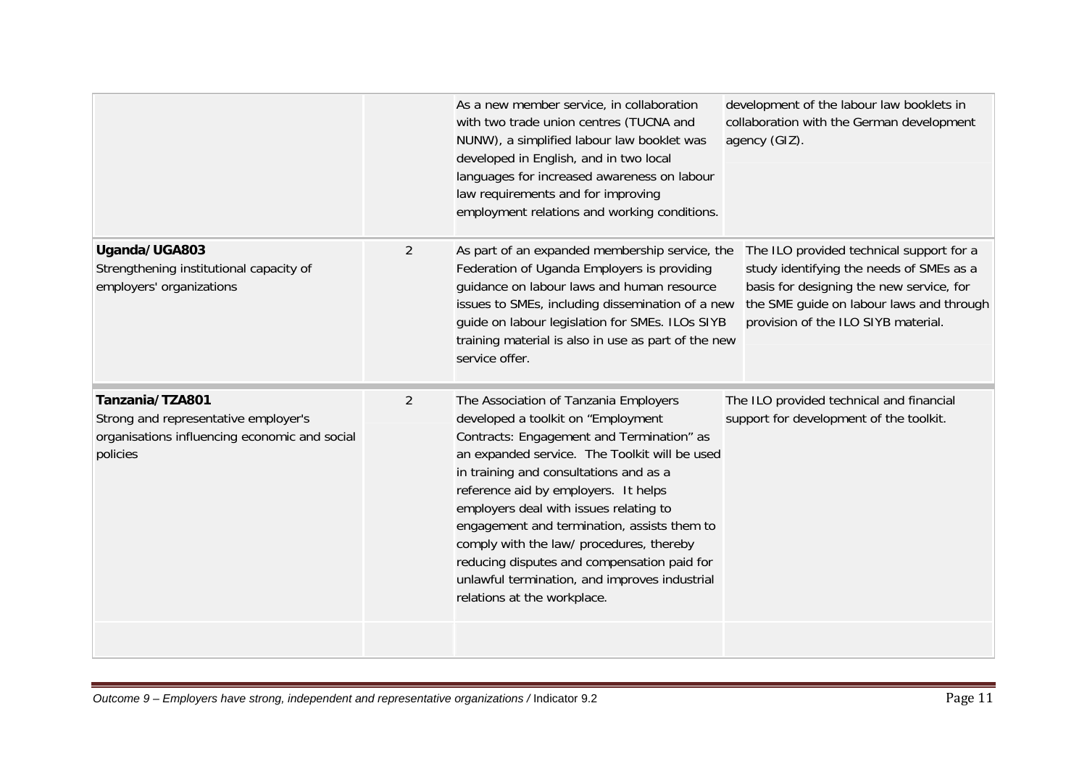|                                                                                                                      |                | As a new member service, in collaboration<br>with two trade union centres (TUCNA and<br>NUNW), a simplified labour law booklet was<br>developed in English, and in two local<br>languages for increased awareness on labour<br>law requirements and for improving<br>employment relations and working conditions.                                                                                                                                                                                                               | development of the labour law booklets in<br>collaboration with the German development<br>agency (GIZ).                                                                                                             |
|----------------------------------------------------------------------------------------------------------------------|----------------|---------------------------------------------------------------------------------------------------------------------------------------------------------------------------------------------------------------------------------------------------------------------------------------------------------------------------------------------------------------------------------------------------------------------------------------------------------------------------------------------------------------------------------|---------------------------------------------------------------------------------------------------------------------------------------------------------------------------------------------------------------------|
| Uganda/UGA803<br>Strengthening institutional capacity of<br>employers' organizations                                 | $\overline{2}$ | As part of an expanded membership service, the<br>Federation of Uganda Employers is providing<br>guidance on labour laws and human resource<br>issues to SMEs, including dissemination of a new<br>guide on labour legislation for SMEs. ILOs SIYB<br>training material is also in use as part of the new<br>service offer.                                                                                                                                                                                                     | The ILO provided technical support for a<br>study identifying the needs of SMEs as a<br>basis for designing the new service, for<br>the SME guide on labour laws and through<br>provision of the ILO SIYB material. |
| Tanzania/TZA801<br>Strong and representative employer's<br>organisations influencing economic and social<br>policies | $\overline{2}$ | The Association of Tanzania Employers<br>developed a toolkit on "Employment<br>Contracts: Engagement and Termination" as<br>an expanded service. The Toolkit will be used<br>in training and consultations and as a<br>reference aid by employers. It helps<br>employers deal with issues relating to<br>engagement and termination, assists them to<br>comply with the law/ procedures, thereby<br>reducing disputes and compensation paid for<br>unlawful termination, and improves industrial<br>relations at the workplace. | The ILO provided technical and financial<br>support for development of the toolkit.                                                                                                                                 |
|                                                                                                                      |                |                                                                                                                                                                                                                                                                                                                                                                                                                                                                                                                                 |                                                                                                                                                                                                                     |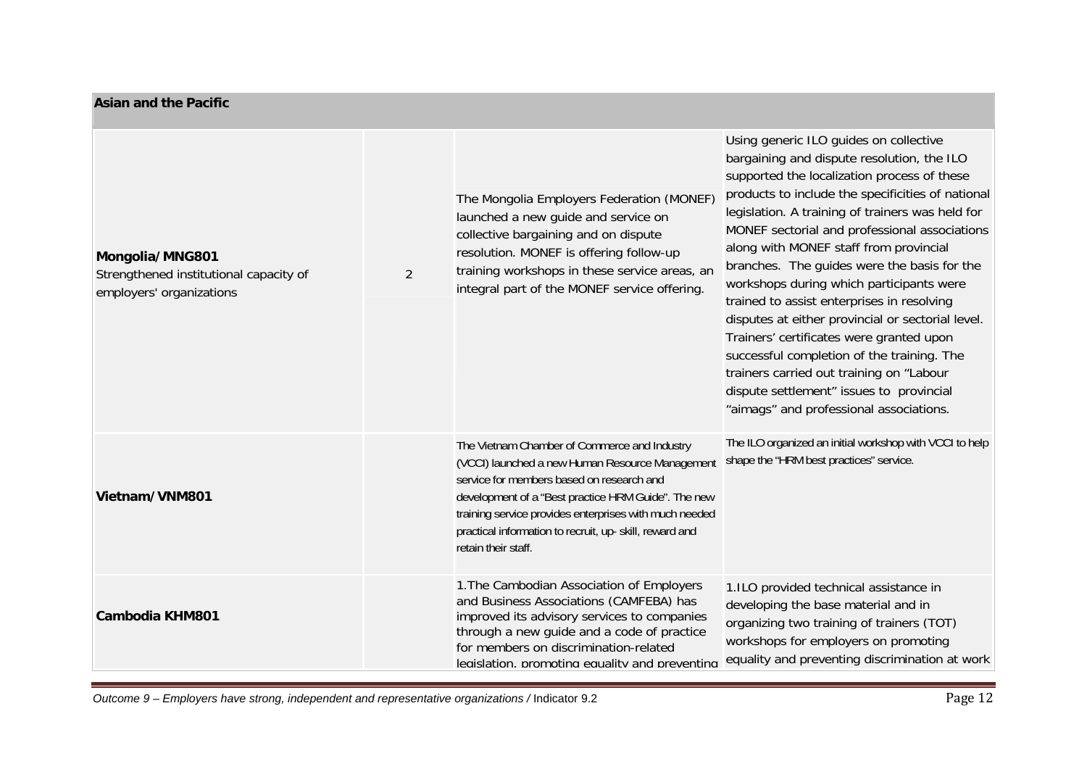#### **Asian and the Pacific**

| Mongolia/MNG801<br>Strengthened institutional capacity of<br>employers' organizations | 2 | The Mongolia Employers Federation (MONEF)<br>launched a new guide and service on<br>collective bargaining and on dispute<br>resolution. MONEF is offering follow-up<br>training workshops in these service areas, an<br>integral part of the MONEF service offering.                                                                            | Using generic ILO guides on collective<br>bargaining and dispute resolution, the ILO<br>supported the localization process of these<br>products to include the specificities of national<br>legislation. A training of trainers was held for<br>MONEF sectorial and professional associations<br>along with MONEF staff from provincial<br>branches. The guides were the basis for the<br>workshops during which participants were<br>trained to assist enterprises in resolving<br>disputes at either provincial or sectorial level.<br>Trainers' certificates were granted upon<br>successful completion of the training. The<br>trainers carried out training on "Labour<br>dispute settlement" issues to provincial<br>"aimags" and professional associations. |
|---------------------------------------------------------------------------------------|---|-------------------------------------------------------------------------------------------------------------------------------------------------------------------------------------------------------------------------------------------------------------------------------------------------------------------------------------------------|--------------------------------------------------------------------------------------------------------------------------------------------------------------------------------------------------------------------------------------------------------------------------------------------------------------------------------------------------------------------------------------------------------------------------------------------------------------------------------------------------------------------------------------------------------------------------------------------------------------------------------------------------------------------------------------------------------------------------------------------------------------------|
| Vietnam/VNM801                                                                        |   | The Vietnam Chamber of Commerce and Industry<br>(VCCI) launched a new Human Resource Management<br>service for members based on research and<br>development of a "Best practice HRM Guide". The new<br>training service provides enterprises with much needed<br>practical information to recruit, up- skill, reward and<br>retain their staff. | The ILO organized an initial workshop with VCCI to help<br>shape the "HRM best practices" service.                                                                                                                                                                                                                                                                                                                                                                                                                                                                                                                                                                                                                                                                 |
| Cambodia KHM801                                                                       |   | 1. The Cambodian Association of Employers<br>and Business Associations (CAMFEBA) has<br>improved its advisory services to companies<br>through a new guide and a code of practice<br>for members on discrimination-related<br>legislation, promoting equality and preventing                                                                    | 1.ILO provided technical assistance in<br>developing the base material and in<br>organizing two training of trainers (TOT)<br>workshops for employers on promoting<br>equality and preventing discrimination at work                                                                                                                                                                                                                                                                                                                                                                                                                                                                                                                                               |

*Outcome 9 – Employers have strong, independent and representative organizations /* Indicator 9.2 Page 12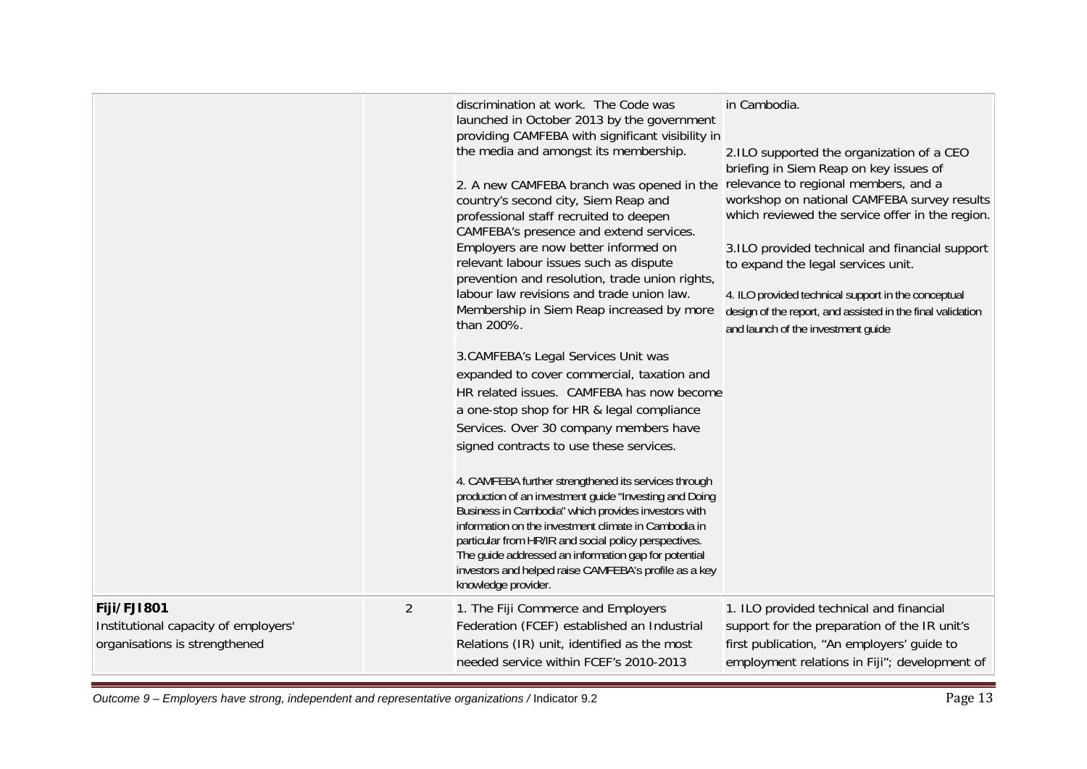|                                                                                      |                | discrimination at work. The Code was<br>launched in October 2013 by the government<br>providing CAMFEBA with significant visibility in<br>the media and amongst its membership.<br>2. A new CAMFEBA branch was opened in the<br>country's second city, Siem Reap and<br>professional staff recruited to deepen<br>CAMFEBA's presence and extend services.<br>Employers are now better informed on<br>relevant labour issues such as dispute<br>prevention and resolution, trade union rights,<br>labour law revisions and trade union law.<br>Membership in Siem Reap increased by more<br>than 200%.<br>3. CAMFEBA's Legal Services Unit was<br>expanded to cover commercial, taxation and<br>HR related issues. CAMFEBA has now become<br>a one-stop shop for HR & legal compliance<br>Services. Over 30 company members have<br>signed contracts to use these services.<br>4. CAMFEBA further strengthened its services through<br>production of an investment guide "Investing and Doing<br>Business in Cambodia" which provides investors with<br>information on the investment climate in Cambodia in<br>particular from HR/IR and social policy perspectives.<br>The guide addressed an information gap for potential<br>investors and helped raise CAMFEBA's profile as a key<br>knowledge provider. | in Cambodia.<br>2.ILO supported the organization of a CEO<br>briefing in Siem Reap on key issues of<br>relevance to regional members, and a<br>workshop on national CAMFEBA survey results<br>which reviewed the service offer in the region.<br>3.ILO provided technical and financial support<br>to expand the legal services unit.<br>4. ILO provided technical support in the conceptual<br>design of the report, and assisted in the final validation<br>and launch of the investment guide |
|--------------------------------------------------------------------------------------|----------------|--------------------------------------------------------------------------------------------------------------------------------------------------------------------------------------------------------------------------------------------------------------------------------------------------------------------------------------------------------------------------------------------------------------------------------------------------------------------------------------------------------------------------------------------------------------------------------------------------------------------------------------------------------------------------------------------------------------------------------------------------------------------------------------------------------------------------------------------------------------------------------------------------------------------------------------------------------------------------------------------------------------------------------------------------------------------------------------------------------------------------------------------------------------------------------------------------------------------------------------------------------------------------------------------------------------|--------------------------------------------------------------------------------------------------------------------------------------------------------------------------------------------------------------------------------------------------------------------------------------------------------------------------------------------------------------------------------------------------------------------------------------------------------------------------------------------------|
| Fiji/FJI801<br>Institutional capacity of employers'<br>organisations is strengthened | $\overline{2}$ | 1. The Fiji Commerce and Employers<br>Federation (FCEF) established an Industrial<br>Relations (IR) unit, identified as the most<br>needed service within FCEF's 2010-2013                                                                                                                                                                                                                                                                                                                                                                                                                                                                                                                                                                                                                                                                                                                                                                                                                                                                                                                                                                                                                                                                                                                                   | 1. ILO provided technical and financial<br>support for the preparation of the IR unit's<br>first publication, "An employers' guide to<br>employment relations in Fiji"; development of                                                                                                                                                                                                                                                                                                           |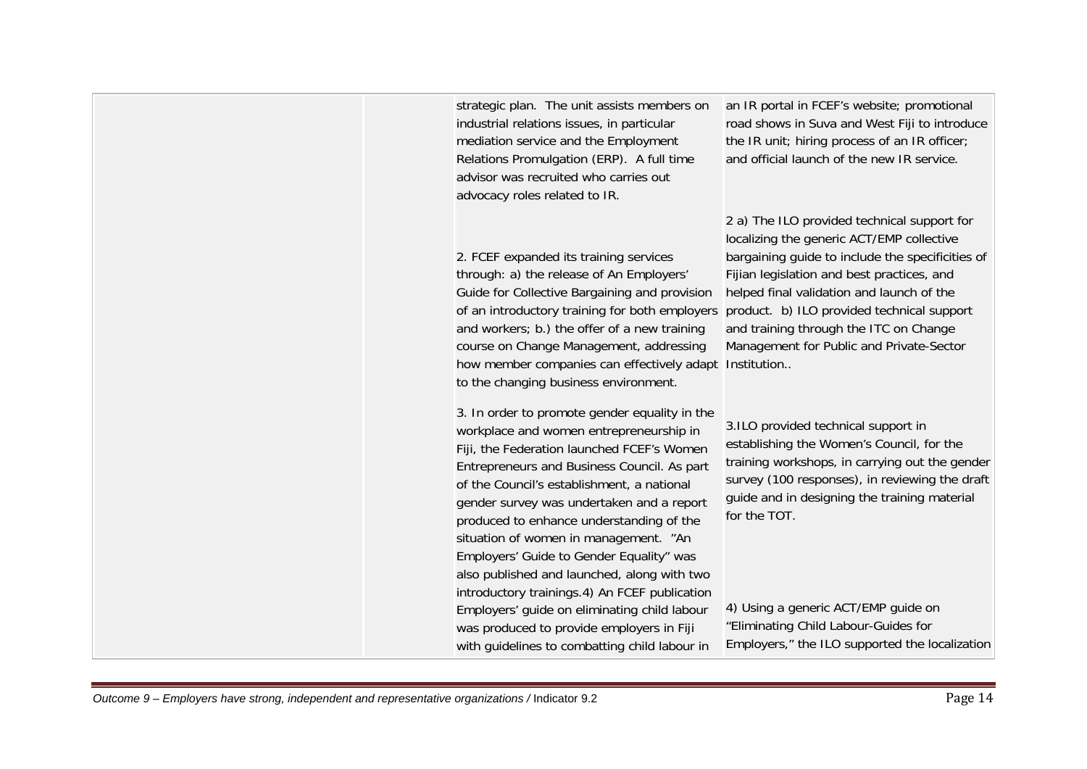| Outcome 9 – Employers have strong, independent and representative organizations / Indicator 9.2 | Page 14 |
|-------------------------------------------------------------------------------------------------|---------|
|-------------------------------------------------------------------------------------------------|---------|

| strategic plan. The unit assists members on<br>industrial relations issues, in particular<br>mediation service and the Employment<br>Relations Promulgation (ERP). A full time<br>advisor was recruited who carries out<br>advocacy roles related to IR.                                                                                                                                                                                                                                                          | an IR portal in FCEF's website; promotional<br>road shows in Suva and West Fiji to introduce<br>the IR unit; hiring process of an IR officer;<br>and official launch of the new IR service.                                                                                                                                   |
|-------------------------------------------------------------------------------------------------------------------------------------------------------------------------------------------------------------------------------------------------------------------------------------------------------------------------------------------------------------------------------------------------------------------------------------------------------------------------------------------------------------------|-------------------------------------------------------------------------------------------------------------------------------------------------------------------------------------------------------------------------------------------------------------------------------------------------------------------------------|
| 2. FCEF expanded its training services<br>through: a) the release of An Employers'<br>Guide for Collective Bargaining and provision<br>of an introductory training for both employers product. b) ILO provided technical support<br>and workers; b.) the offer of a new training<br>course on Change Management, addressing<br>how member companies can effectively adapt Institution<br>to the changing business environment.                                                                                    | 2 a) The ILO provided technical support for<br>localizing the generic ACT/EMP collective<br>bargaining guide to include the specificities of<br>Fijian legislation and best practices, and<br>helped final validation and launch of the<br>and training through the ITC on Change<br>Management for Public and Private-Sector |
| 3. In order to promote gender equality in the<br>workplace and women entrepreneurship in<br>Fiji, the Federation launched FCEF's Women<br>Entrepreneurs and Business Council. As part<br>of the Council's establishment, a national<br>gender survey was undertaken and a report<br>produced to enhance understanding of the<br>situation of women in management. "An<br>Employers' Guide to Gender Equality" was<br>also published and launched, along with two<br>introductory trainings.4) An FCEF publication | 3.ILO provided technical support in<br>establishing the Women's Council, for the<br>training workshops, in carrying out the gender<br>survey (100 responses), in reviewing the draft<br>guide and in designing the training material<br>for the TOT.                                                                          |
| Employers' guide on eliminating child labour<br>was produced to provide employers in Fiji<br>with guidelines to combatting child labour in                                                                                                                                                                                                                                                                                                                                                                        | 4) Using a generic ACT/EMP guide on<br>"Eliminating Child Labour-Guides for<br>Employers," the ILO supported the localization                                                                                                                                                                                                 |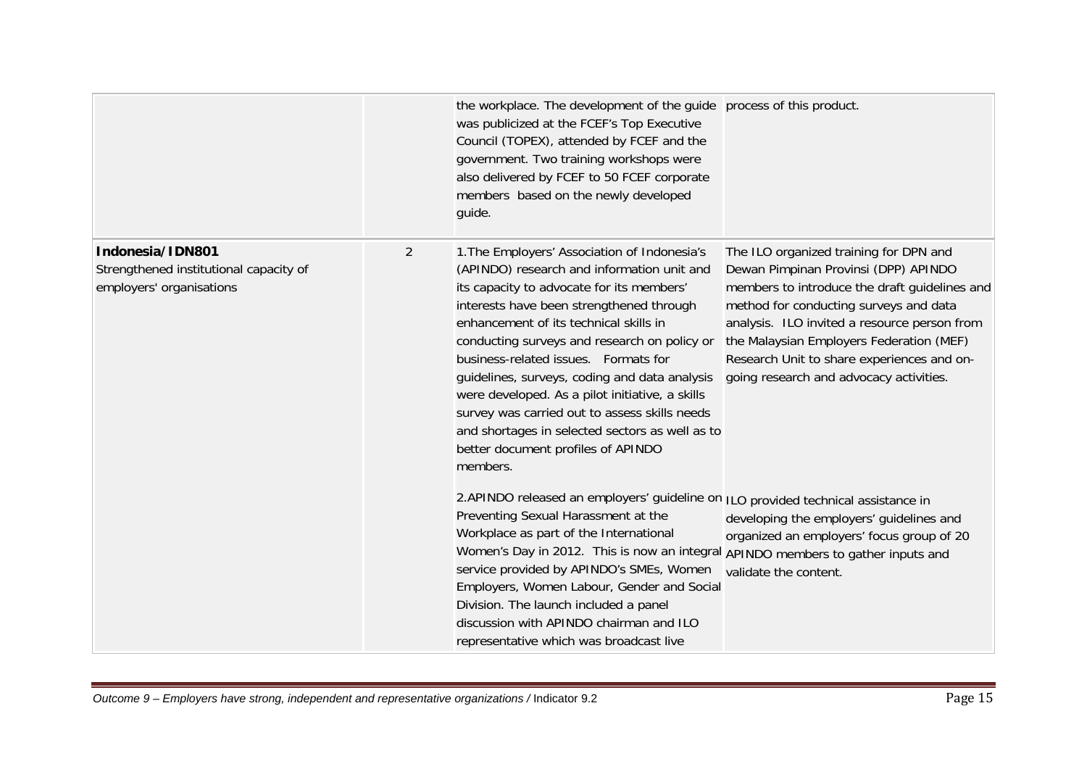|                                                                                        |                | the workplace. The development of the guide process of this product.<br>was publicized at the FCEF's Top Executive<br>Council (TOPEX), attended by FCEF and the<br>government. Two training workshops were<br>also delivered by FCEF to 50 FCEF corporate<br>members based on the newly developed<br>guide.                                                                                                                                                                                                                                                                     |                                                                                                                                                                                                                                                                                                                                                                |
|----------------------------------------------------------------------------------------|----------------|---------------------------------------------------------------------------------------------------------------------------------------------------------------------------------------------------------------------------------------------------------------------------------------------------------------------------------------------------------------------------------------------------------------------------------------------------------------------------------------------------------------------------------------------------------------------------------|----------------------------------------------------------------------------------------------------------------------------------------------------------------------------------------------------------------------------------------------------------------------------------------------------------------------------------------------------------------|
| Indonesia/IDN801<br>Strengthened institutional capacity of<br>employers' organisations | $\overline{2}$ | 1. The Employers' Association of Indonesia's<br>(APINDO) research and information unit and<br>its capacity to advocate for its members'<br>interests have been strengthened through<br>enhancement of its technical skills in<br>conducting surveys and research on policy or<br>business-related issues. Formats for<br>guidelines, surveys, coding and data analysis<br>were developed. As a pilot initiative, a skills<br>survey was carried out to assess skills needs<br>and shortages in selected sectors as well as to<br>better document profiles of APINDO<br>members. | The ILO organized training for DPN and<br>Dewan Pimpinan Provinsi (DPP) APINDO<br>members to introduce the draft guidelines and<br>method for conducting surveys and data<br>analysis. ILO invited a resource person from<br>the Malaysian Employers Federation (MEF)<br>Research Unit to share experiences and on-<br>going research and advocacy activities. |
|                                                                                        |                | 2. APINDO released an employers' guideline on ILO provided technical assistance in<br>Preventing Sexual Harassment at the<br>Workplace as part of the International<br>Women's Day in 2012. This is now an integral APINDO members to gather inputs and<br>service provided by APINDO's SMEs, Women<br>Employers, Women Labour, Gender and Social<br>Division. The launch included a panel<br>discussion with APINDO chairman and ILO<br>representative which was broadcast live                                                                                                | developing the employers' guidelines and<br>organized an employers' focus group of 20<br>validate the content.                                                                                                                                                                                                                                                 |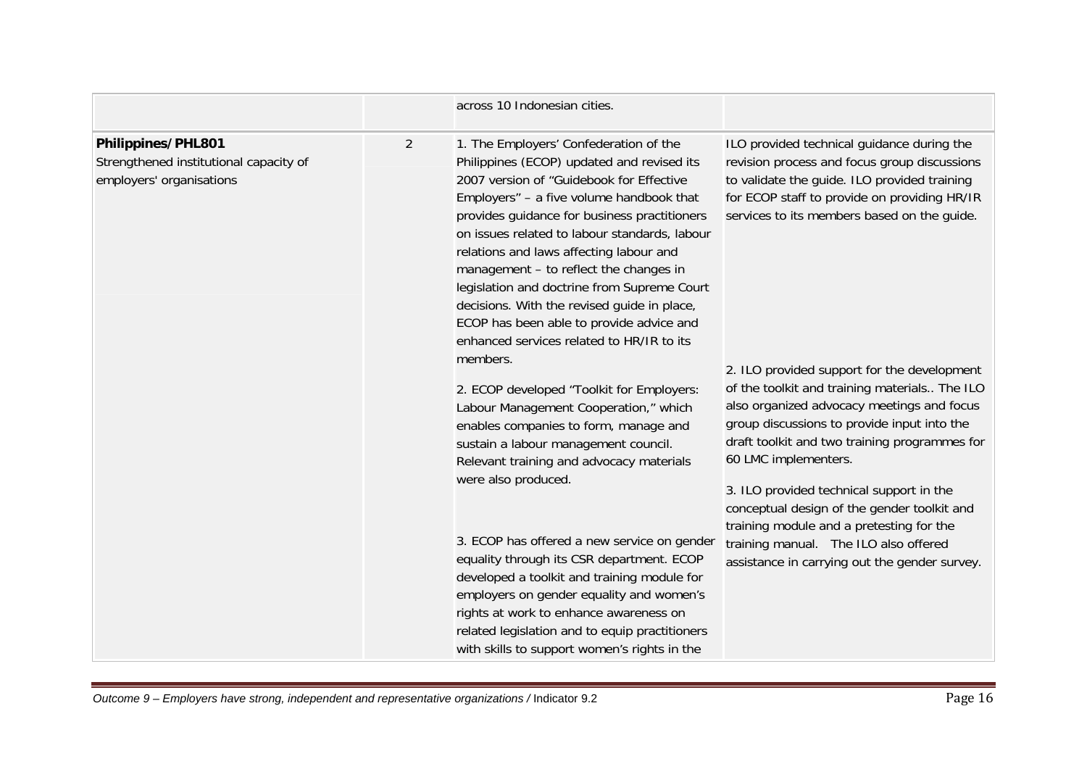|                                                                                          |                | across 10 Indonesian cities.                                                                                                                                                                                                                                                                                                                                                                                                                                                                                                                                                                                                                                                                                                                                                                                                                                                                                                                                                                                                                                                                                                                       |                                                                                                                                                                                                                                                                                                                                                                                                                                                                                                                                                                                                                                                                                                                                                  |
|------------------------------------------------------------------------------------------|----------------|----------------------------------------------------------------------------------------------------------------------------------------------------------------------------------------------------------------------------------------------------------------------------------------------------------------------------------------------------------------------------------------------------------------------------------------------------------------------------------------------------------------------------------------------------------------------------------------------------------------------------------------------------------------------------------------------------------------------------------------------------------------------------------------------------------------------------------------------------------------------------------------------------------------------------------------------------------------------------------------------------------------------------------------------------------------------------------------------------------------------------------------------------|--------------------------------------------------------------------------------------------------------------------------------------------------------------------------------------------------------------------------------------------------------------------------------------------------------------------------------------------------------------------------------------------------------------------------------------------------------------------------------------------------------------------------------------------------------------------------------------------------------------------------------------------------------------------------------------------------------------------------------------------------|
| Philippines/PHL801<br>Strengthened institutional capacity of<br>employers' organisations | $\overline{2}$ | 1. The Employers' Confederation of the<br>Philippines (ECOP) updated and revised its<br>2007 version of "Guidebook for Effective<br>Employers" - a five volume handbook that<br>provides guidance for business practitioners<br>on issues related to labour standards, labour<br>relations and laws affecting labour and<br>management - to reflect the changes in<br>legislation and doctrine from Supreme Court<br>decisions. With the revised guide in place,<br>ECOP has been able to provide advice and<br>enhanced services related to HR/IR to its<br>members.<br>2. ECOP developed "Toolkit for Employers:<br>Labour Management Cooperation," which<br>enables companies to form, manage and<br>sustain a labour management council.<br>Relevant training and advocacy materials<br>were also produced.<br>3. ECOP has offered a new service on gender<br>equality through its CSR department. ECOP<br>developed a toolkit and training module for<br>employers on gender equality and women's<br>rights at work to enhance awareness on<br>related legislation and to equip practitioners<br>with skills to support women's rights in the | ILO provided technical guidance during the<br>revision process and focus group discussions<br>to validate the guide. ILO provided training<br>for ECOP staff to provide on providing HR/IR<br>services to its members based on the guide.<br>2. ILO provided support for the development<br>of the toolkit and training materials The ILO<br>also organized advocacy meetings and focus<br>group discussions to provide input into the<br>draft toolkit and two training programmes for<br>60 LMC implementers.<br>3. ILO provided technical support in the<br>conceptual design of the gender toolkit and<br>training module and a pretesting for the<br>training manual. The ILO also offered<br>assistance in carrying out the gender survey. |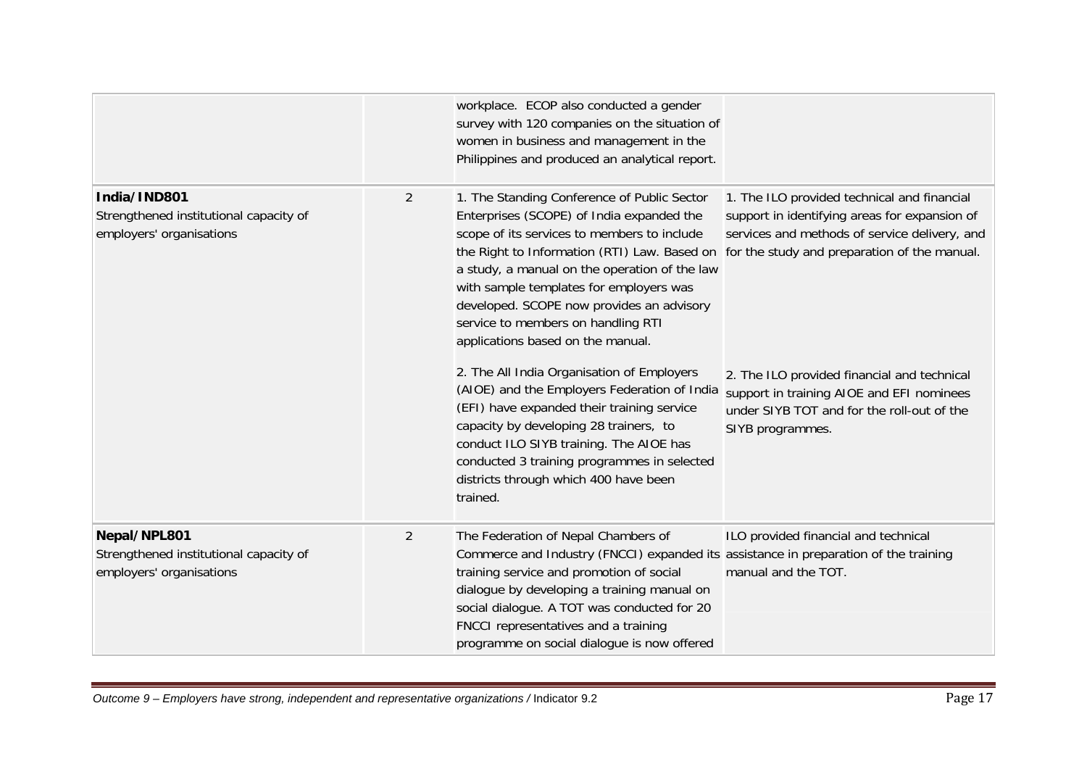|                                                                                    |                | workplace. ECOP also conducted a gender<br>survey with 120 companies on the situation of<br>women in business and management in the<br>Philippines and produced an analytical report.                                                                                                                                                                                                                                                                    |                                                                                                                                                            |
|------------------------------------------------------------------------------------|----------------|----------------------------------------------------------------------------------------------------------------------------------------------------------------------------------------------------------------------------------------------------------------------------------------------------------------------------------------------------------------------------------------------------------------------------------------------------------|------------------------------------------------------------------------------------------------------------------------------------------------------------|
| India/IND801<br>Strengthened institutional capacity of<br>employers' organisations | $\overline{2}$ | 1. The Standing Conference of Public Sector<br>Enterprises (SCOPE) of India expanded the<br>scope of its services to members to include<br>the Right to Information (RTI) Law. Based on for the study and preparation of the manual.<br>a study, a manual on the operation of the law<br>with sample templates for employers was<br>developed. SCOPE now provides an advisory<br>service to members on handling RTI<br>applications based on the manual. | 1. The ILO provided technical and financial<br>support in identifying areas for expansion of<br>services and methods of service delivery, and              |
|                                                                                    |                | 2. The All India Organisation of Employers<br>(AIOE) and the Employers Federation of India<br>(EFI) have expanded their training service<br>capacity by developing 28 trainers, to<br>conduct ILO SIYB training. The AIOE has<br>conducted 3 training programmes in selected<br>districts through which 400 have been<br>trained.                                                                                                                        | 2. The ILO provided financial and technical<br>support in training AIOE and EFI nominees<br>under SIYB TOT and for the roll-out of the<br>SIYB programmes. |
| Nepal/NPL801<br>Strengthened institutional capacity of<br>employers' organisations | $\overline{2}$ | The Federation of Nepal Chambers of<br>Commerce and Industry (FNCCI) expanded its assistance in preparation of the training<br>training service and promotion of social<br>dialogue by developing a training manual on<br>social dialogue. A TOT was conducted for 20<br>FNCCI representatives and a training<br>programme on social dialogue is now offered                                                                                             | ILO provided financial and technical<br>manual and the TOT.                                                                                                |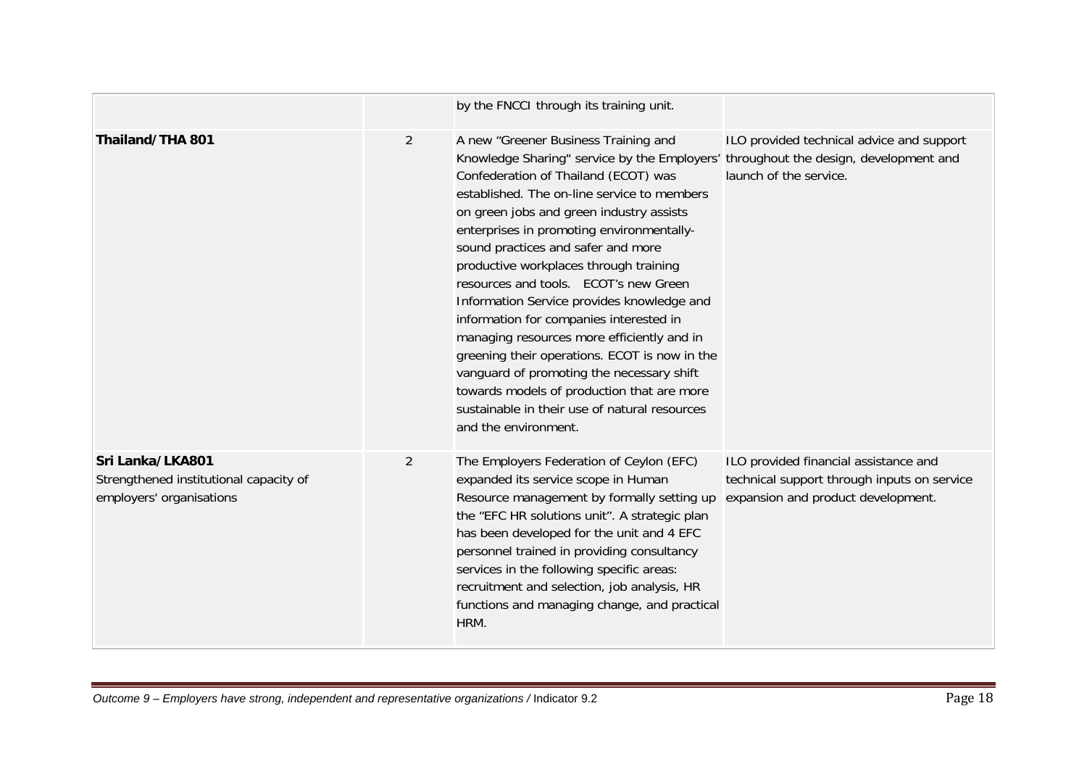|                                                                                        |                | by the FNCCI through its training unit.                                                                                                                                                                                                                                                                                                                                                                                                                                                                                                                                                                                                                                                                                                                                                          |                                                                                                                            |
|----------------------------------------------------------------------------------------|----------------|--------------------------------------------------------------------------------------------------------------------------------------------------------------------------------------------------------------------------------------------------------------------------------------------------------------------------------------------------------------------------------------------------------------------------------------------------------------------------------------------------------------------------------------------------------------------------------------------------------------------------------------------------------------------------------------------------------------------------------------------------------------------------------------------------|----------------------------------------------------------------------------------------------------------------------------|
| Thailand/THA 801                                                                       | $\overline{2}$ | A new "Greener Business Training and<br>Knowledge Sharing" service by the Employers' throughout the design, development and<br>Confederation of Thailand (ECOT) was<br>established. The on-line service to members<br>on green jobs and green industry assists<br>enterprises in promoting environmentally-<br>sound practices and safer and more<br>productive workplaces through training<br>resources and tools. ECOT's new Green<br>Information Service provides knowledge and<br>information for companies interested in<br>managing resources more efficiently and in<br>greening their operations. ECOT is now in the<br>vanguard of promoting the necessary shift<br>towards models of production that are more<br>sustainable in their use of natural resources<br>and the environment. | ILO provided technical advice and support<br>launch of the service.                                                        |
| Sri Lanka/LKA801<br>Strengthened institutional capacity of<br>employers' organisations | $\overline{2}$ | The Employers Federation of Ceylon (EFC)<br>expanded its service scope in Human<br>Resource management by formally setting up<br>the "EFC HR solutions unit". A strategic plan<br>has been developed for the unit and 4 EFC<br>personnel trained in providing consultancy<br>services in the following specific areas:<br>recruitment and selection, job analysis, HR<br>functions and managing change, and practical<br>HRM.                                                                                                                                                                                                                                                                                                                                                                    | ILO provided financial assistance and<br>technical support through inputs on service<br>expansion and product development. |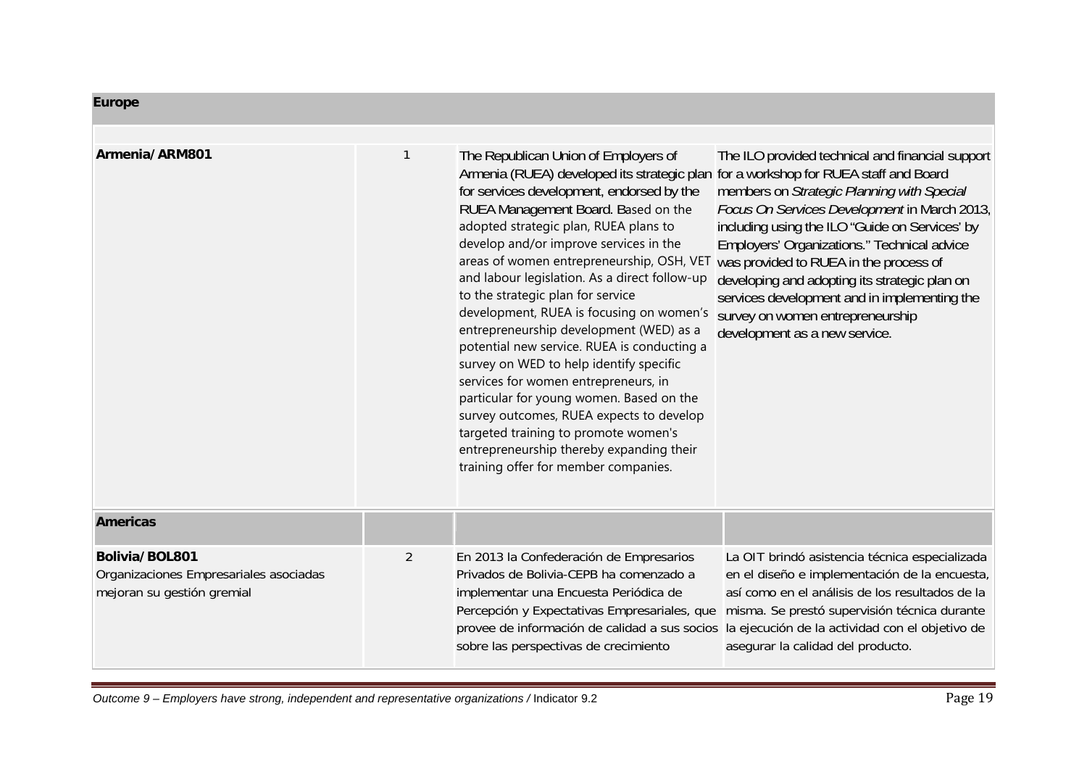| <b>Europe</b>                                                                          |                |                                                                                                                                                                                                                                                                                                                                                                                                                                                                                                                                                                                                                                                                                                                                                                                                                                            |                                                                                                                                                                                                                                                                                                                                                                                                                                                                                                                   |
|----------------------------------------------------------------------------------------|----------------|--------------------------------------------------------------------------------------------------------------------------------------------------------------------------------------------------------------------------------------------------------------------------------------------------------------------------------------------------------------------------------------------------------------------------------------------------------------------------------------------------------------------------------------------------------------------------------------------------------------------------------------------------------------------------------------------------------------------------------------------------------------------------------------------------------------------------------------------|-------------------------------------------------------------------------------------------------------------------------------------------------------------------------------------------------------------------------------------------------------------------------------------------------------------------------------------------------------------------------------------------------------------------------------------------------------------------------------------------------------------------|
| Armenia/ARM801                                                                         | 1              | The Republican Union of Employers of<br>Armenia (RUEA) developed its strategic plan<br>for services development, endorsed by the<br>RUEA Management Board. Based on the<br>adopted strategic plan, RUEA plans to<br>develop and/or improve services in the<br>areas of women entrepreneurship, OSH, VET<br>and labour legislation. As a direct follow-up<br>to the strategic plan for service<br>development, RUEA is focusing on women's<br>entrepreneurship development (WED) as a<br>potential new service. RUEA is conducting a<br>survey on WED to help identify specific<br>services for women entrepreneurs, in<br>particular for young women. Based on the<br>survey outcomes, RUEA expects to develop<br>targeted training to promote women's<br>entrepreneurship thereby expanding their<br>training offer for member companies. | The ILO provided technical and financial support<br>for a workshop for RUEA staff and Board<br>members on Strategic Planning with Special<br>Focus On Services Development in March 2013,<br>including using the ILO "Guide on Services' by<br><b>Employers' Organizations." Technical advice</b><br>was provided to RUEA in the process of<br>developing and adopting its strategic plan on<br>services development and in implementing the<br>survey on women entrepreneurship<br>development as a new service. |
| <b>Americas</b>                                                                        |                |                                                                                                                                                                                                                                                                                                                                                                                                                                                                                                                                                                                                                                                                                                                                                                                                                                            |                                                                                                                                                                                                                                                                                                                                                                                                                                                                                                                   |
| Bolivia/BOL801<br>Organizaciones Empresariales asociadas<br>mejoran su gestión gremial | $\overline{2}$ | En 2013 la Confederación de Empresarios<br>Privados de Bolivia-CEPB ha comenzado a<br>implementar una Encuesta Periódica de<br>Percepción y Expectativas Empresariales, que<br>sobre las perspectivas de crecimiento                                                                                                                                                                                                                                                                                                                                                                                                                                                                                                                                                                                                                       | La OIT brindó asistencia técnica especializada<br>en el diseño e implementación de la encuesta,<br>así como en el análisis de los resultados de la<br>misma. Se prestó supervisión técnica durante<br>provee de información de calidad a sus socios la ejecución de la actividad con el objetivo de<br>asegurar la calidad del producto.                                                                                                                                                                          |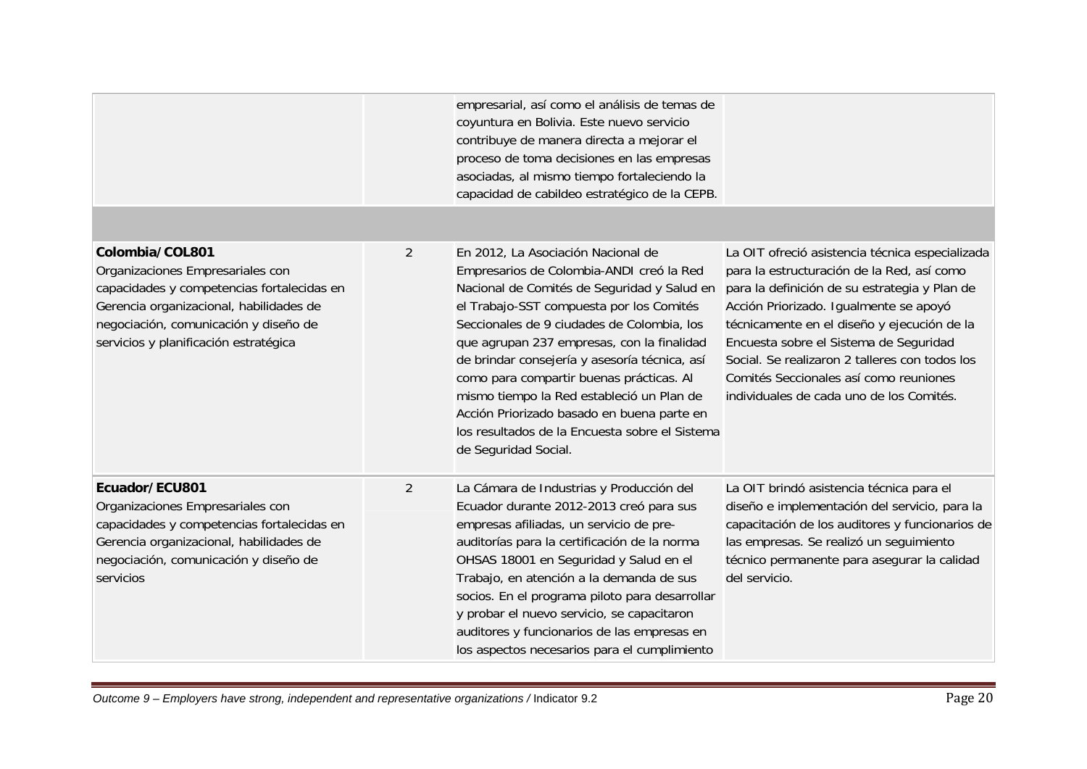|                                                                                                                                                                                                                                |                | empresarial, así como el análisis de temas de<br>coyuntura en Bolivia. Este nuevo servicio<br>contribuye de manera directa a mejorar el<br>proceso de toma decisiones en las empresas<br>asociadas, al mismo tiempo fortaleciendo la<br>capacidad de cabildeo estratégico de la CEPB.                                                                                                                                                                                                                                                   |                                                                                                                                                                                                                                                                                                                                                                                                                           |
|--------------------------------------------------------------------------------------------------------------------------------------------------------------------------------------------------------------------------------|----------------|-----------------------------------------------------------------------------------------------------------------------------------------------------------------------------------------------------------------------------------------------------------------------------------------------------------------------------------------------------------------------------------------------------------------------------------------------------------------------------------------------------------------------------------------|---------------------------------------------------------------------------------------------------------------------------------------------------------------------------------------------------------------------------------------------------------------------------------------------------------------------------------------------------------------------------------------------------------------------------|
|                                                                                                                                                                                                                                |                |                                                                                                                                                                                                                                                                                                                                                                                                                                                                                                                                         |                                                                                                                                                                                                                                                                                                                                                                                                                           |
| Colombia/COL801<br>Organizaciones Empresariales con<br>capacidades y competencias fortalecidas en<br>Gerencia organizacional, habilidades de<br>negociación, comunicación y diseño de<br>servicios y planificación estratégica | $\overline{2}$ | En 2012, La Asociación Nacional de<br>Empresarios de Colombia-ANDI creó la Red<br>Nacional de Comités de Seguridad y Salud en<br>el Trabajo-SST compuesta por los Comités<br>Seccionales de 9 ciudades de Colombia, los<br>que agrupan 237 empresas, con la finalidad<br>de brindar consejería y asesoría técnica, así<br>como para compartir buenas prácticas. Al<br>mismo tiempo la Red estableció un Plan de<br>Acción Priorizado basado en buena parte en<br>los resultados de la Encuesta sobre el Sistema<br>de Seguridad Social. | La OIT ofreció asistencia técnica especializada<br>para la estructuración de la Red, así como<br>para la definición de su estrategia y Plan de<br>Acción Priorizado. Igualmente se apoyó<br>técnicamente en el diseño y ejecución de la<br>Encuesta sobre el Sistema de Seguridad<br>Social. Se realizaron 2 talleres con todos los<br>Comités Seccionales así como reuniones<br>individuales de cada uno de los Comités. |
| Ecuador/ECU801<br>Organizaciones Empresariales con<br>capacidades y competencias fortalecidas en<br>Gerencia organizacional, habilidades de<br>negociación, comunicación y diseño de<br>servicios                              | 2              | La Cámara de Industrias y Producción del<br>Ecuador durante 2012-2013 creó para sus<br>empresas afiliadas, un servicio de pre-<br>auditorías para la certificación de la norma<br>OHSAS 18001 en Seguridad y Salud en el<br>Trabajo, en atención a la demanda de sus<br>socios. En el programa piloto para desarrollar<br>y probar el nuevo servicio, se capacitaron<br>auditores y funcionarios de las empresas en<br>los aspectos necesarios para el cumplimiento                                                                     | La OIT brindó asistencia técnica para el<br>diseño e implementación del servicio, para la<br>capacitación de los auditores y funcionarios de<br>las empresas. Se realizó un seguimiento<br>técnico permanente para asegurar la calidad<br>del servicio.                                                                                                                                                                   |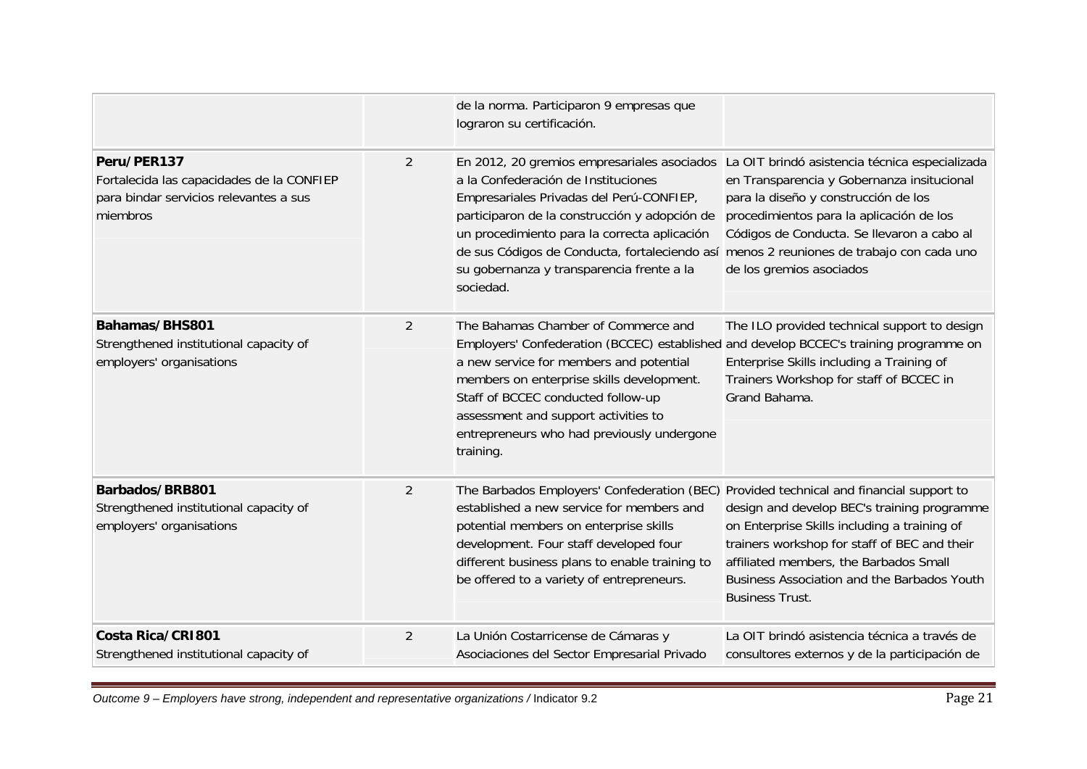|                                                                                                                |                | de la norma. Participaron 9 empresas que<br>lograron su certificación.                                                                                                                                                                                                                                                                                         |                                                                                                                                                                                                                                                                                                                                                     |
|----------------------------------------------------------------------------------------------------------------|----------------|----------------------------------------------------------------------------------------------------------------------------------------------------------------------------------------------------------------------------------------------------------------------------------------------------------------------------------------------------------------|-----------------------------------------------------------------------------------------------------------------------------------------------------------------------------------------------------------------------------------------------------------------------------------------------------------------------------------------------------|
| Peru/PER137<br>Fortalecida las capacidades de la CONFIEP<br>para bindar servicios relevantes a sus<br>miembros | $\overline{2}$ | a la Confederación de Instituciones<br>Empresariales Privadas del Perú-CONFIEP,<br>participaron de la construcción y adopción de<br>un procedimiento para la correcta aplicación<br>de sus Códigos de Conducta, fortaleciendo así<br>su gobernanza y transparencia frente a la<br>sociedad.                                                                    | En 2012, 20 gremios empresariales asociados La OIT brindó asistencia técnica especializada<br>en Transparencia y Gobernanza insitucional<br>para la diseño y construcción de los<br>procedimientos para la aplicación de los<br>Códigos de Conducta. Se llevaron a cabo al<br>menos 2 reuniones de trabajo con cada uno<br>de los gremios asociados |
| Bahamas/BHS801<br>Strengthened institutional capacity of<br>employers' organisations                           | $\overline{2}$ | The Bahamas Chamber of Commerce and<br>Employers' Confederation (BCCEC) established and develop BCCEC's training programme on<br>a new service for members and potential<br>members on enterprise skills development.<br>Staff of BCCEC conducted follow-up<br>assessment and support activities to<br>entrepreneurs who had previously undergone<br>training. | The ILO provided technical support to design<br>Enterprise Skills including a Training of<br>Trainers Workshop for staff of BCCEC in<br>Grand Bahama.                                                                                                                                                                                               |
| Barbados/BRB801<br>Strengthened institutional capacity of<br>employers' organisations                          | $\overline{2}$ | The Barbados Employers' Confederation (BEC) Provided technical and financial support to<br>established a new service for members and<br>potential members on enterprise skills<br>development. Four staff developed four<br>different business plans to enable training to<br>be offered to a variety of entrepreneurs.                                        | design and develop BEC's training programme<br>on Enterprise Skills including a training of<br>trainers workshop for staff of BEC and their<br>affiliated members, the Barbados Small<br>Business Association and the Barbados Youth<br><b>Business Trust.</b>                                                                                      |
| Costa Rica/CRI801<br>Strengthened institutional capacity of                                                    | $\overline{2}$ | La Unión Costarricense de Cámaras y<br>Asociaciones del Sector Empresarial Privado                                                                                                                                                                                                                                                                             | La OIT brindó asistencia técnica a través de<br>consultores externos y de la participación de                                                                                                                                                                                                                                                       |

*Outcome 9 – Employers have strong, independent and representative organizations /* Indicator 9.2 Page 21 Page 21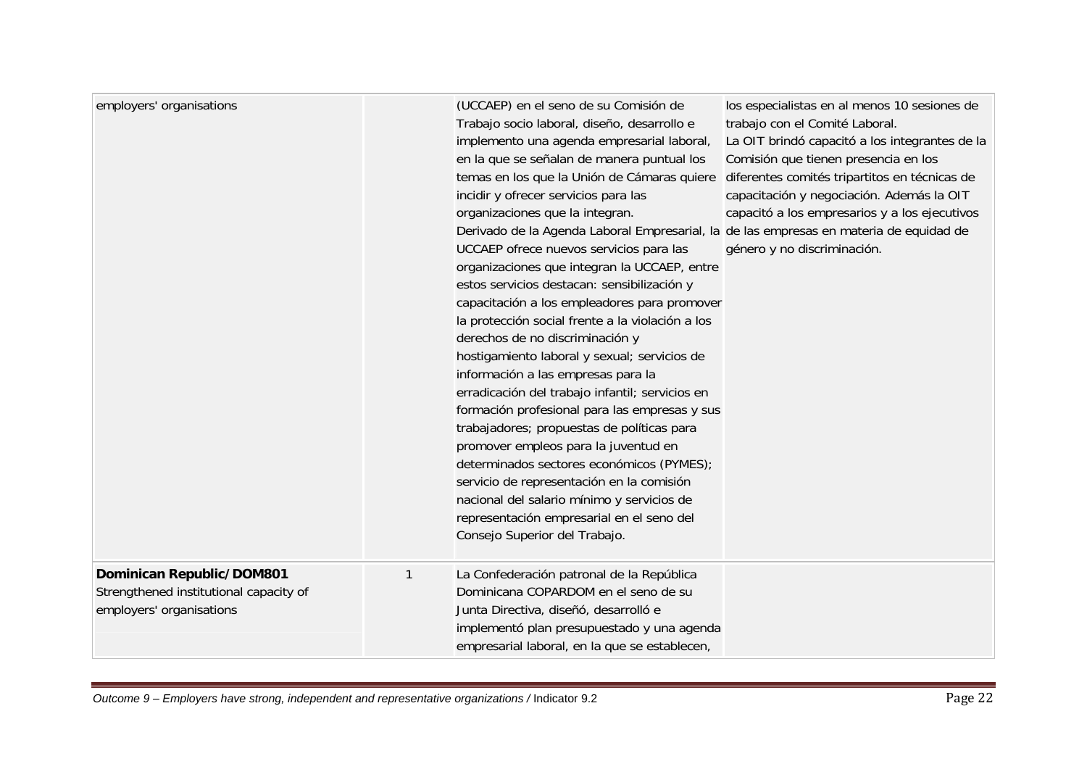| employers' organisations                                                                        |   | (UCCAEP) en el seno de su Comisión de<br>Trabajo socio laboral, diseño, desarrollo e<br>implemento una agenda empresarial laboral,<br>en la que se señalan de manera puntual los<br>temas en los que la Unión de Cámaras quiere<br>incidir y ofrecer servicios para las<br>organizaciones que la integran.<br>Derivado de la Agenda Laboral Empresarial, la de las empresas en materia de equidad de<br>UCCAEP ofrece nuevos servicios para las<br>organizaciones que integran la UCCAEP, entre<br>estos servicios destacan: sensibilización y<br>capacitación a los empleadores para promover<br>la protección social frente a la violación a los<br>derechos de no discriminación y<br>hostigamiento laboral y sexual; servicios de<br>información a las empresas para la<br>erradicación del trabajo infantil; servicios en<br>formación profesional para las empresas y sus<br>trabajadores; propuestas de políticas para<br>promover empleos para la juventud en<br>determinados sectores económicos (PYMES);<br>servicio de representación en la comisión<br>nacional del salario mínimo y servicios de<br>representación empresarial en el seno del<br>Consejo Superior del Trabajo. | los especialistas en al menos 10 sesiones de<br>trabajo con el Comité Laboral.<br>La OIT brindó capacitó a los integrantes de la<br>Comisión que tienen presencia en los<br>diferentes comités tripartitos en técnicas de<br>capacitación y negociación. Además la OIT<br>capacitó a los empresarios y a los ejecutivos<br>género y no discriminación. |
|-------------------------------------------------------------------------------------------------|---|---------------------------------------------------------------------------------------------------------------------------------------------------------------------------------------------------------------------------------------------------------------------------------------------------------------------------------------------------------------------------------------------------------------------------------------------------------------------------------------------------------------------------------------------------------------------------------------------------------------------------------------------------------------------------------------------------------------------------------------------------------------------------------------------------------------------------------------------------------------------------------------------------------------------------------------------------------------------------------------------------------------------------------------------------------------------------------------------------------------------------------------------------------------------------------------------|--------------------------------------------------------------------------------------------------------------------------------------------------------------------------------------------------------------------------------------------------------------------------------------------------------------------------------------------------------|
| Dominican Republic/DOM801<br>Strengthened institutional capacity of<br>employers' organisations | 1 | La Confederación patronal de la República<br>Dominicana COPARDOM en el seno de su<br>Junta Directiva, diseñó, desarrolló e<br>implementó plan presupuestado y una agenda<br>empresarial laboral, en la que se establecen,                                                                                                                                                                                                                                                                                                                                                                                                                                                                                                                                                                                                                                                                                                                                                                                                                                                                                                                                                                   |                                                                                                                                                                                                                                                                                                                                                        |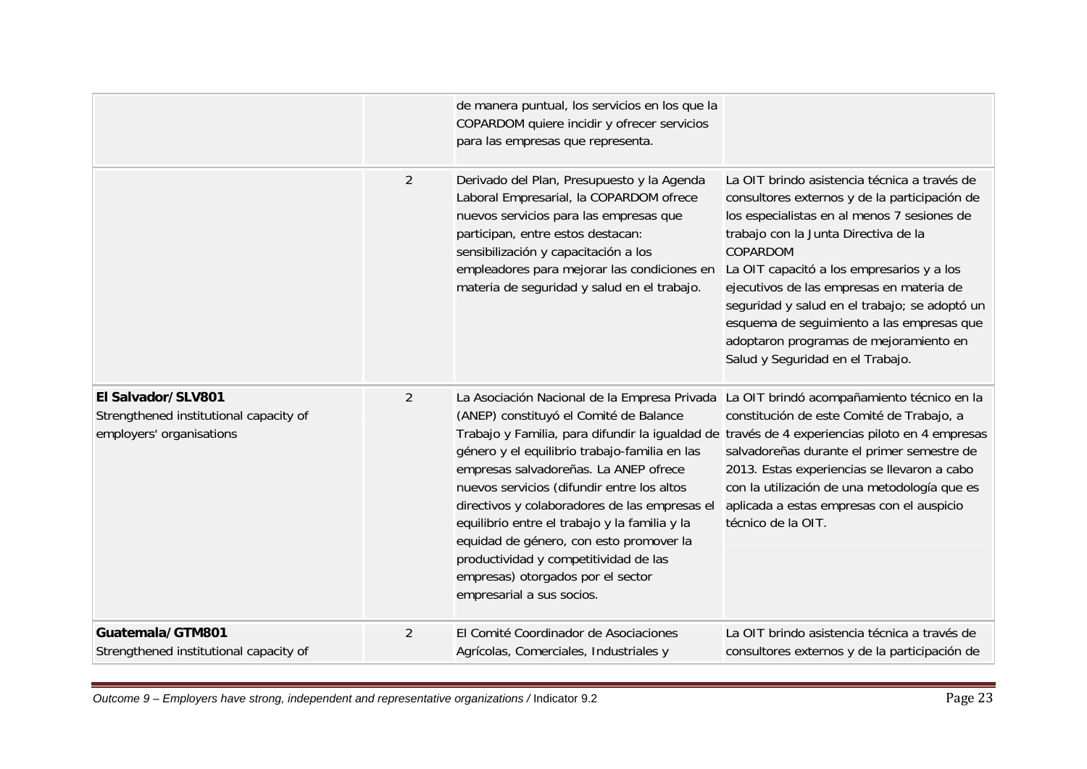|                                                                                          |                | de manera puntual, los servicios en los que la<br>COPARDOM quiere incidir y ofrecer servicios<br>para las empresas que representa.                                                                                                                                                                                                                                                                                                                                                     |                                                                                                                                                                                                                                                                                                                                                                                                                                                                       |
|------------------------------------------------------------------------------------------|----------------|----------------------------------------------------------------------------------------------------------------------------------------------------------------------------------------------------------------------------------------------------------------------------------------------------------------------------------------------------------------------------------------------------------------------------------------------------------------------------------------|-----------------------------------------------------------------------------------------------------------------------------------------------------------------------------------------------------------------------------------------------------------------------------------------------------------------------------------------------------------------------------------------------------------------------------------------------------------------------|
|                                                                                          | $\overline{2}$ | Derivado del Plan, Presupuesto y la Agenda<br>Laboral Empresarial, la COPARDOM ofrece<br>nuevos servicios para las empresas que<br>participan, entre estos destacan:<br>sensibilización y capacitación a los<br>empleadores para mejorar las condiciones en<br>materia de seguridad y salud en el trabajo.                                                                                                                                                                             | La OIT brindo asistencia técnica a través de<br>consultores externos y de la participación de<br>los especialistas en al menos 7 sesiones de<br>trabajo con la Junta Directiva de la<br>COPARDOM<br>La OIT capacitó a los empresarios y a los<br>ejecutivos de las empresas en materia de<br>seguridad y salud en el trabajo; se adoptó un<br>esquema de seguimiento a las empresas que<br>adoptaron programas de mejoramiento en<br>Salud y Seguridad en el Trabajo. |
| El Salvador/SLV801<br>Strengthened institutional capacity of<br>employers' organisations | $\overline{2}$ | La Asociación Nacional de la Empresa Privada<br>(ANEP) constituyó el Comité de Balance<br>género y el equilibrio trabajo-familia en las<br>empresas salvadoreñas. La ANEP ofrece<br>nuevos servicios (difundir entre los altos<br>directivos y colaboradores de las empresas el<br>equilibrio entre el trabajo y la familia y la<br>equidad de género, con esto promover la<br>productividad y competitividad de las<br>empresas) otorgados por el sector<br>empresarial a sus socios. | La OIT brindó acompañamiento técnico en la<br>constitución de este Comité de Trabajo, a<br>Trabajo y Familia, para difundir la igualdad de través de 4 experiencias piloto en 4 empresas<br>salvadoreñas durante el primer semestre de<br>2013. Estas experiencias se llevaron a cabo<br>con la utilización de una metodología que es<br>aplicada a estas empresas con el auspicio<br>técnico de la OIT.                                                              |
| Guatemala/GTM801<br>Strengthened institutional capacity of                               | 2              | El Comité Coordinador de Asociaciones<br>Agrícolas, Comerciales, Industriales y                                                                                                                                                                                                                                                                                                                                                                                                        | La OIT brindo asistencia técnica a través de<br>consultores externos y de la participación de                                                                                                                                                                                                                                                                                                                                                                         |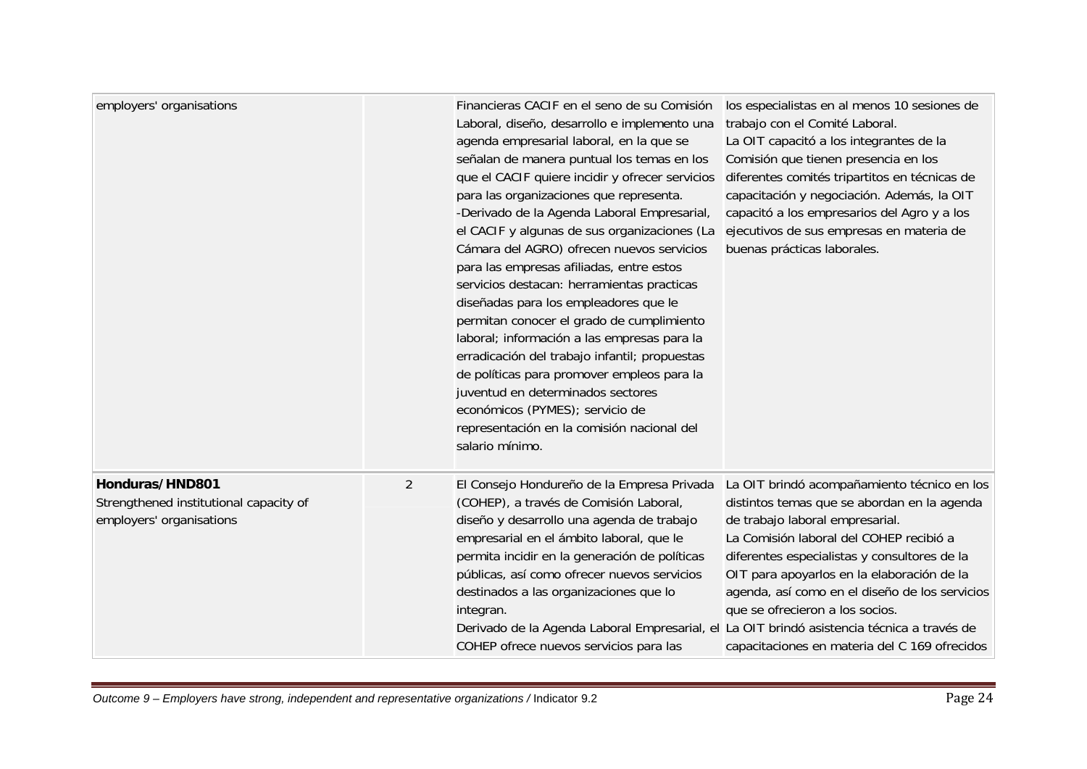| employers' organisations                                                              |                | Financieras CACIF en el seno de su Comisión<br>Laboral, diseño, desarrollo e implemento una<br>agenda empresarial laboral, en la que se<br>señalan de manera puntual los temas en los<br>que el CACIF quiere incidir y ofrecer servicios<br>para las organizaciones que representa.<br>-Derivado de la Agenda Laboral Empresarial,<br>el CACIF y algunas de sus organizaciones (La<br>Cámara del AGRO) ofrecen nuevos servicios<br>para las empresas afiliadas, entre estos<br>servicios destacan: herramientas practicas<br>diseñadas para los empleadores que le<br>permitan conocer el grado de cumplimiento<br>laboral; información a las empresas para la<br>erradicación del trabajo infantil; propuestas<br>de políticas para promover empleos para la<br>juventud en determinados sectores<br>económicos (PYMES); servicio de<br>representación en la comisión nacional del<br>salario mínimo. | los especialistas en al menos 10 sesiones de<br>trabajo con el Comité Laboral.<br>La OIT capacitó a los integrantes de la<br>Comisión que tienen presencia en los<br>diferentes comités tripartitos en técnicas de<br>capacitación y negociación. Además, la OIT<br>capacitó a los empresarios del Agro y a los<br>ejecutivos de sus empresas en materia de<br>buenas prácticas laborales.                   |
|---------------------------------------------------------------------------------------|----------------|--------------------------------------------------------------------------------------------------------------------------------------------------------------------------------------------------------------------------------------------------------------------------------------------------------------------------------------------------------------------------------------------------------------------------------------------------------------------------------------------------------------------------------------------------------------------------------------------------------------------------------------------------------------------------------------------------------------------------------------------------------------------------------------------------------------------------------------------------------------------------------------------------------|--------------------------------------------------------------------------------------------------------------------------------------------------------------------------------------------------------------------------------------------------------------------------------------------------------------------------------------------------------------------------------------------------------------|
| Honduras/HND801<br>Strengthened institutional capacity of<br>employers' organisations | $\overline{2}$ | El Consejo Hondureño de la Empresa Privada<br>(COHEP), a través de Comisión Laboral,<br>diseño y desarrollo una agenda de trabajo<br>empresarial en el ámbito laboral, que le<br>permita incidir en la generación de políticas<br>públicas, así como ofrecer nuevos servicios<br>destinados a las organizaciones que lo<br>integran.<br>Derivado de la Agenda Laboral Empresarial, el La OIT brindó asistencia técnica a través de<br>COHEP ofrece nuevos servicios para las                                                                                                                                                                                                                                                                                                                                                                                                                           | La OIT brindó acompañamiento técnico en los<br>distintos temas que se abordan en la agenda<br>de trabajo laboral empresarial.<br>La Comisión laboral del COHEP recibió a<br>diferentes especialistas y consultores de la<br>OIT para apoyarlos en la elaboración de la<br>agenda, así como en el diseño de los servicios<br>que se ofrecieron a los socios.<br>capacitaciones en materia del C 169 ofrecidos |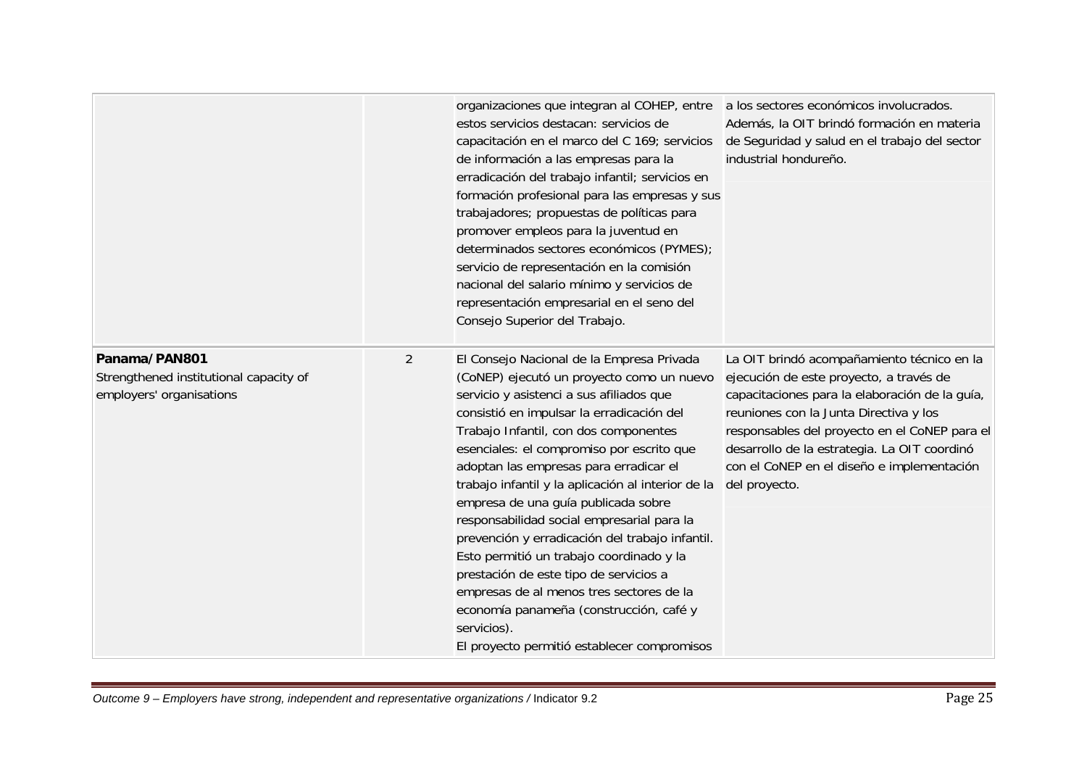|                                                                                     |   | organizaciones que integran al COHEP, entre<br>estos servicios destacan: servicios de<br>capacitación en el marco del C 169; servicios<br>de información a las empresas para la<br>erradicación del trabajo infantil; servicios en<br>formación profesional para las empresas y sus<br>trabajadores; propuestas de políticas para<br>promover empleos para la juventud en<br>determinados sectores económicos (PYMES);<br>servicio de representación en la comisión<br>nacional del salario mínimo y servicios de<br>representación empresarial en el seno del<br>Consejo Superior del Trabajo.                                                                                                                                                          | a los sectores económicos involucrados.<br>Además, la OIT brindó formación en materia<br>de Seguridad y salud en el trabajo del sector<br>industrial hondureño.                                                                                                                                                                                   |
|-------------------------------------------------------------------------------------|---|----------------------------------------------------------------------------------------------------------------------------------------------------------------------------------------------------------------------------------------------------------------------------------------------------------------------------------------------------------------------------------------------------------------------------------------------------------------------------------------------------------------------------------------------------------------------------------------------------------------------------------------------------------------------------------------------------------------------------------------------------------|---------------------------------------------------------------------------------------------------------------------------------------------------------------------------------------------------------------------------------------------------------------------------------------------------------------------------------------------------|
| Panama/PAN801<br>Strengthened institutional capacity of<br>employers' organisations | 2 | El Consejo Nacional de la Empresa Privada<br>(CoNEP) ejecutó un proyecto como un nuevo<br>servicio y asistenci a sus afiliados que<br>consistió en impulsar la erradicación del<br>Trabajo Infantil, con dos componentes<br>esenciales: el compromiso por escrito que<br>adoptan las empresas para erradicar el<br>trabajo infantil y la aplicación al interior de la<br>empresa de una guía publicada sobre<br>responsabilidad social empresarial para la<br>prevención y erradicación del trabajo infantil.<br>Esto permitió un trabajo coordinado y la<br>prestación de este tipo de servicios a<br>empresas de al menos tres sectores de la<br>economía panameña (construcción, café y<br>servicios).<br>El proyecto permitió establecer compromisos | La OIT brindó acompañamiento técnico en la<br>ejecución de este proyecto, a través de<br>capacitaciones para la elaboración de la guía,<br>reuniones con la Junta Directiva y los<br>responsables del proyecto en el CoNEP para el<br>desarrollo de la estrategia. La OIT coordinó<br>con el CoNEP en el diseño e implementación<br>del proyecto. |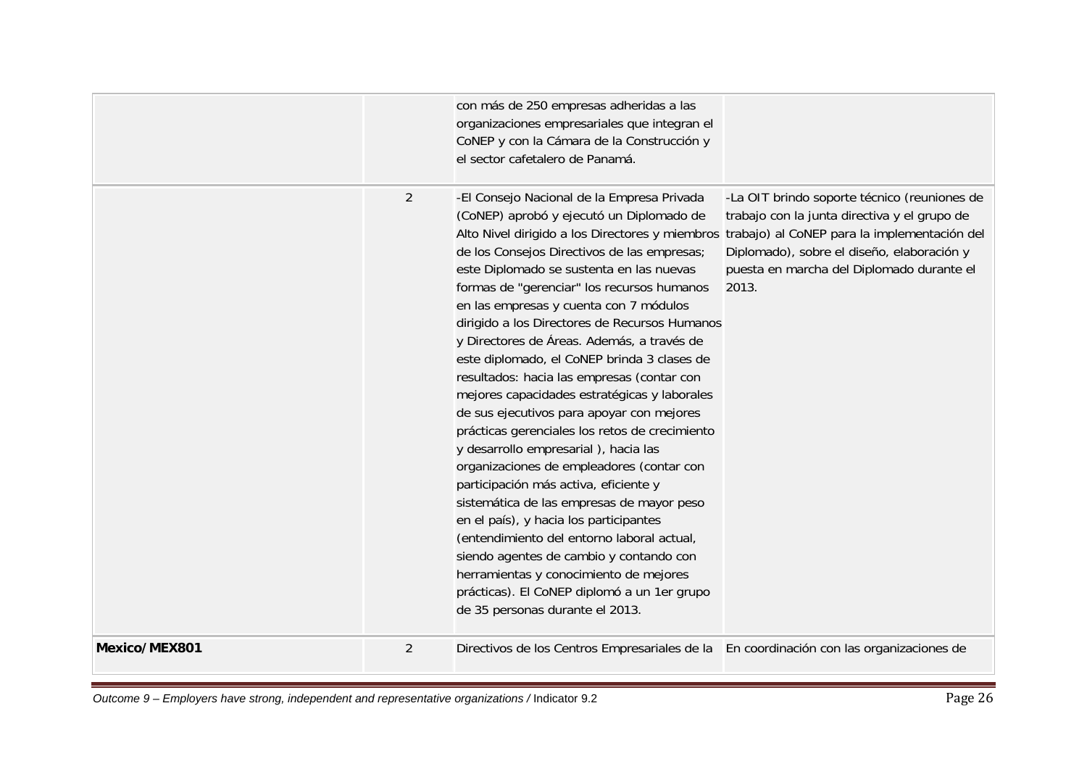|               |                | con más de 250 empresas adheridas a las<br>organizaciones empresariales que integran el<br>CoNEP y con la Cámara de la Construcción y<br>el sector cafetalero de Panamá.                                                                                                                                                                                                                                                                                                                                                                                                                                                                                                                                                                                                                                                                                                                                                                                                                                                                                                                                                                                       |                                                                                                                                                                                                  |
|---------------|----------------|----------------------------------------------------------------------------------------------------------------------------------------------------------------------------------------------------------------------------------------------------------------------------------------------------------------------------------------------------------------------------------------------------------------------------------------------------------------------------------------------------------------------------------------------------------------------------------------------------------------------------------------------------------------------------------------------------------------------------------------------------------------------------------------------------------------------------------------------------------------------------------------------------------------------------------------------------------------------------------------------------------------------------------------------------------------------------------------------------------------------------------------------------------------|--------------------------------------------------------------------------------------------------------------------------------------------------------------------------------------------------|
|               | $\overline{2}$ | -El Consejo Nacional de la Empresa Privada<br>(CoNEP) aprobó y ejecutó un Diplomado de<br>Alto Nivel dirigido a los Directores y miembros trabajo) al CoNEP para la implementación del<br>de los Consejos Directivos de las empresas;<br>este Diplomado se sustenta en las nuevas<br>formas de "gerenciar" los recursos humanos<br>en las empresas y cuenta con 7 módulos<br>dirigido a los Directores de Recursos Humanos<br>y Directores de Áreas. Además, a través de<br>este diplomado, el CoNEP brinda 3 clases de<br>resultados: hacia las empresas (contar con<br>mejores capacidades estratégicas y laborales<br>de sus ejecutivos para apoyar con mejores<br>prácticas gerenciales los retos de crecimiento<br>y desarrollo empresarial), hacia las<br>organizaciones de empleadores (contar con<br>participación más activa, eficiente y<br>sistemática de las empresas de mayor peso<br>en el país), y hacia los participantes<br>(entendimiento del entorno laboral actual,<br>siendo agentes de cambio y contando con<br>herramientas y conocimiento de mejores<br>prácticas). El CoNEP diplomó a un 1er grupo<br>de 35 personas durante el 2013. | -La OIT brindo soporte técnico (reuniones de<br>trabajo con la junta directiva y el grupo de<br>Diplomado), sobre el diseño, elaboración y<br>puesta en marcha del Diplomado durante el<br>2013. |
| Mexico/MEX801 | $\overline{2}$ | Directivos de los Centros Empresariales de la En coordinación con las organizaciones de                                                                                                                                                                                                                                                                                                                                                                                                                                                                                                                                                                                                                                                                                                                                                                                                                                                                                                                                                                                                                                                                        |                                                                                                                                                                                                  |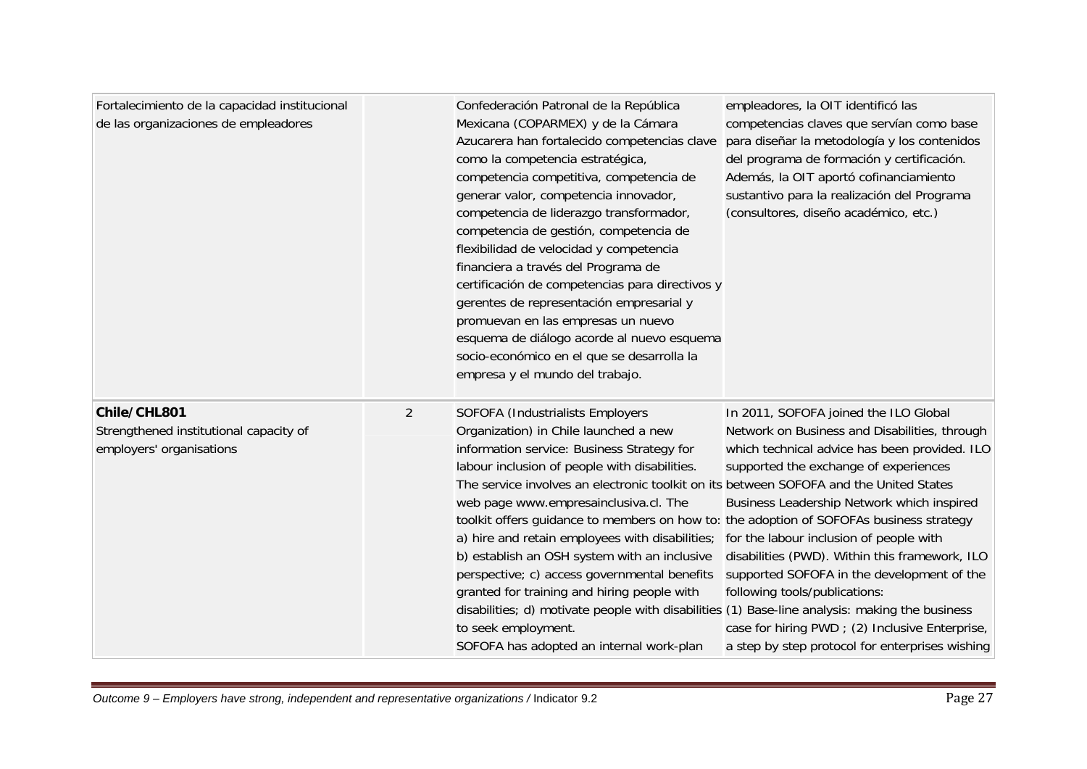| Fortalecimiento de la capacidad institucional<br>de las organizaciones de empleadores |                | Confederación Patronal de la República<br>Mexicana (COPARMEX) y de la Cámara<br>Azucarera han fortalecido competencias clave<br>como la competencia estratégica,<br>competencia competitiva, competencia de<br>generar valor, competencia innovador,<br>competencia de liderazgo transformador,<br>competencia de gestión, competencia de<br>flexibilidad de velocidad y competencia<br>financiera a través del Programa de<br>certificación de competencias para directivos y<br>gerentes de representación empresarial y<br>promuevan en las empresas un nuevo<br>esquema de diálogo acorde al nuevo esquema<br>socio-económico en el que se desarrolla la<br>empresa y el mundo del trabajo.                                                                               | empleadores, la OIT identificó las<br>competencias claves que servían como base<br>para diseñar la metodología y los contenidos<br>del programa de formación y certificación.<br>Además, la OIT aportó cofinanciamiento<br>sustantivo para la realización del Programa<br>(consultores, diseño académico, etc.)                                                                                                                                                                                                  |
|---------------------------------------------------------------------------------------|----------------|-------------------------------------------------------------------------------------------------------------------------------------------------------------------------------------------------------------------------------------------------------------------------------------------------------------------------------------------------------------------------------------------------------------------------------------------------------------------------------------------------------------------------------------------------------------------------------------------------------------------------------------------------------------------------------------------------------------------------------------------------------------------------------|------------------------------------------------------------------------------------------------------------------------------------------------------------------------------------------------------------------------------------------------------------------------------------------------------------------------------------------------------------------------------------------------------------------------------------------------------------------------------------------------------------------|
| Chile/CHL801<br>Strengthened institutional capacity of<br>employers' organisations    | $\overline{2}$ | SOFOFA (Industrialists Employers<br>Organization) in Chile launched a new<br>information service: Business Strategy for<br>labour inclusion of people with disabilities.<br>The service involves an electronic toolkit on its between SOFOFA and the United States<br>web page www.empresainclusiva.cl. The<br>toolkit offers guidance to members on how to: the adoption of SOFOFAs business strategy<br>a) hire and retain employees with disabilities;<br>b) establish an OSH system with an inclusive<br>perspective; c) access governmental benefits<br>granted for training and hiring people with<br>disabilities; d) motivate people with disabilities (1) Base-line analysis: making the business<br>to seek employment.<br>SOFOFA has adopted an internal work-plan | In 2011, SOFOFA joined the ILO Global<br>Network on Business and Disabilities, through<br>which technical advice has been provided. ILO<br>supported the exchange of experiences<br>Business Leadership Network which inspired<br>for the labour inclusion of people with<br>disabilities (PWD). Within this framework, ILO<br>supported SOFOFA in the development of the<br>following tools/publications:<br>case for hiring PWD ; (2) Inclusive Enterprise,<br>a step by step protocol for enterprises wishing |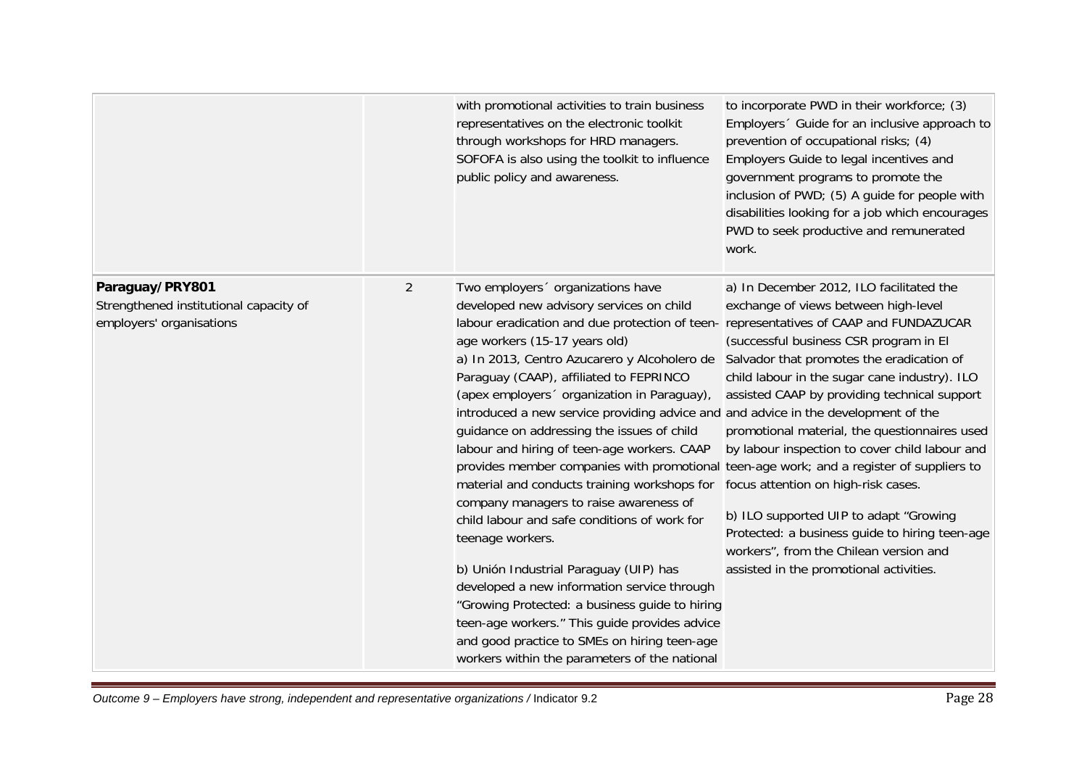|                                                                                       |                | with promotional activities to train business<br>representatives on the electronic toolkit<br>through workshops for HRD managers.<br>SOFOFA is also using the toolkit to influence<br>public policy and awareness.                                                                                                                                                                                                                                                                                                                                                                                                                                                                                                                                                                                                                                                                                                                                                                                                                                                                          | to incorporate PWD in their workforce; (3)<br>Employers <sup>o</sup> Guide for an inclusive approach to<br>prevention of occupational risks; (4)<br>Employers Guide to legal incentives and<br>government programs to promote the<br>inclusion of PWD; (5) A guide for people with<br>disabilities looking for a job which encourages<br>PWD to seek productive and remunerated<br>work.                                                                                                                                                                                                            |
|---------------------------------------------------------------------------------------|----------------|---------------------------------------------------------------------------------------------------------------------------------------------------------------------------------------------------------------------------------------------------------------------------------------------------------------------------------------------------------------------------------------------------------------------------------------------------------------------------------------------------------------------------------------------------------------------------------------------------------------------------------------------------------------------------------------------------------------------------------------------------------------------------------------------------------------------------------------------------------------------------------------------------------------------------------------------------------------------------------------------------------------------------------------------------------------------------------------------|-----------------------------------------------------------------------------------------------------------------------------------------------------------------------------------------------------------------------------------------------------------------------------------------------------------------------------------------------------------------------------------------------------------------------------------------------------------------------------------------------------------------------------------------------------------------------------------------------------|
| Paraguay/PRY801<br>Strengthened institutional capacity of<br>employers' organisations | $\overline{2}$ | Two employers ' organizations have<br>developed new advisory services on child<br>labour eradication and due protection of teen- representatives of CAAP and FUNDAZUCAR<br>age workers (15-17 years old)<br>a) In 2013, Centro Azucarero y Alcoholero de<br>Paraguay (CAAP), affiliated to FEPRINCO<br>(apex employers organization in Paraguay),<br>introduced a new service providing advice and and advice in the development of the<br>guidance on addressing the issues of child<br>labour and hiring of teen-age workers. CAAP<br>provides member companies with promotional teen-age work; and a register of suppliers to<br>material and conducts training workshops for<br>company managers to raise awareness of<br>child labour and safe conditions of work for<br>teenage workers.<br>b) Unión Industrial Paraguay (UIP) has<br>developed a new information service through<br>"Growing Protected: a business guide to hiring<br>teen-age workers." This guide provides advice<br>and good practice to SMEs on hiring teen-age<br>workers within the parameters of the national | a) In December 2012, ILO facilitated the<br>exchange of views between high-level<br>(successful business CSR program in El<br>Salvador that promotes the eradication of<br>child labour in the sugar cane industry). ILO<br>assisted CAAP by providing technical support<br>promotional material, the questionnaires used<br>by labour inspection to cover child labour and<br>focus attention on high-risk cases.<br>b) ILO supported UIP to adapt "Growing<br>Protected: a business guide to hiring teen-age<br>workers", from the Chilean version and<br>assisted in the promotional activities. |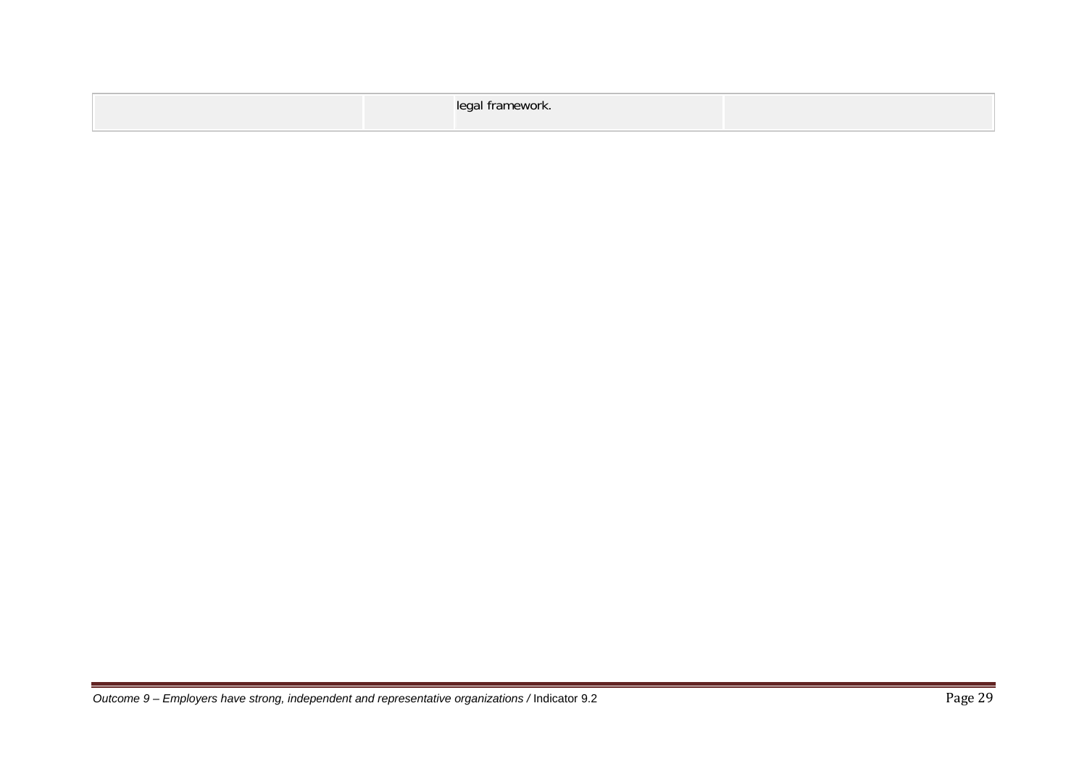| legal framework.<br>$\sim$ |
|----------------------------|
|----------------------------|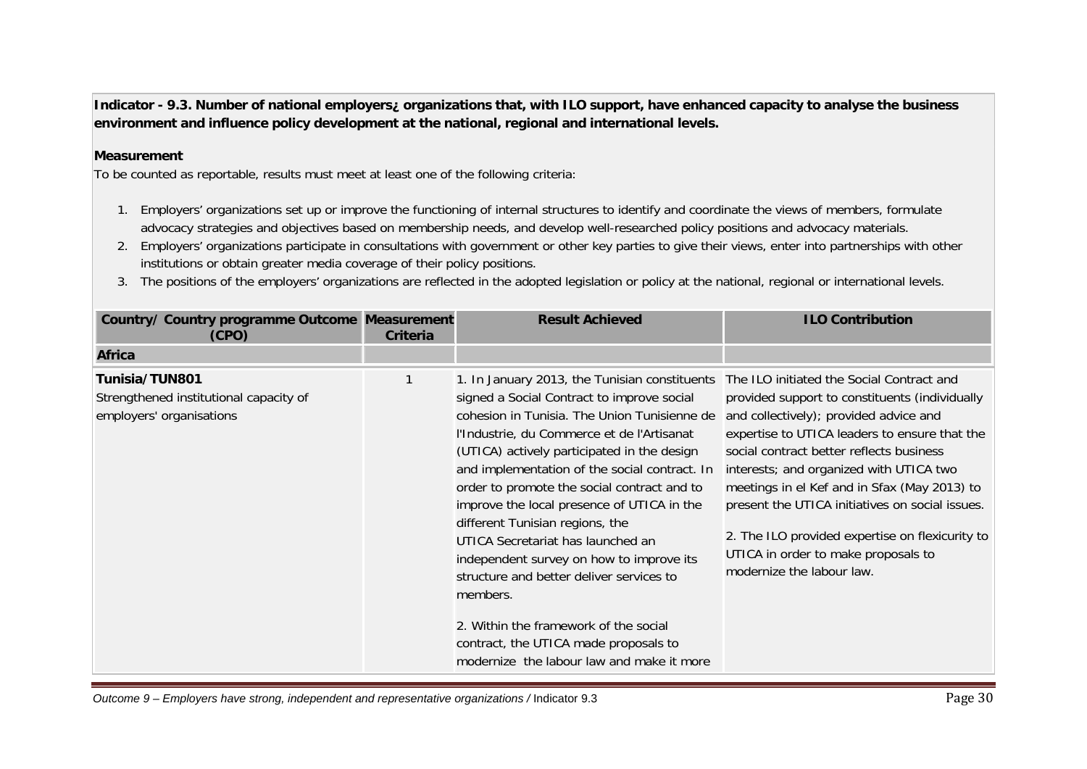**Indicator - 9.3. Number of national employers¿ organizations that, with ILO support, have enhanced capacity to analyse the business environment and influence policy development at the national, regional and international levels.** 

### **Measurement**

To be counted as reportable, results must meet at least one of the following criteria:

- 1. Employers' organizations set up or improve the functioning of internal structures to identify and coordinate the views of members, formulate advocacy strategies and objectives based on membership needs, and develop well-researched policy positions and advocacy materials.
- 2. Employers' organizations participate in consultations with government or other key parties to give their views, enter into partnerships with other institutions or obtain greater media coverage of their policy positions.
- 3. The positions of the employers' organizations are reflected in the adopted legislation or policy at the national, regional or international levels.

| Country/ Country programme Outcome Measurement<br>(CPO)                              | Criteria | <b>Result Achieved</b>                                                                                                                                                                                                                                                                                                                                                                                                                                                                                                                                                                                                                                                                                                                      | <b>ILO Contribution</b>                                                                                                                                                                                                                                                                                                                                                                                                                                    |
|--------------------------------------------------------------------------------------|----------|---------------------------------------------------------------------------------------------------------------------------------------------------------------------------------------------------------------------------------------------------------------------------------------------------------------------------------------------------------------------------------------------------------------------------------------------------------------------------------------------------------------------------------------------------------------------------------------------------------------------------------------------------------------------------------------------------------------------------------------------|------------------------------------------------------------------------------------------------------------------------------------------------------------------------------------------------------------------------------------------------------------------------------------------------------------------------------------------------------------------------------------------------------------------------------------------------------------|
| <b>Africa</b>                                                                        |          |                                                                                                                                                                                                                                                                                                                                                                                                                                                                                                                                                                                                                                                                                                                                             |                                                                                                                                                                                                                                                                                                                                                                                                                                                            |
| Tunisia/TUN801<br>Strengthened institutional capacity of<br>employers' organisations |          | 1. In January 2013, the Tunisian constituents The ILO initiated the Social Contract and<br>signed a Social Contract to improve social<br>cohesion in Tunisia. The Union Tunisienne de<br>l'Industrie, du Commerce et de l'Artisanat<br>(UTICA) actively participated in the design<br>and implementation of the social contract. In<br>order to promote the social contract and to<br>improve the local presence of UTICA in the<br>different Tunisian regions, the<br>UTICA Secretariat has launched an<br>independent survey on how to improve its<br>structure and better deliver services to<br>members.<br>2. Within the framework of the social<br>contract, the UTICA made proposals to<br>modernize the labour law and make it more | provided support to constituents (individually<br>and collectively); provided advice and<br>expertise to UTICA leaders to ensure that the<br>social contract better reflects business<br>interests; and organized with UTICA two<br>meetings in el Kef and in Sfax (May 2013) to<br>present the UTICA initiatives on social issues.<br>2. The ILO provided expertise on flexicurity to<br>UTICA in order to make proposals to<br>modernize the labour law. |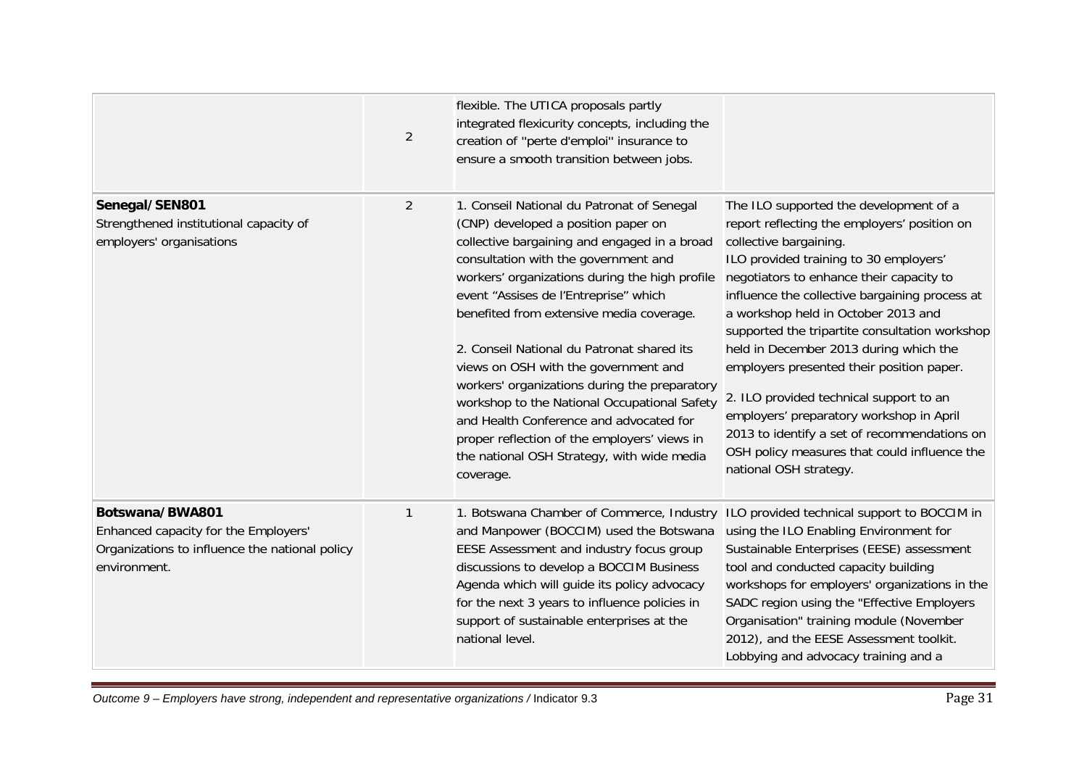|                                                                                                                           | $\overline{2}$ | flexible. The UTICA proposals partly<br>integrated flexicurity concepts, including the<br>creation of "perte d'emploi" insurance to<br>ensure a smooth transition between jobs.                                                                                                                                                                                                                                                                                                                                                                                                                                                                               |                                                                                                                                                                                                                                                                                                                                                                                                                                                                                                                                                                                                                                                           |
|---------------------------------------------------------------------------------------------------------------------------|----------------|---------------------------------------------------------------------------------------------------------------------------------------------------------------------------------------------------------------------------------------------------------------------------------------------------------------------------------------------------------------------------------------------------------------------------------------------------------------------------------------------------------------------------------------------------------------------------------------------------------------------------------------------------------------|-----------------------------------------------------------------------------------------------------------------------------------------------------------------------------------------------------------------------------------------------------------------------------------------------------------------------------------------------------------------------------------------------------------------------------------------------------------------------------------------------------------------------------------------------------------------------------------------------------------------------------------------------------------|
| Senegal/SEN801<br>Strengthened institutional capacity of<br>employers' organisations                                      | $\overline{2}$ | 1. Conseil National du Patronat of Senegal<br>(CNP) developed a position paper on<br>collective bargaining and engaged in a broad<br>consultation with the government and<br>workers' organizations during the high profile<br>event "Assises de l'Entreprise" which<br>benefited from extensive media coverage.<br>2. Conseil National du Patronat shared its<br>views on OSH with the government and<br>workers' organizations during the preparatory<br>workshop to the National Occupational Safety<br>and Health Conference and advocated for<br>proper reflection of the employers' views in<br>the national OSH Strategy, with wide media<br>coverage. | The ILO supported the development of a<br>report reflecting the employers' position on<br>collective bargaining.<br>ILO provided training to 30 employers'<br>negotiators to enhance their capacity to<br>influence the collective bargaining process at<br>a workshop held in October 2013 and<br>supported the tripartite consultation workshop<br>held in December 2013 during which the<br>employers presented their position paper.<br>2. ILO provided technical support to an<br>employers' preparatory workshop in April<br>2013 to identify a set of recommendations on<br>OSH policy measures that could influence the<br>national OSH strategy. |
| Botswana/BWA801<br>Enhanced capacity for the Employers'<br>Organizations to influence the national policy<br>environment. | $\mathbf{1}$   | 1. Botswana Chamber of Commerce, Industry<br>and Manpower (BOCCIM) used the Botswana<br>EESE Assessment and industry focus group<br>discussions to develop a BOCCIM Business<br>Agenda which will guide its policy advocacy<br>for the next 3 years to influence policies in<br>support of sustainable enterprises at the<br>national level.                                                                                                                                                                                                                                                                                                                  | ILO provided technical support to BOCCIM in<br>using the ILO Enabling Environment for<br>Sustainable Enterprises (EESE) assessment<br>tool and conducted capacity building<br>workshops for employers' organizations in the<br>SADC region using the "Effective Employers<br>Organisation" training module (November<br>2012), and the EESE Assessment toolkit.<br>Lobbying and advocacy training and a                                                                                                                                                                                                                                                   |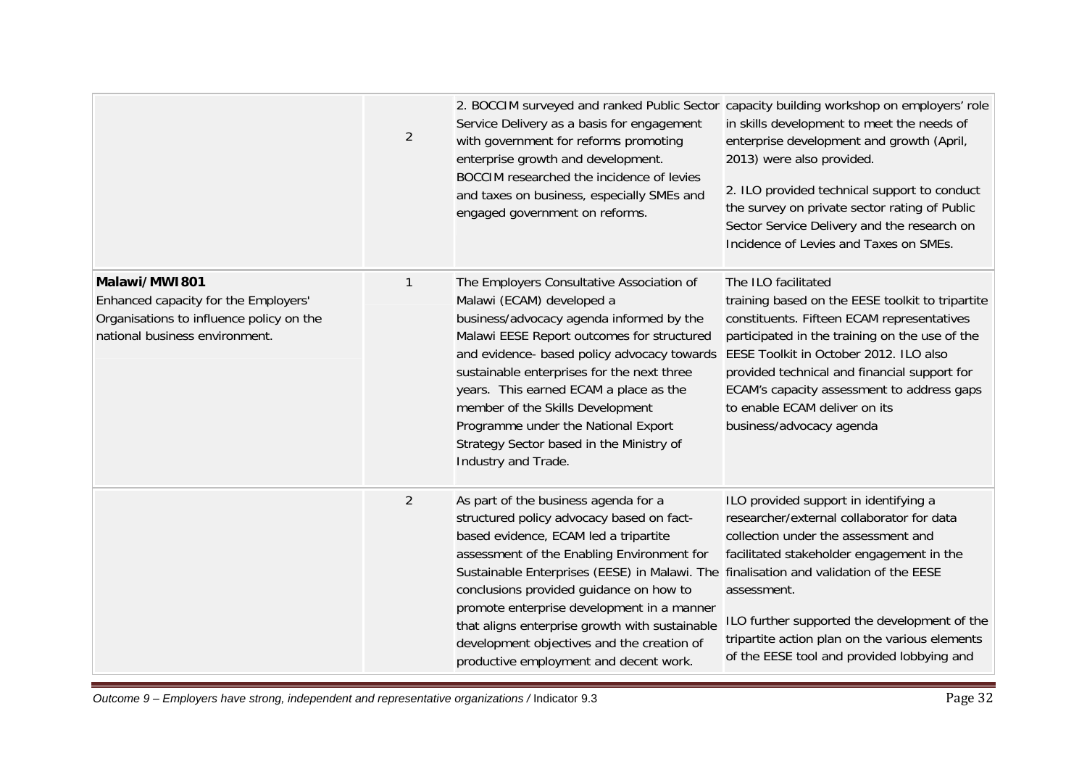|                                                                                                                                     | $\overline{2}$ | Service Delivery as a basis for engagement<br>with government for reforms promoting<br>enterprise growth and development.<br>BOCCIM researched the incidence of levies<br>and taxes on business, especially SMEs and<br>engaged government on reforms.                                                                                                                                                                                                                                               | 2. BOCCIM surveyed and ranked Public Sector capacity building workshop on employers' role<br>in skills development to meet the needs of<br>enterprise development and growth (April,<br>2013) were also provided.<br>2. ILO provided technical support to conduct<br>the survey on private sector rating of Public<br>Sector Service Delivery and the research on<br>Incidence of Levies and Taxes on SMEs. |
|-------------------------------------------------------------------------------------------------------------------------------------|----------------|------------------------------------------------------------------------------------------------------------------------------------------------------------------------------------------------------------------------------------------------------------------------------------------------------------------------------------------------------------------------------------------------------------------------------------------------------------------------------------------------------|-------------------------------------------------------------------------------------------------------------------------------------------------------------------------------------------------------------------------------------------------------------------------------------------------------------------------------------------------------------------------------------------------------------|
| Malawi/MW1801<br>Enhanced capacity for the Employers'<br>Organisations to influence policy on the<br>national business environment. | $\mathbf{1}$   | The Employers Consultative Association of<br>Malawi (ECAM) developed a<br>business/advocacy agenda informed by the<br>Malawi EESE Report outcomes for structured<br>and evidence- based policy advocacy towards<br>sustainable enterprises for the next three<br>years. This earned ECAM a place as the<br>member of the Skills Development<br>Programme under the National Export<br>Strategy Sector based in the Ministry of<br>Industry and Trade.                                                | The ILO facilitated<br>training based on the EESE toolkit to tripartite<br>constituents. Fifteen ECAM representatives<br>participated in the training on the use of the<br>EESE Toolkit in October 2012. ILO also<br>provided technical and financial support for<br>ECAM's capacity assessment to address gaps<br>to enable ECAM deliver on its<br>business/advocacy agenda                                |
|                                                                                                                                     | 2              | As part of the business agenda for a<br>structured policy advocacy based on fact-<br>based evidence, ECAM led a tripartite<br>assessment of the Enabling Environment for<br>Sustainable Enterprises (EESE) in Malawi. The finalisation and validation of the EESE<br>conclusions provided guidance on how to<br>promote enterprise development in a manner<br>that aligns enterprise growth with sustainable<br>development objectives and the creation of<br>productive employment and decent work. | ILO provided support in identifying a<br>researcher/external collaborator for data<br>collection under the assessment and<br>facilitated stakeholder engagement in the<br>assessment.<br>ILO further supported the development of the<br>tripartite action plan on the various elements<br>of the EESE tool and provided lobbying and                                                                       |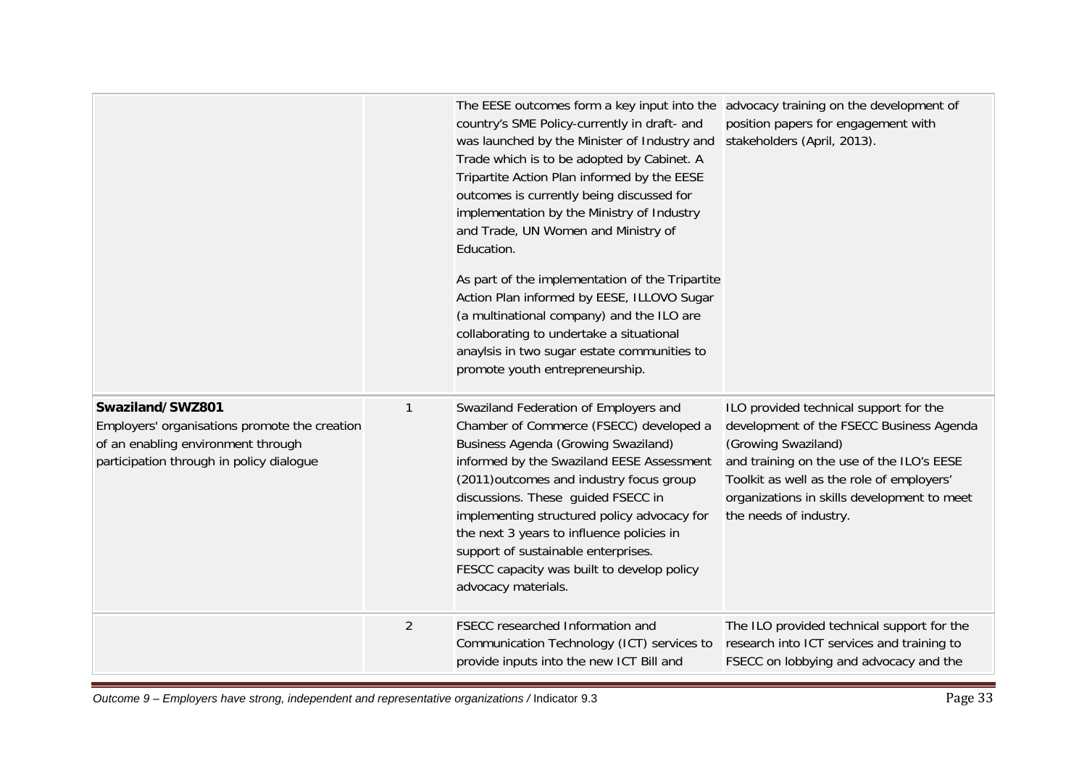|                                                                                                                                                     |                | The EESE outcomes form a key input into the advocacy training on the development of<br>country's SME Policy-currently in draft- and<br>was launched by the Minister of Industry and<br>Trade which is to be adopted by Cabinet. A<br>Tripartite Action Plan informed by the EESE<br>outcomes is currently being discussed for<br>implementation by the Ministry of Industry<br>and Trade, UN Women and Ministry of<br>Education.<br>As part of the implementation of the Tripartite<br>Action Plan informed by EESE, ILLOVO Sugar<br>(a multinational company) and the ILO are<br>collaborating to undertake a situational<br>anaylsis in two sugar estate communities to<br>promote youth entrepreneurship. | position papers for engagement with<br>stakeholders (April, 2013).                                                                                                                                                                                                           |
|-----------------------------------------------------------------------------------------------------------------------------------------------------|----------------|--------------------------------------------------------------------------------------------------------------------------------------------------------------------------------------------------------------------------------------------------------------------------------------------------------------------------------------------------------------------------------------------------------------------------------------------------------------------------------------------------------------------------------------------------------------------------------------------------------------------------------------------------------------------------------------------------------------|------------------------------------------------------------------------------------------------------------------------------------------------------------------------------------------------------------------------------------------------------------------------------|
| Swaziland/SWZ801<br>Employers' organisations promote the creation<br>of an enabling environment through<br>participation through in policy dialogue | $\mathbf{1}$   | Swaziland Federation of Employers and<br>Chamber of Commerce (FSECC) developed a<br><b>Business Agenda (Growing Swaziland)</b><br>informed by the Swaziland EESE Assessment<br>(2011) outcomes and industry focus group<br>discussions. These guided FSECC in<br>implementing structured policy advocacy for<br>the next 3 years to influence policies in<br>support of sustainable enterprises.<br>FESCC capacity was built to develop policy<br>advocacy materials.                                                                                                                                                                                                                                        | ILO provided technical support for the<br>development of the FSECC Business Agenda<br>(Growing Swaziland)<br>and training on the use of the ILO's EESE<br>Toolkit as well as the role of employers'<br>organizations in skills development to meet<br>the needs of industry. |
|                                                                                                                                                     | $\overline{2}$ | FSECC researched Information and<br>Communication Technology (ICT) services to<br>provide inputs into the new ICT Bill and                                                                                                                                                                                                                                                                                                                                                                                                                                                                                                                                                                                   | The ILO provided technical support for the<br>research into ICT services and training to<br>FSECC on lobbying and advocacy and the                                                                                                                                           |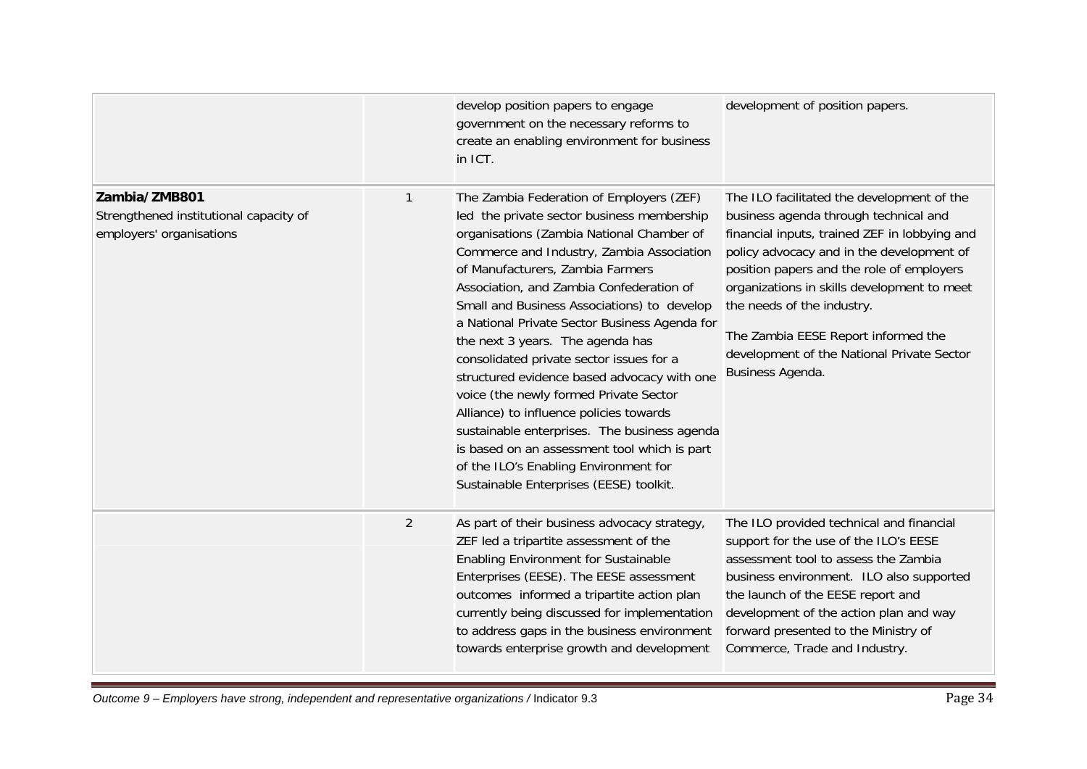|                                                                                     |                | develop position papers to engage<br>government on the necessary reforms to<br>create an enabling environment for business<br>in ICT.                                                                                                                                                                                                                                                                                                                                                                                                                                                                                                                                                                                                                                    | development of position papers.                                                                                                                                                                                                                                                                                                                                                                                      |
|-------------------------------------------------------------------------------------|----------------|--------------------------------------------------------------------------------------------------------------------------------------------------------------------------------------------------------------------------------------------------------------------------------------------------------------------------------------------------------------------------------------------------------------------------------------------------------------------------------------------------------------------------------------------------------------------------------------------------------------------------------------------------------------------------------------------------------------------------------------------------------------------------|----------------------------------------------------------------------------------------------------------------------------------------------------------------------------------------------------------------------------------------------------------------------------------------------------------------------------------------------------------------------------------------------------------------------|
| Zambia/ZMB801<br>Strengthened institutional capacity of<br>employers' organisations | 1              | The Zambia Federation of Employers (ZEF)<br>led the private sector business membership<br>organisations (Zambia National Chamber of<br>Commerce and Industry, Zambia Association<br>of Manufacturers, Zambia Farmers<br>Association, and Zambia Confederation of<br>Small and Business Associations) to develop<br>a National Private Sector Business Agenda for<br>the next 3 years. The agenda has<br>consolidated private sector issues for a<br>structured evidence based advocacy with one<br>voice (the newly formed Private Sector<br>Alliance) to influence policies towards<br>sustainable enterprises. The business agenda<br>is based on an assessment tool which is part<br>of the ILO's Enabling Environment for<br>Sustainable Enterprises (EESE) toolkit. | The ILO facilitated the development of the<br>business agenda through technical and<br>financial inputs, trained ZEF in lobbying and<br>policy advocacy and in the development of<br>position papers and the role of employers<br>organizations in skills development to meet<br>the needs of the industry.<br>The Zambia EESE Report informed the<br>development of the National Private Sector<br>Business Agenda. |
|                                                                                     | $\overline{2}$ | As part of their business advocacy strategy,<br>ZEF led a tripartite assessment of the<br>Enabling Environment for Sustainable<br>Enterprises (EESE). The EESE assessment<br>outcomes informed a tripartite action plan<br>currently being discussed for implementation<br>to address gaps in the business environment<br>towards enterprise growth and development                                                                                                                                                                                                                                                                                                                                                                                                      | The ILO provided technical and financial<br>support for the use of the ILO's EESE<br>assessment tool to assess the Zambia<br>business environment. ILO also supported<br>the launch of the EESE report and<br>development of the action plan and way<br>forward presented to the Ministry of<br>Commerce, Trade and Industry.                                                                                        |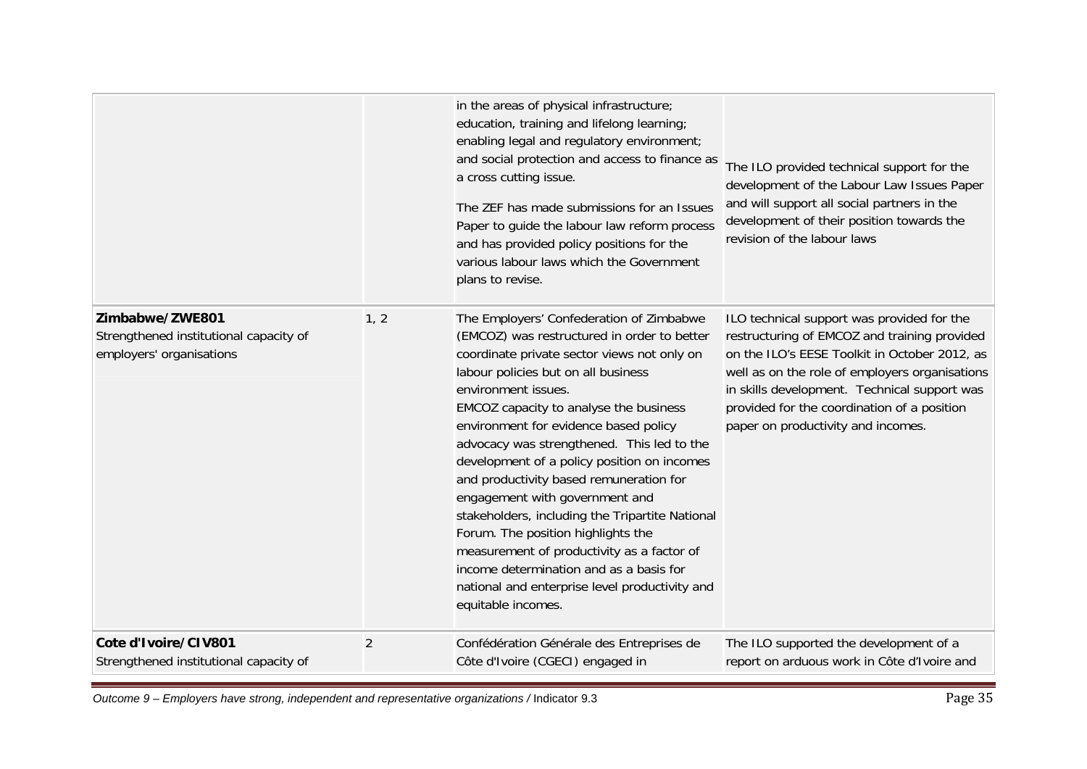|                                                                                       |                | in the areas of physical infrastructure;<br>education, training and lifelong learning;<br>enabling legal and regulatory environment;<br>and social protection and access to finance as<br>a cross cutting issue.<br>The ZEF has made submissions for an Issues<br>Paper to guide the labour law reform process<br>and has provided policy positions for the<br>various labour laws which the Government<br>plans to revise.                                                                                                                                                                                                                                                                                                 | The ILO provided technical support for the<br>development of the Labour Law Issues Paper<br>and will support all social partners in the<br>development of their position towards the<br>revision of the labour laws                                                                                                                |
|---------------------------------------------------------------------------------------|----------------|-----------------------------------------------------------------------------------------------------------------------------------------------------------------------------------------------------------------------------------------------------------------------------------------------------------------------------------------------------------------------------------------------------------------------------------------------------------------------------------------------------------------------------------------------------------------------------------------------------------------------------------------------------------------------------------------------------------------------------|------------------------------------------------------------------------------------------------------------------------------------------------------------------------------------------------------------------------------------------------------------------------------------------------------------------------------------|
| Zimbabwe/ZWE801<br>Strengthened institutional capacity of<br>employers' organisations | 1, 2           | The Employers' Confederation of Zimbabwe<br>(EMCOZ) was restructured in order to better<br>coordinate private sector views not only on<br>labour policies but on all business<br>environment issues.<br>EMCOZ capacity to analyse the business<br>environment for evidence based policy<br>advocacy was strengthened. This led to the<br>development of a policy position on incomes<br>and productivity based remuneration for<br>engagement with government and<br>stakeholders, including the Tripartite National<br>Forum. The position highlights the<br>measurement of productivity as a factor of<br>income determination and as a basis for<br>national and enterprise level productivity and<br>equitable incomes. | ILO technical support was provided for the<br>restructuring of EMCOZ and training provided<br>on the ILO's EESE Toolkit in October 2012, as<br>well as on the role of employers organisations<br>in skills development. Technical support was<br>provided for the coordination of a position<br>paper on productivity and incomes. |
| Cote d'Ivoire/CIV801<br>Strengthened institutional capacity of                        | $\overline{2}$ | Confédération Générale des Entreprises de<br>Côte d'Ivoire (CGECI) engaged in                                                                                                                                                                                                                                                                                                                                                                                                                                                                                                                                                                                                                                               | The ILO supported the development of a<br>report on arduous work in Côte d'Ivoire and                                                                                                                                                                                                                                              |

*Outcome 9 – Employers have strong, independent and representative organizations /* Indicator 9.3 Page 35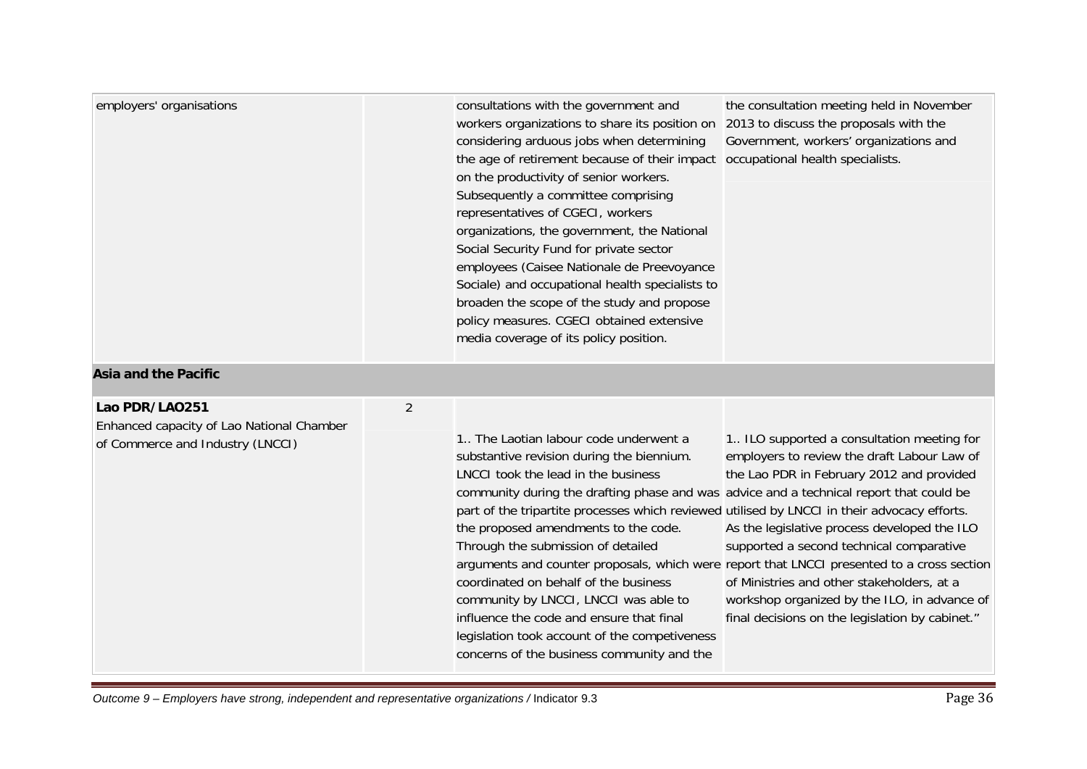| employers' organisations                                                                        |                | consultations with the government and<br>workers organizations to share its position on<br>considering arduous jobs when determining<br>the age of retirement because of their impact<br>on the productivity of senior workers.<br>Subsequently a committee comprising<br>representatives of CGECI, workers<br>organizations, the government, the National<br>Social Security Fund for private sector<br>employees (Caisee Nationale de Preevoyance<br>Sociale) and occupational health specialists to<br>broaden the scope of the study and propose<br>policy measures. CGECI obtained extensive<br>media coverage of its policy position. | the consultation meeting held in November<br>2013 to discuss the proposals with the<br>Government, workers' organizations and<br>occupational health specialists.                                                                                                                                                                                                                                                                                                                  |
|-------------------------------------------------------------------------------------------------|----------------|---------------------------------------------------------------------------------------------------------------------------------------------------------------------------------------------------------------------------------------------------------------------------------------------------------------------------------------------------------------------------------------------------------------------------------------------------------------------------------------------------------------------------------------------------------------------------------------------------------------------------------------------|------------------------------------------------------------------------------------------------------------------------------------------------------------------------------------------------------------------------------------------------------------------------------------------------------------------------------------------------------------------------------------------------------------------------------------------------------------------------------------|
| <b>Asia and the Pacific</b>                                                                     |                |                                                                                                                                                                                                                                                                                                                                                                                                                                                                                                                                                                                                                                             |                                                                                                                                                                                                                                                                                                                                                                                                                                                                                    |
| Lao PDR/LA0251<br>Enhanced capacity of Lao National Chamber<br>of Commerce and Industry (LNCCI) | $\overline{2}$ | 1. The Laotian labour code underwent a<br>substantive revision during the biennium.<br>LNCCI took the lead in the business<br>community during the drafting phase and was advice and a technical report that could be<br>part of the tripartite processes which reviewed utilised by LNCCI in their advocacy efforts.<br>the proposed amendments to the code.<br>Through the submission of detailed<br>coordinated on behalf of the business<br>community by LNCCI, LNCCI was able to<br>influence the code and ensure that final<br>legislation took account of the competiveness<br>concerns of the business community and the            | 1. ILO supported a consultation meeting for<br>employers to review the draft Labour Law of<br>the Lao PDR in February 2012 and provided<br>As the legislative process developed the ILO<br>supported a second technical comparative<br>arguments and counter proposals, which were report that LNCCI presented to a cross section<br>of Ministries and other stakeholders, at a<br>workshop organized by the ILO, in advance of<br>final decisions on the legislation by cabinet." |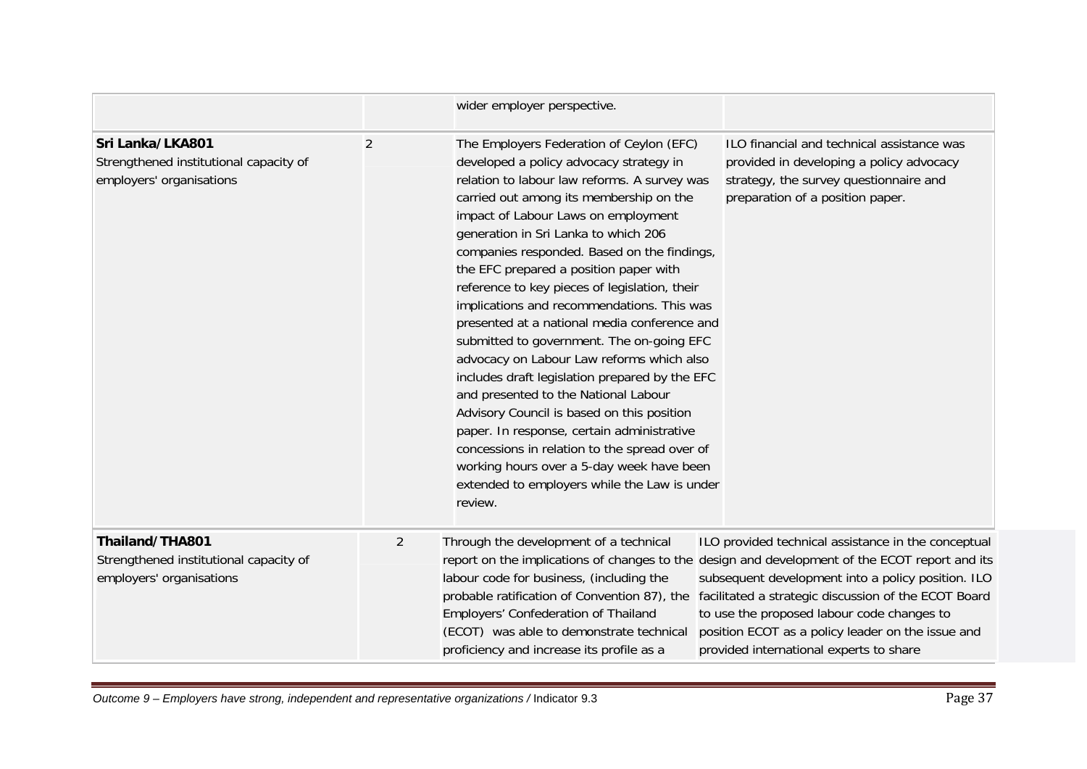|                                                                                        |                | wider employer perspective.                                                                                                                                                                                                                                                                                                                                                                                                                                                                                                                                                                                                                                                                                                                                                                                                                                                                                                                    |                                                                                                                                                                                                                                                                                                                                                                      |
|----------------------------------------------------------------------------------------|----------------|------------------------------------------------------------------------------------------------------------------------------------------------------------------------------------------------------------------------------------------------------------------------------------------------------------------------------------------------------------------------------------------------------------------------------------------------------------------------------------------------------------------------------------------------------------------------------------------------------------------------------------------------------------------------------------------------------------------------------------------------------------------------------------------------------------------------------------------------------------------------------------------------------------------------------------------------|----------------------------------------------------------------------------------------------------------------------------------------------------------------------------------------------------------------------------------------------------------------------------------------------------------------------------------------------------------------------|
| Sri Lanka/LKA801<br>Strengthened institutional capacity of<br>employers' organisations | $\overline{2}$ | The Employers Federation of Ceylon (EFC)<br>developed a policy advocacy strategy in<br>relation to labour law reforms. A survey was<br>carried out among its membership on the<br>impact of Labour Laws on employment<br>generation in Sri Lanka to which 206<br>companies responded. Based on the findings,<br>the EFC prepared a position paper with<br>reference to key pieces of legislation, their<br>implications and recommendations. This was<br>presented at a national media conference and<br>submitted to government. The on-going EFC<br>advocacy on Labour Law reforms which also<br>includes draft legislation prepared by the EFC<br>and presented to the National Labour<br>Advisory Council is based on this position<br>paper. In response, certain administrative<br>concessions in relation to the spread over of<br>working hours over a 5-day week have been<br>extended to employers while the Law is under<br>review. | ILO financial and technical assistance was<br>provided in developing a policy advocacy<br>strategy, the survey questionnaire and<br>preparation of a position paper.                                                                                                                                                                                                 |
| Thailand/THA801<br>Strengthened institutional capacity of<br>employers' organisations  | $\overline{2}$ | Through the development of a technical<br>report on the implications of changes to the<br>labour code for business, (including the<br>probable ratification of Convention 87), the<br>Employers' Confederation of Thailand<br>(ECOT) was able to demonstrate technical<br>proficiency and increase its profile as a                                                                                                                                                                                                                                                                                                                                                                                                                                                                                                                                                                                                                            | ILO provided technical assistance in the conceptual<br>design and development of the ECOT report and its<br>subsequent development into a policy position. ILO<br>facilitated a strategic discussion of the ECOT Board<br>to use the proposed labour code changes to<br>position ECOT as a policy leader on the issue and<br>provided international experts to share |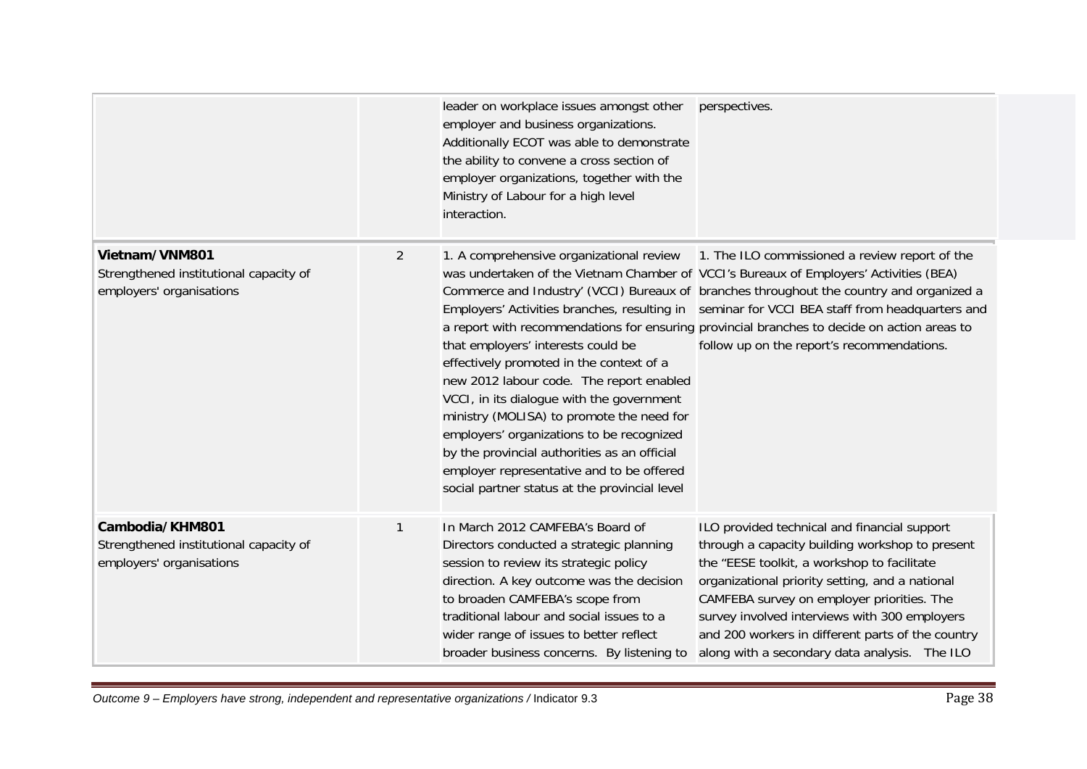|                                                                                       |   | leader on workplace issues amongst other<br>employer and business organizations.<br>Additionally ECOT was able to demonstrate<br>the ability to convene a cross section of<br>employer organizations, together with the<br>Ministry of Labour for a high level<br>interaction.                                                                                                                                                                              | perspectives.                                                                                                                                                                                                                                                                                                                                                                                                                                                                      |
|---------------------------------------------------------------------------------------|---|-------------------------------------------------------------------------------------------------------------------------------------------------------------------------------------------------------------------------------------------------------------------------------------------------------------------------------------------------------------------------------------------------------------------------------------------------------------|------------------------------------------------------------------------------------------------------------------------------------------------------------------------------------------------------------------------------------------------------------------------------------------------------------------------------------------------------------------------------------------------------------------------------------------------------------------------------------|
| Vietnam/VNM801<br>Strengthened institutional capacity of<br>employers' organisations  | 2 | 1. A comprehensive organizational review<br>that employers' interests could be<br>effectively promoted in the context of a<br>new 2012 labour code. The report enabled<br>VCCI, in its dialogue with the government<br>ministry (MOLISA) to promote the need for<br>employers' organizations to be recognized<br>by the provincial authorities as an official<br>employer representative and to be offered<br>social partner status at the provincial level | 1. The ILO commissioned a review report of the<br>was undertaken of the Vietnam Chamber of VCCI's Bureaux of Employers' Activities (BEA)<br>Commerce and Industry' (VCCI) Bureaux of branches throughout the country and organized a<br>Employers' Activities branches, resulting in seminar for VCCI BEA staff from headquarters and<br>a report with recommendations for ensuring provincial branches to decide on action areas to<br>follow up on the report's recommendations. |
| Cambodia/KHM801<br>Strengthened institutional capacity of<br>employers' organisations | 1 | In March 2012 CAMFEBA's Board of<br>Directors conducted a strategic planning<br>session to review its strategic policy<br>direction. A key outcome was the decision<br>to broaden CAMFEBA's scope from<br>traditional labour and social issues to a<br>wider range of issues to better reflect<br>broader business concerns. By listening to                                                                                                                | ILO provided technical and financial support<br>through a capacity building workshop to present<br>the "EESE toolkit, a workshop to facilitate<br>organizational priority setting, and a national<br>CAMFEBA survey on employer priorities. The<br>survey involved interviews with 300 employers<br>and 200 workers in different parts of the country<br>along with a secondary data analysis. The ILO                                                                             |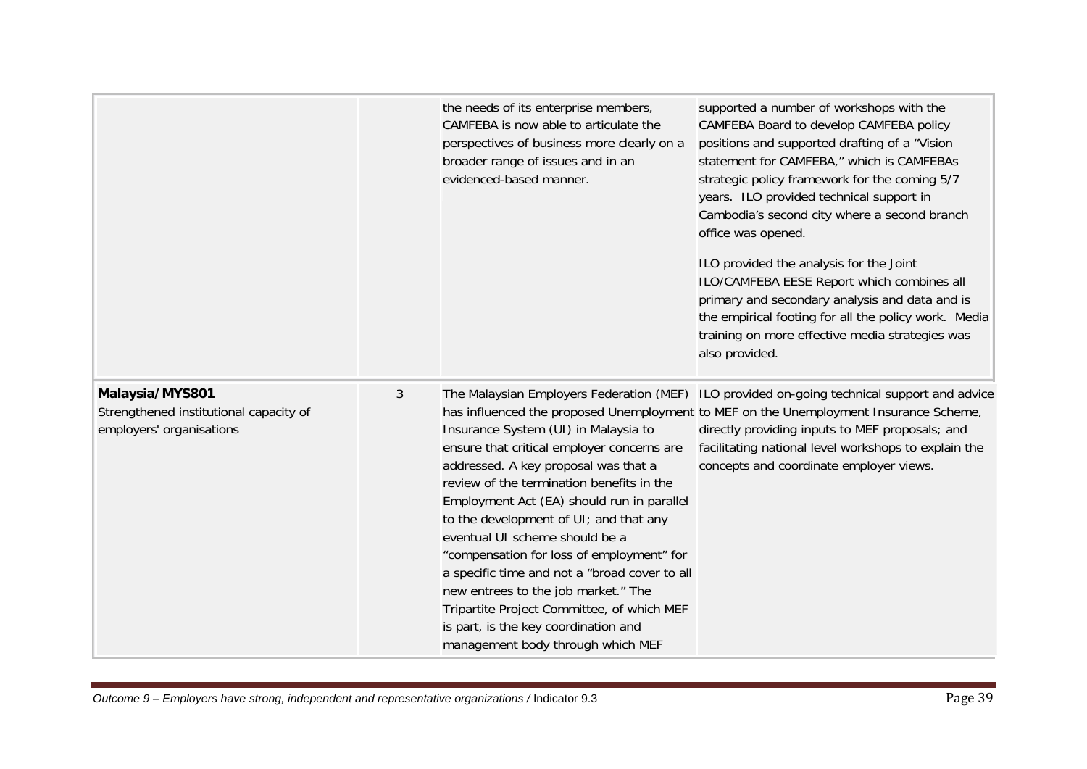|                                                                                       |              | the needs of its enterprise members,<br>CAMFEBA is now able to articulate the<br>perspectives of business more clearly on a<br>broader range of issues and in an<br>evidenced-based manner.                                                                                                                                                                                                                                                                                                                                                                                                                   | supported a number of workshops with the<br>CAMFEBA Board to develop CAMFEBA policy<br>positions and supported drafting of a "Vision<br>statement for CAMFEBA," which is CAMFEBAs<br>strategic policy framework for the coming 5/7<br>years. ILO provided technical support in<br>Cambodia's second city where a second branch<br>office was opened.<br>ILO provided the analysis for the Joint<br>ILO/CAMFEBA EESE Report which combines all<br>primary and secondary analysis and data and is<br>the empirical footing for all the policy work. Media<br>training on more effective media strategies was<br>also provided. |
|---------------------------------------------------------------------------------------|--------------|---------------------------------------------------------------------------------------------------------------------------------------------------------------------------------------------------------------------------------------------------------------------------------------------------------------------------------------------------------------------------------------------------------------------------------------------------------------------------------------------------------------------------------------------------------------------------------------------------------------|------------------------------------------------------------------------------------------------------------------------------------------------------------------------------------------------------------------------------------------------------------------------------------------------------------------------------------------------------------------------------------------------------------------------------------------------------------------------------------------------------------------------------------------------------------------------------------------------------------------------------|
| Malaysia/MYS801<br>Strengthened institutional capacity of<br>employers' organisations | $\mathbf{3}$ | The Malaysian Employers Federation (MEF)<br>Insurance System (UI) in Malaysia to<br>ensure that critical employer concerns are<br>addressed. A key proposal was that a<br>review of the termination benefits in the<br>Employment Act (EA) should run in parallel<br>to the development of UI; and that any<br>eventual UI scheme should be a<br>"compensation for loss of employment" for<br>a specific time and not a "broad cover to all<br>new entrees to the job market." The<br>Tripartite Project Committee, of which MEF<br>is part, is the key coordination and<br>management body through which MEF | ILO provided on-going technical support and advice<br>has influenced the proposed Unemployment to MEF on the Unemployment Insurance Scheme,<br>directly providing inputs to MEF proposals; and<br>facilitating national level workshops to explain the<br>concepts and coordinate employer views.                                                                                                                                                                                                                                                                                                                            |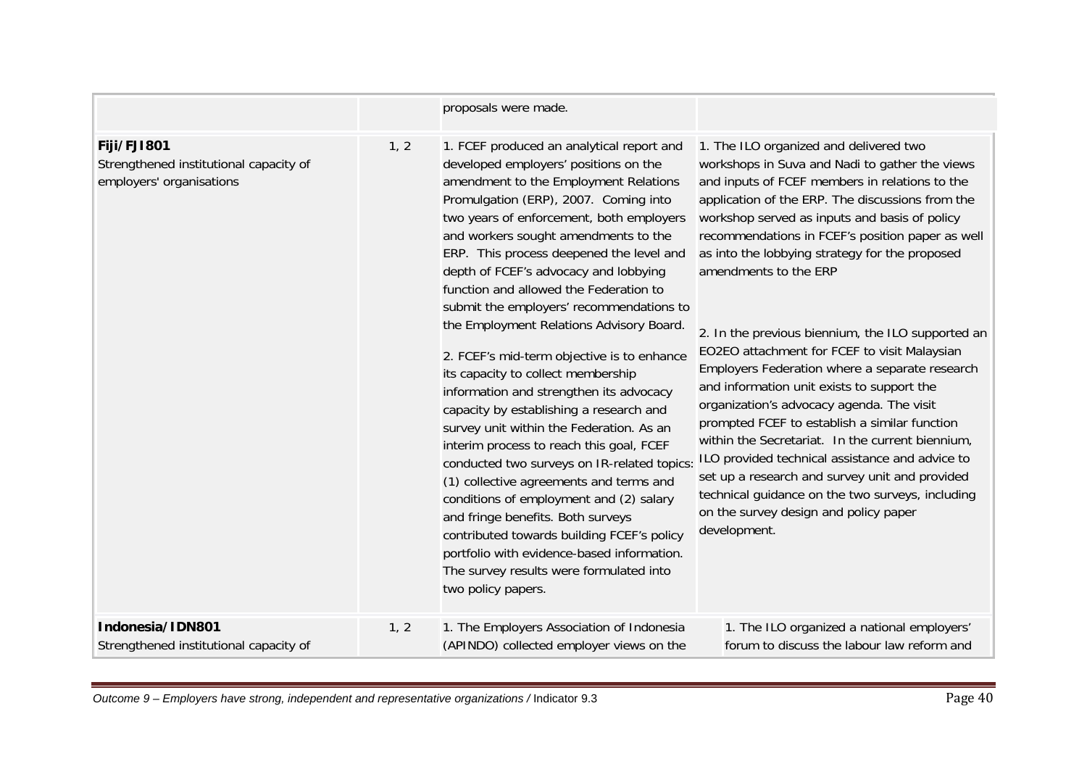|                                                                                   |      | proposals were made.                                                                                                                                                                                                                                                                                                                                                                                                                                                                                                                                                                                                                                                                                                                                                                                                                                                                                                                                                                                                                                                                     |                                                                                                                                                                                                                                                                                                                                                                                                                                                                                                                                                                                                                                                                                                                                                                                                                                                                                                                                                         |
|-----------------------------------------------------------------------------------|------|------------------------------------------------------------------------------------------------------------------------------------------------------------------------------------------------------------------------------------------------------------------------------------------------------------------------------------------------------------------------------------------------------------------------------------------------------------------------------------------------------------------------------------------------------------------------------------------------------------------------------------------------------------------------------------------------------------------------------------------------------------------------------------------------------------------------------------------------------------------------------------------------------------------------------------------------------------------------------------------------------------------------------------------------------------------------------------------|---------------------------------------------------------------------------------------------------------------------------------------------------------------------------------------------------------------------------------------------------------------------------------------------------------------------------------------------------------------------------------------------------------------------------------------------------------------------------------------------------------------------------------------------------------------------------------------------------------------------------------------------------------------------------------------------------------------------------------------------------------------------------------------------------------------------------------------------------------------------------------------------------------------------------------------------------------|
| Fiji/FJI801<br>Strengthened institutional capacity of<br>employers' organisations | 1, 2 | 1. FCEF produced an analytical report and<br>developed employers' positions on the<br>amendment to the Employment Relations<br>Promulgation (ERP), 2007. Coming into<br>two years of enforcement, both employers<br>and workers sought amendments to the<br>ERP. This process deepened the level and<br>depth of FCEF's advocacy and lobbying<br>function and allowed the Federation to<br>submit the employers' recommendations to<br>the Employment Relations Advisory Board.<br>2. FCEF's mid-term objective is to enhance<br>its capacity to collect membership<br>information and strengthen its advocacy<br>capacity by establishing a research and<br>survey unit within the Federation. As an<br>interim process to reach this goal, FCEF<br>conducted two surveys on IR-related topics:<br>(1) collective agreements and terms and<br>conditions of employment and (2) salary<br>and fringe benefits. Both surveys<br>contributed towards building FCEF's policy<br>portfolio with evidence-based information.<br>The survey results were formulated into<br>two policy papers. | 1. The ILO organized and delivered two<br>workshops in Suva and Nadi to gather the views<br>and inputs of FCEF members in relations to the<br>application of the ERP. The discussions from the<br>workshop served as inputs and basis of policy<br>recommendations in FCEF's position paper as well<br>as into the lobbying strategy for the proposed<br>amendments to the ERP<br>2. In the previous biennium, the ILO supported an<br>EO2EO attachment for FCEF to visit Malaysian<br>Employers Federation where a separate research<br>and information unit exists to support the<br>organization's advocacy agenda. The visit<br>prompted FCEF to establish a similar function<br>within the Secretariat. In the current biennium,<br>ILO provided technical assistance and advice to<br>set up a research and survey unit and provided<br>technical guidance on the two surveys, including<br>on the survey design and policy paper<br>development. |
| Indonesia/IDN801<br>Strengthened institutional capacity of                        | 1, 2 | 1. The Employers Association of Indonesia<br>(APINDO) collected employer views on the                                                                                                                                                                                                                                                                                                                                                                                                                                                                                                                                                                                                                                                                                                                                                                                                                                                                                                                                                                                                    | 1. The ILO organized a national employers'<br>forum to discuss the labour law reform and                                                                                                                                                                                                                                                                                                                                                                                                                                                                                                                                                                                                                                                                                                                                                                                                                                                                |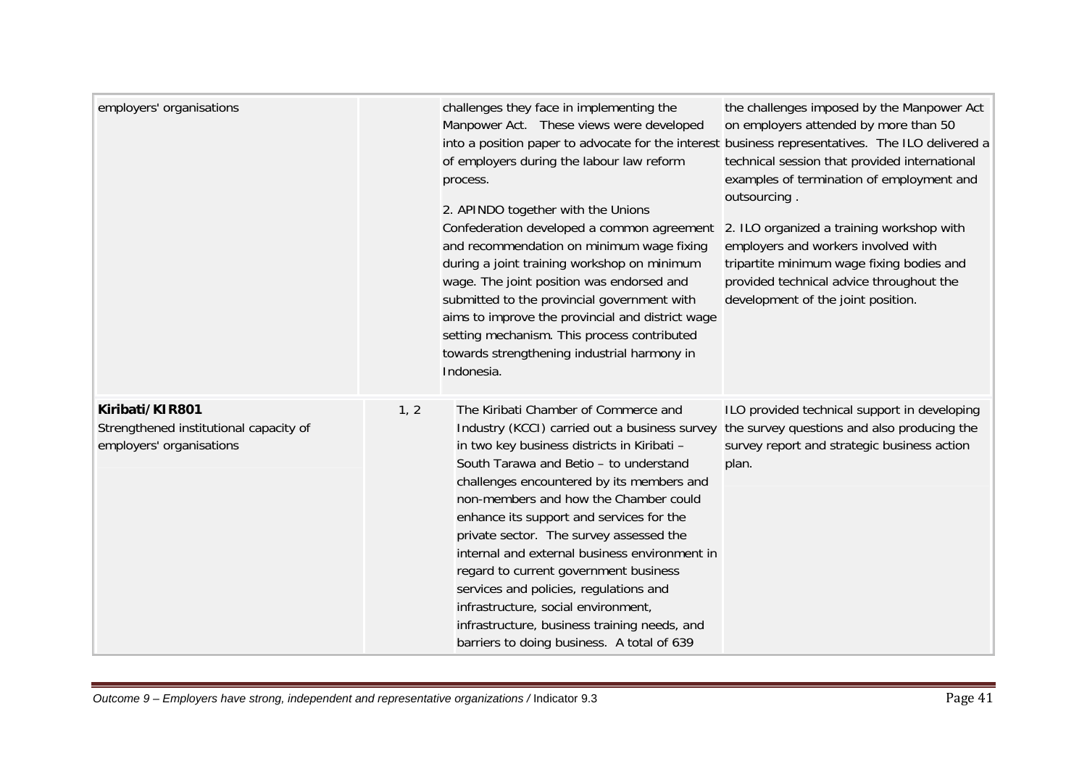| employers' organisations                                                              |      | challenges they face in implementing the<br>Manpower Act. These views were developed<br>into a position paper to advocate for the interest business representatives. The ILO delivered a<br>of employers during the labour law reform<br>process.<br>2. APINDO together with the Unions<br>Confederation developed a common agreement<br>and recommendation on minimum wage fixing<br>during a joint training workshop on minimum<br>wage. The joint position was endorsed and<br>submitted to the provincial government with<br>aims to improve the provincial and district wage<br>setting mechanism. This process contributed<br>towards strengthening industrial harmony in<br>Indonesia. | the challenges imposed by the Manpower Act<br>on employers attended by more than 50<br>technical session that provided international<br>examples of termination of employment and<br>outsourcing.<br>2. ILO organized a training workshop with<br>employers and workers involved with<br>tripartite minimum wage fixing bodies and<br>provided technical advice throughout the<br>development of the joint position. |
|---------------------------------------------------------------------------------------|------|-----------------------------------------------------------------------------------------------------------------------------------------------------------------------------------------------------------------------------------------------------------------------------------------------------------------------------------------------------------------------------------------------------------------------------------------------------------------------------------------------------------------------------------------------------------------------------------------------------------------------------------------------------------------------------------------------|----------------------------------------------------------------------------------------------------------------------------------------------------------------------------------------------------------------------------------------------------------------------------------------------------------------------------------------------------------------------------------------------------------------------|
| Kiribati/KIR801<br>Strengthened institutional capacity of<br>employers' organisations | 1, 2 | The Kiribati Chamber of Commerce and<br>Industry (KCCI) carried out a business survey<br>in two key business districts in Kiribati -<br>South Tarawa and Betio - to understand<br>challenges encountered by its members and<br>non-members and how the Chamber could<br>enhance its support and services for the<br>private sector. The survey assessed the<br>internal and external business environment in<br>regard to current government business<br>services and policies, regulations and<br>infrastructure, social environment,<br>infrastructure, business training needs, and<br>barriers to doing business. A total of 639                                                          | ILO provided technical support in developing<br>the survey questions and also producing the<br>survey report and strategic business action<br>plan.                                                                                                                                                                                                                                                                  |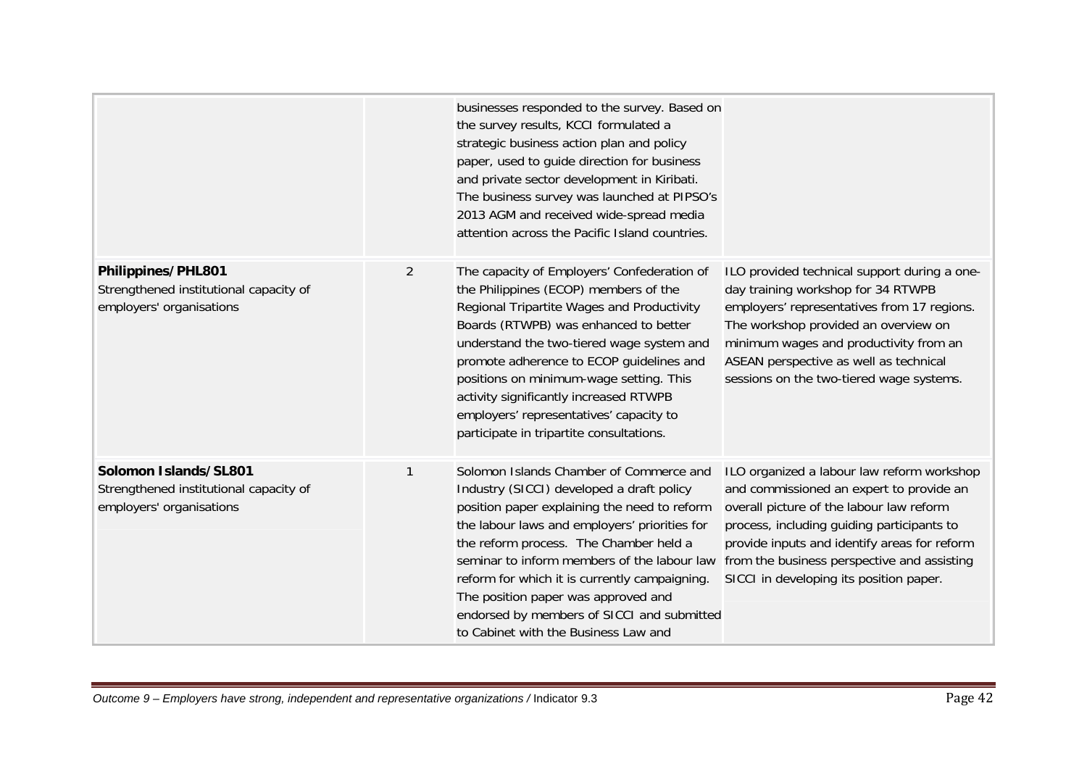|                                                                                             |                | businesses responded to the survey. Based on<br>the survey results, KCCI formulated a<br>strategic business action plan and policy<br>paper, used to guide direction for business<br>and private sector development in Kiribati.<br>The business survey was launched at PIPSO's<br>2013 AGM and received wide-spread media<br>attention across the Pacific Island countries.                                                                                 |                                                                                                                                                                                                                                                                                                                            |
|---------------------------------------------------------------------------------------------|----------------|--------------------------------------------------------------------------------------------------------------------------------------------------------------------------------------------------------------------------------------------------------------------------------------------------------------------------------------------------------------------------------------------------------------------------------------------------------------|----------------------------------------------------------------------------------------------------------------------------------------------------------------------------------------------------------------------------------------------------------------------------------------------------------------------------|
| Philippines/PHL801<br>Strengthened institutional capacity of<br>employers' organisations    | $\overline{2}$ | The capacity of Employers' Confederation of<br>the Philippines (ECOP) members of the<br>Regional Tripartite Wages and Productivity<br>Boards (RTWPB) was enhanced to better<br>understand the two-tiered wage system and<br>promote adherence to ECOP guidelines and<br>positions on minimum-wage setting. This<br>activity significantly increased RTWPB<br>employers' representatives' capacity to<br>participate in tripartite consultations.             | ILO provided technical support during a one-<br>day training workshop for 34 RTWPB<br>employers' representatives from 17 regions.<br>The workshop provided an overview on<br>minimum wages and productivity from an<br>ASEAN perspective as well as technical<br>sessions on the two-tiered wage systems.                  |
| Solomon Islands/SL801<br>Strengthened institutional capacity of<br>employers' organisations |                | Solomon Islands Chamber of Commerce and<br>Industry (SICCI) developed a draft policy<br>position paper explaining the need to reform<br>the labour laws and employers' priorities for<br>the reform process. The Chamber held a<br>seminar to inform members of the labour law<br>reform for which it is currently campaigning.<br>The position paper was approved and<br>endorsed by members of SICCI and submitted<br>to Cabinet with the Business Law and | ILO organized a labour law reform workshop<br>and commissioned an expert to provide an<br>overall picture of the labour law reform<br>process, including guiding participants to<br>provide inputs and identify areas for reform<br>from the business perspective and assisting<br>SICCI in developing its position paper. |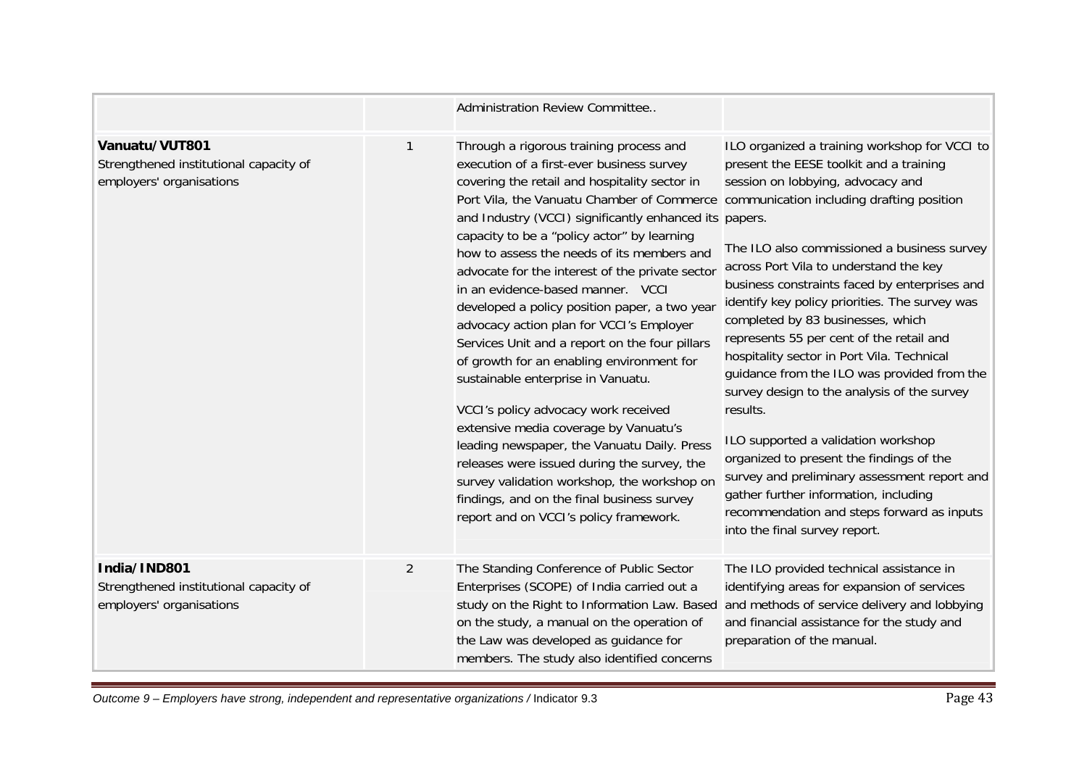|                                                                                      |                | Administration Review Committee                                                                                                                                                                                                                                                                                                                                                                                                                                                                                                                                                                                                                                                                                                                                                                                                                                                                                                                                                                                                      |                                                                                                                                                                                                                                                                                                                                                                                                                                                                                                                                                                                                                                                                                                                                                                                                                               |
|--------------------------------------------------------------------------------------|----------------|--------------------------------------------------------------------------------------------------------------------------------------------------------------------------------------------------------------------------------------------------------------------------------------------------------------------------------------------------------------------------------------------------------------------------------------------------------------------------------------------------------------------------------------------------------------------------------------------------------------------------------------------------------------------------------------------------------------------------------------------------------------------------------------------------------------------------------------------------------------------------------------------------------------------------------------------------------------------------------------------------------------------------------------|-------------------------------------------------------------------------------------------------------------------------------------------------------------------------------------------------------------------------------------------------------------------------------------------------------------------------------------------------------------------------------------------------------------------------------------------------------------------------------------------------------------------------------------------------------------------------------------------------------------------------------------------------------------------------------------------------------------------------------------------------------------------------------------------------------------------------------|
| Vanuatu/VUT801<br>Strengthened institutional capacity of<br>employers' organisations | 1              | Through a rigorous training process and<br>execution of a first-ever business survey<br>covering the retail and hospitality sector in<br>Port Vila, the Vanuatu Chamber of Commerce communication including drafting position<br>and Industry (VCCI) significantly enhanced its papers.<br>capacity to be a "policy actor" by learning<br>how to assess the needs of its members and<br>advocate for the interest of the private sector<br>in an evidence-based manner. VCCI<br>developed a policy position paper, a two year<br>advocacy action plan for VCCI's Employer<br>Services Unit and a report on the four pillars<br>of growth for an enabling environment for<br>sustainable enterprise in Vanuatu.<br>VCCI's policy advocacy work received<br>extensive media coverage by Vanuatu's<br>leading newspaper, the Vanuatu Daily. Press<br>releases were issued during the survey, the<br>survey validation workshop, the workshop on<br>findings, and on the final business survey<br>report and on VCCI's policy framework. | ILO organized a training workshop for VCCI to<br>present the EESE toolkit and a training<br>session on lobbying, advocacy and<br>The ILO also commissioned a business survey<br>across Port Vila to understand the key<br>business constraints faced by enterprises and<br>identify key policy priorities. The survey was<br>completed by 83 businesses, which<br>represents 55 per cent of the retail and<br>hospitality sector in Port Vila. Technical<br>guidance from the ILO was provided from the<br>survey design to the analysis of the survey<br>results.<br>ILO supported a validation workshop<br>organized to present the findings of the<br>survey and preliminary assessment report and<br>gather further information, including<br>recommendation and steps forward as inputs<br>into the final survey report. |
| India/IND801<br>Strengthened institutional capacity of<br>employers' organisations   | $\overline{2}$ | The Standing Conference of Public Sector<br>Enterprises (SCOPE) of India carried out a<br>study on the Right to Information Law. Based<br>on the study, a manual on the operation of<br>the Law was developed as guidance for<br>members. The study also identified concerns                                                                                                                                                                                                                                                                                                                                                                                                                                                                                                                                                                                                                                                                                                                                                         | The ILO provided technical assistance in<br>identifying areas for expansion of services<br>and methods of service delivery and lobbying<br>and financial assistance for the study and<br>preparation of the manual.                                                                                                                                                                                                                                                                                                                                                                                                                                                                                                                                                                                                           |

*Outcome 9 – Employers have strong, independent and representative organizations /* Indicator 9.3 **Page 43 Page 43 Page 43**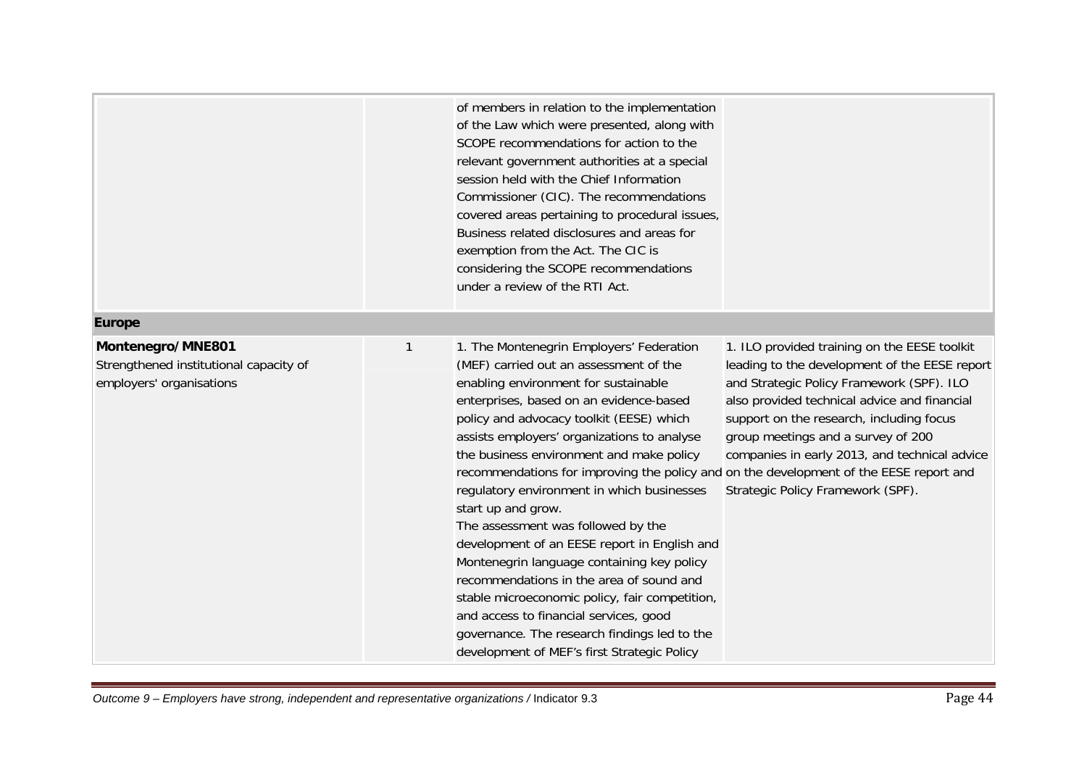| <b>Europe</b>                                                                           |   | of members in relation to the implementation<br>of the Law which were presented, along with<br>SCOPE recommendations for action to the<br>relevant government authorities at a special<br>session held with the Chief Information<br>Commissioner (CIC). The recommendations<br>covered areas pertaining to procedural issues,<br>Business related disclosures and areas for<br>exemption from the Act. The CIC is<br>considering the SCOPE recommendations<br>under a review of the RTI Act.                                                                                                                                                                                                                                                                                                                                                         |                                                                                                                                                                                                                                                                                                                                                                    |
|-----------------------------------------------------------------------------------------|---|-------------------------------------------------------------------------------------------------------------------------------------------------------------------------------------------------------------------------------------------------------------------------------------------------------------------------------------------------------------------------------------------------------------------------------------------------------------------------------------------------------------------------------------------------------------------------------------------------------------------------------------------------------------------------------------------------------------------------------------------------------------------------------------------------------------------------------------------------------|--------------------------------------------------------------------------------------------------------------------------------------------------------------------------------------------------------------------------------------------------------------------------------------------------------------------------------------------------------------------|
|                                                                                         |   |                                                                                                                                                                                                                                                                                                                                                                                                                                                                                                                                                                                                                                                                                                                                                                                                                                                       |                                                                                                                                                                                                                                                                                                                                                                    |
| Montenegro/MNE801<br>Strengthened institutional capacity of<br>employers' organisations | 1 | 1. The Montenegrin Employers' Federation<br>(MEF) carried out an assessment of the<br>enabling environment for sustainable<br>enterprises, based on an evidence-based<br>policy and advocacy toolkit (EESE) which<br>assists employers' organizations to analyse<br>the business environment and make policy<br>recommendations for improving the policy and on the development of the EESE report and<br>regulatory environment in which businesses<br>start up and grow.<br>The assessment was followed by the<br>development of an EESE report in English and<br>Montenegrin language containing key policy<br>recommendations in the area of sound and<br>stable microeconomic policy, fair competition,<br>and access to financial services, good<br>governance. The research findings led to the<br>development of MEF's first Strategic Policy | 1. ILO provided training on the EESE toolkit<br>leading to the development of the EESE report<br>and Strategic Policy Framework (SPF). ILO<br>also provided technical advice and financial<br>support on the research, including focus<br>group meetings and a survey of 200<br>companies in early 2013, and technical advice<br>Strategic Policy Framework (SPF). |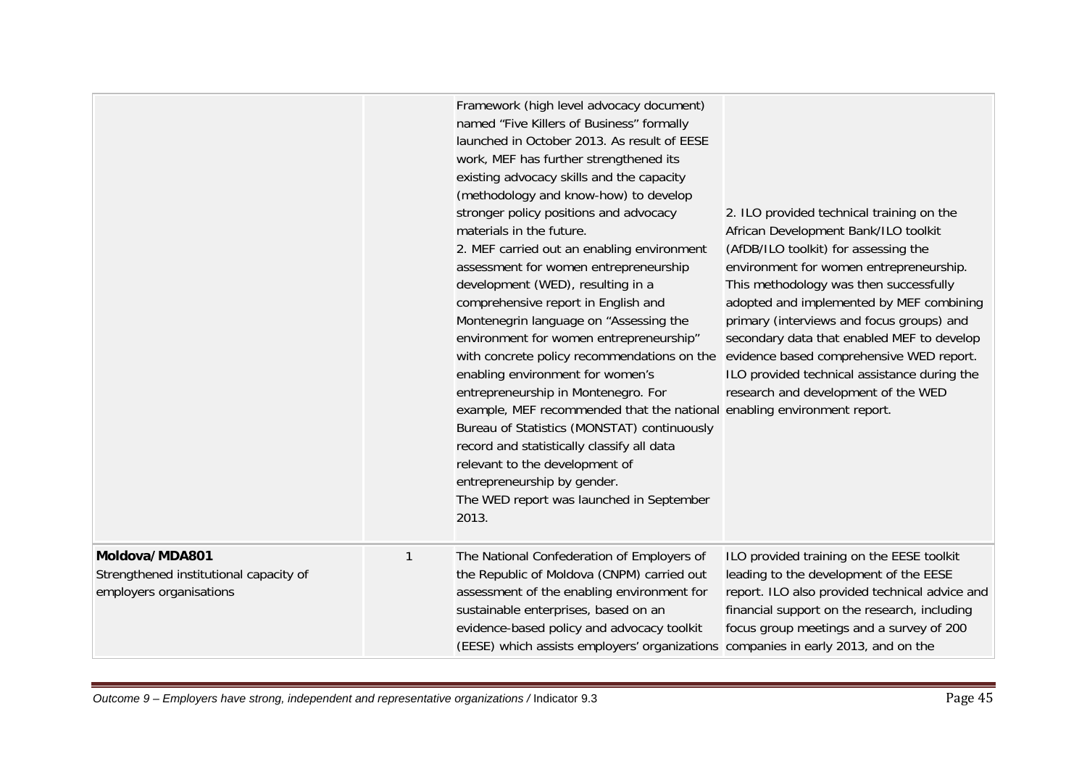|                                                                                     |   | Framework (high level advocacy document)<br>named "Five Killers of Business" formally<br>launched in October 2013. As result of EESE<br>work, MEF has further strengthened its<br>existing advocacy skills and the capacity<br>(methodology and know-how) to develop<br>stronger policy positions and advocacy<br>materials in the future.<br>2. MEF carried out an enabling environment<br>assessment for women entrepreneurship<br>development (WED), resulting in a<br>comprehensive report in English and<br>Montenegrin language on "Assessing the<br>environment for women entrepreneurship"<br>with concrete policy recommendations on the evidence based comprehensive WED report.<br>enabling environment for women's<br>entrepreneurship in Montenegro. For<br>example, MEF recommended that the national enabling environment report.<br>Bureau of Statistics (MONSTAT) continuously<br>record and statistically classify all data<br>relevant to the development of<br>entrepreneurship by gender.<br>The WED report was launched in September<br>2013. | 2. ILO provided technical training on the<br>African Development Bank/ILO toolkit<br>(AfDB/ILO toolkit) for assessing the<br>environment for women entrepreneurship.<br>This methodology was then successfully<br>adopted and implemented by MEF combining<br>primary (interviews and focus groups) and<br>secondary data that enabled MEF to develop<br>ILO provided technical assistance during the<br>research and development of the WED |
|-------------------------------------------------------------------------------------|---|---------------------------------------------------------------------------------------------------------------------------------------------------------------------------------------------------------------------------------------------------------------------------------------------------------------------------------------------------------------------------------------------------------------------------------------------------------------------------------------------------------------------------------------------------------------------------------------------------------------------------------------------------------------------------------------------------------------------------------------------------------------------------------------------------------------------------------------------------------------------------------------------------------------------------------------------------------------------------------------------------------------------------------------------------------------------|----------------------------------------------------------------------------------------------------------------------------------------------------------------------------------------------------------------------------------------------------------------------------------------------------------------------------------------------------------------------------------------------------------------------------------------------|
| Moldova/MDA801<br>Strengthened institutional capacity of<br>employers organisations | 1 | The National Confederation of Employers of<br>the Republic of Moldova (CNPM) carried out<br>assessment of the enabling environment for<br>sustainable enterprises, based on an<br>evidence-based policy and advocacy toolkit<br>(EESE) which assists employers' organizations companies in early 2013, and on the                                                                                                                                                                                                                                                                                                                                                                                                                                                                                                                                                                                                                                                                                                                                                   | ILO provided training on the EESE toolkit<br>leading to the development of the EESE<br>report. ILO also provided technical advice and<br>financial support on the research, including<br>focus group meetings and a survey of 200                                                                                                                                                                                                            |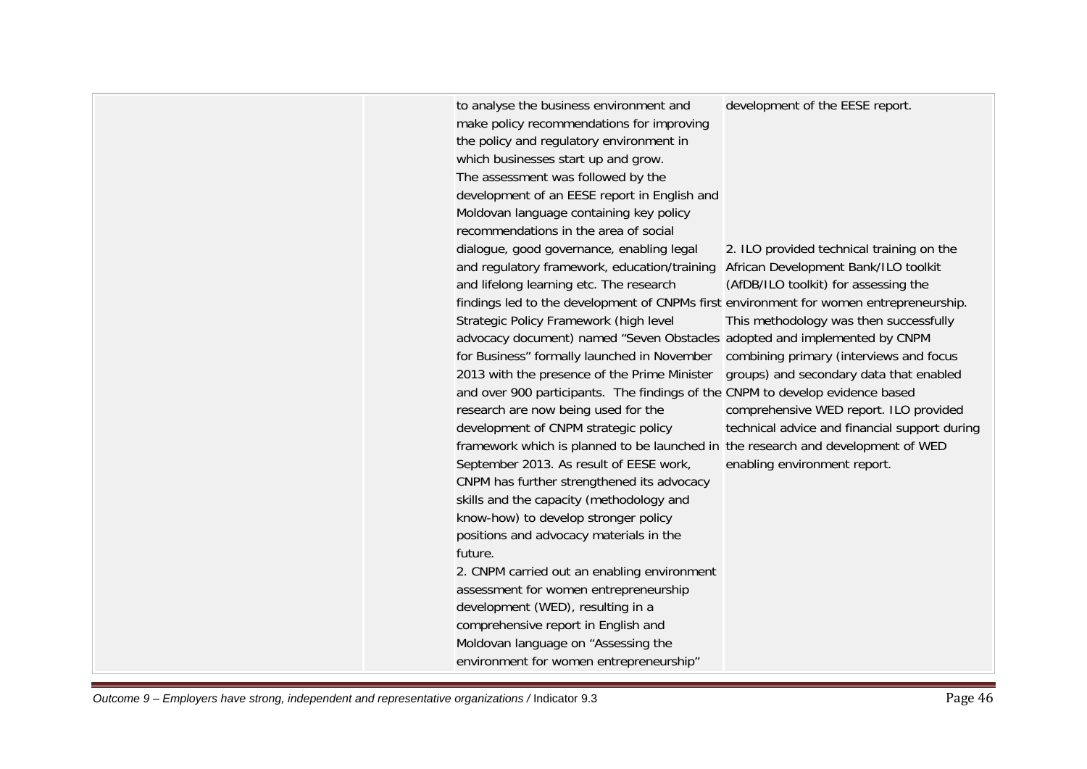| to analyse the business environment and<br>make policy recommendations for improving<br>the policy and regulatory environment in<br>which businesses start up and grow.<br>The assessment was followed by the<br>development of an EESE report in English and<br>Moldovan language containing key policy<br>recommendations in the area of social<br>dialogue, good governance, enabling legal<br>and regulatory framework, education/training<br>and lifelong learning etc. The research<br>findings led to the development of CNPMs first environment for women entrepreneurship.<br>Strategic Policy Framework (high level<br>advocacy document) named "Seven Obstacles adopted and implemented by CNPM<br>for Business" formally launched in November<br>2013 with the presence of the Prime Minister<br>and over 900 participants. The findings of the CNPM to develop evidence based<br>research are now being used for the<br>development of CNPM strategic policy<br>framework which is planned to be launched in the research and development of WED<br>September 2013. As result of EESE work,<br>CNPM has further strengthened its advocacy<br>skills and the capacity (methodology and<br>know-how) to develop stronger policy<br>positions and advocacy materials in the<br>future.<br>2. CNPM carried out an enabling environment | development of the EESE report.<br>2. ILO provided technical training on the<br>African Development Bank/ILO toolkit<br>(AfDB/ILO toolkit) for assessing the<br>This methodology was then successfully<br>combining primary (interviews and focus<br>groups) and secondary data that enabled<br>comprehensive WED report. ILO provided<br>technical advice and financial support during<br>enabling environment report. |
|-------------------------------------------------------------------------------------------------------------------------------------------------------------------------------------------------------------------------------------------------------------------------------------------------------------------------------------------------------------------------------------------------------------------------------------------------------------------------------------------------------------------------------------------------------------------------------------------------------------------------------------------------------------------------------------------------------------------------------------------------------------------------------------------------------------------------------------------------------------------------------------------------------------------------------------------------------------------------------------------------------------------------------------------------------------------------------------------------------------------------------------------------------------------------------------------------------------------------------------------------------------------------------------------------------------------------------------------------|-------------------------------------------------------------------------------------------------------------------------------------------------------------------------------------------------------------------------------------------------------------------------------------------------------------------------------------------------------------------------------------------------------------------------|
|                                                                                                                                                                                                                                                                                                                                                                                                                                                                                                                                                                                                                                                                                                                                                                                                                                                                                                                                                                                                                                                                                                                                                                                                                                                                                                                                                 |                                                                                                                                                                                                                                                                                                                                                                                                                         |
| assessment for women entrepreneurship<br>development (WED), resulting in a<br>comprehensive report in English and<br>Moldovan language on "Assessing the<br>environment for women entrepreneurship"                                                                                                                                                                                                                                                                                                                                                                                                                                                                                                                                                                                                                                                                                                                                                                                                                                                                                                                                                                                                                                                                                                                                             |                                                                                                                                                                                                                                                                                                                                                                                                                         |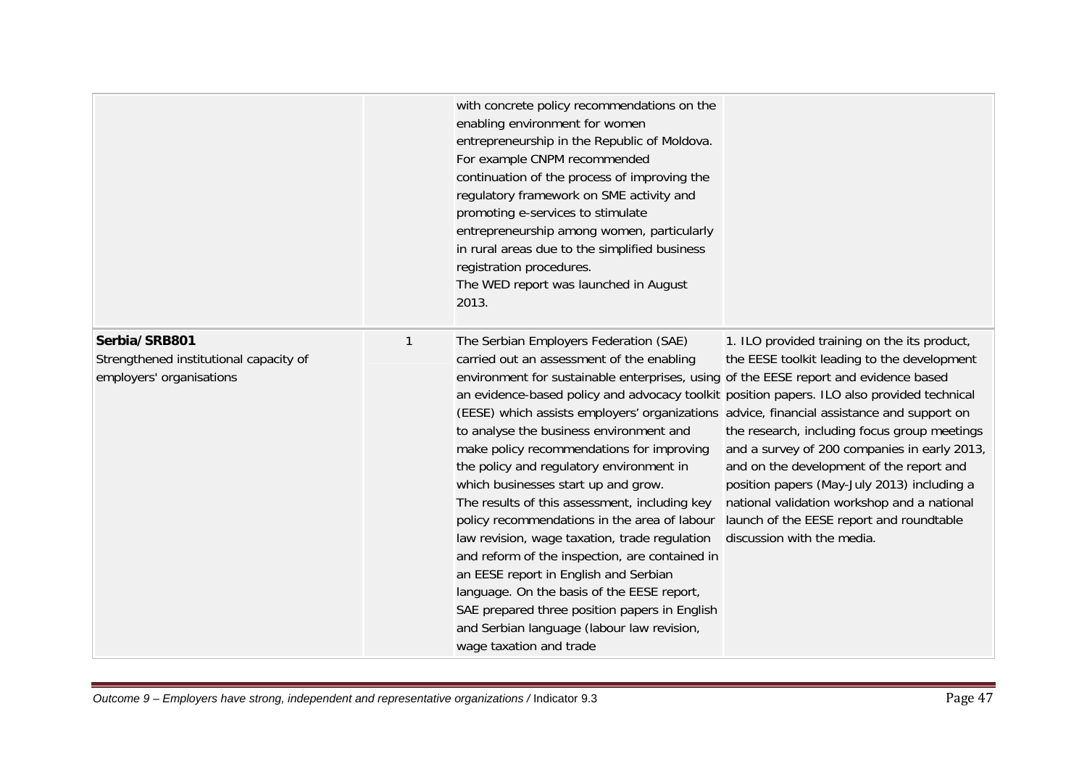|                                                                                     |              | with concrete policy recommendations on the<br>enabling environment for women<br>entrepreneurship in the Republic of Moldova.<br>For example CNPM recommended<br>continuation of the process of improving the<br>regulatory framework on SME activity and<br>promoting e-services to stimulate<br>entrepreneurship among women, particularly<br>in rural areas due to the simplified business<br>registration procedures.<br>The WED report was launched in August<br>2013.                                                                                                                                                                                                                                                                                                                                                                                                                                                                                            |                                                                                                                                                                                                                                                                                                                                                                                                                 |
|-------------------------------------------------------------------------------------|--------------|------------------------------------------------------------------------------------------------------------------------------------------------------------------------------------------------------------------------------------------------------------------------------------------------------------------------------------------------------------------------------------------------------------------------------------------------------------------------------------------------------------------------------------------------------------------------------------------------------------------------------------------------------------------------------------------------------------------------------------------------------------------------------------------------------------------------------------------------------------------------------------------------------------------------------------------------------------------------|-----------------------------------------------------------------------------------------------------------------------------------------------------------------------------------------------------------------------------------------------------------------------------------------------------------------------------------------------------------------------------------------------------------------|
| Serbia/SRB801<br>Strengthened institutional capacity of<br>employers' organisations | $\mathbf{1}$ | The Serbian Employers Federation (SAE)<br>carried out an assessment of the enabling<br>environment for sustainable enterprises, using of the EESE report and evidence based<br>an evidence-based policy and advocacy toolkit position papers. ILO also provided technical<br>(EESE) which assists employers' organizations advice, financial assistance and support on<br>to analyse the business environment and<br>make policy recommendations for improving<br>the policy and regulatory environment in<br>which businesses start up and grow.<br>The results of this assessment, including key<br>policy recommendations in the area of labour<br>law revision, wage taxation, trade regulation<br>and reform of the inspection, are contained in<br>an EESE report in English and Serbian<br>language. On the basis of the EESE report,<br>SAE prepared three position papers in English<br>and Serbian language (labour law revision,<br>wage taxation and trade | 1. ILO provided training on the its product,<br>the EESE toolkit leading to the development<br>the research, including focus group meetings<br>and a survey of 200 companies in early 2013,<br>and on the development of the report and<br>position papers (May-July 2013) including a<br>national validation workshop and a national<br>launch of the EESE report and roundtable<br>discussion with the media. |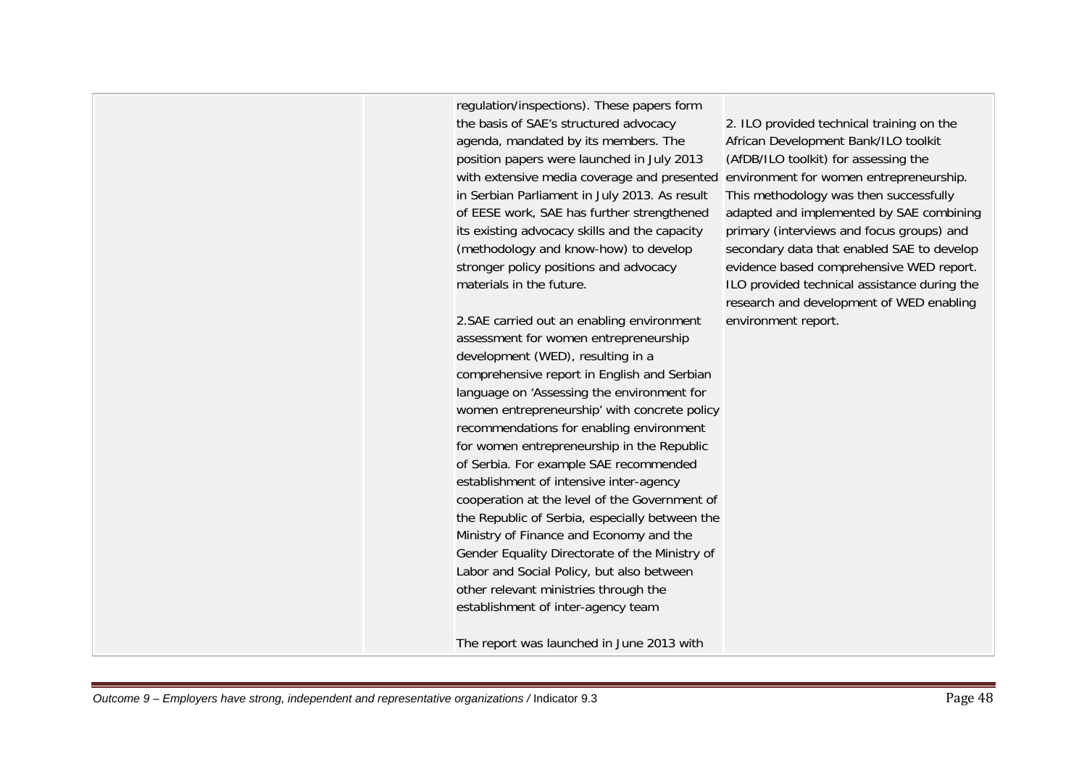regulation/inspections). These papers form the basis of SAE's structured advocacy agenda, mandated by its members. The position papers were launched in July 2013 with extensive media coverage and presented environment for women entrepreneurship. in Serbian Parliament in July 2013. As result of EESE work, SAE has further strengthened its existing advocacy skills and the capacity (methodology and know-how) to develop stronger policy positions and advocacy materials in the future.

2.SAE carried out an enabling environment assessment for women entrepreneurship development (WED), resulting in a comprehensive report in English and Serbian language on 'Assessing the environment for women entrepreneurship' with concrete policy recommendations for enabling environment for women entrepreneurship in the Republic of Serbia. For example SAE recommended establishment of intensive inter-agency cooperation at the level of the Government of the Republic of Serbia, especially between the Ministry of Finance and Economy and the Gender Equality Directorate of the Ministry of Labor and Social Policy, but also between other relevant ministries through the establishment of inter-agency team

The report was launched in June 2013 with

2. ILO provided technical training on the African Development Bank/ILO toolkit (AfDB/ILO toolkit) for assessing the This methodology was then successfully adapted and implemented by SAE combining primary (interviews and focus groups) and secondary data that enabled SAE to develop evidence based comprehensive WED report. ILO provided technical assistance during the research and development of WED enabling environment report.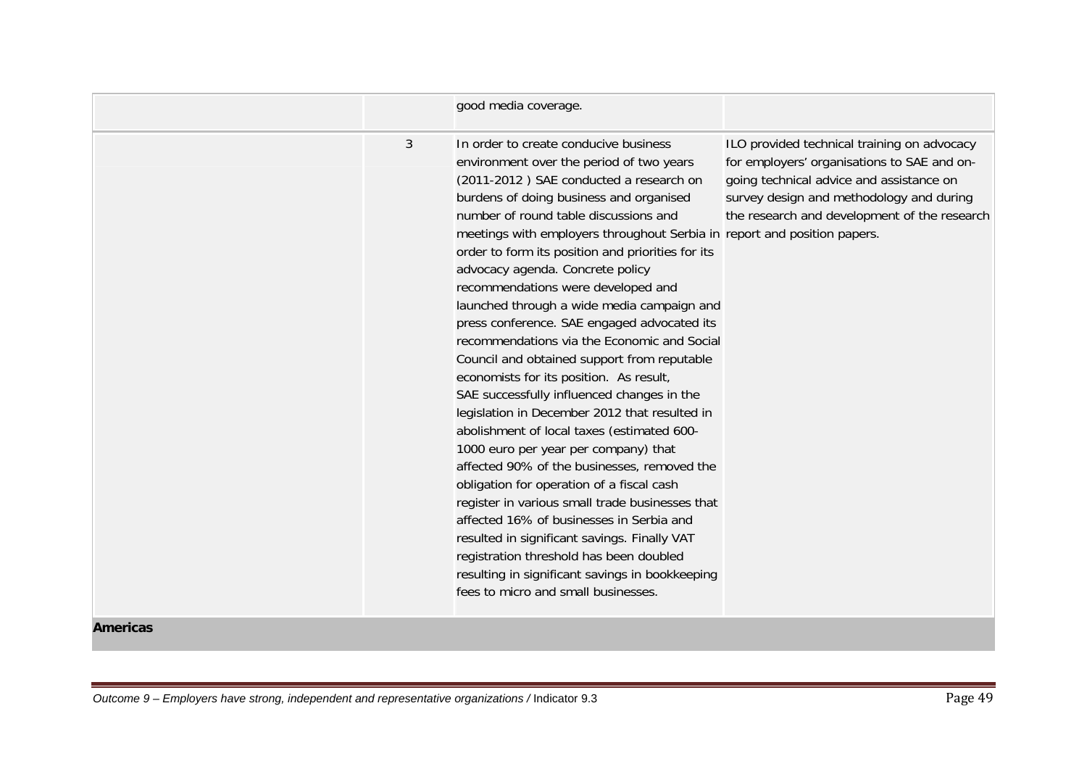|   | good media coverage.                                                                                                                                                                                                                                                                                                                                                                                                                                                                                                                                                                                                                                                                                                                                                                                                                                                                                                                                                                                                                                                                                                                                                                                                                   |                                                                                                                                                                                                                                    |
|---|----------------------------------------------------------------------------------------------------------------------------------------------------------------------------------------------------------------------------------------------------------------------------------------------------------------------------------------------------------------------------------------------------------------------------------------------------------------------------------------------------------------------------------------------------------------------------------------------------------------------------------------------------------------------------------------------------------------------------------------------------------------------------------------------------------------------------------------------------------------------------------------------------------------------------------------------------------------------------------------------------------------------------------------------------------------------------------------------------------------------------------------------------------------------------------------------------------------------------------------|------------------------------------------------------------------------------------------------------------------------------------------------------------------------------------------------------------------------------------|
| 3 | In order to create conducive business<br>environment over the period of two years<br>(2011-2012) SAE conducted a research on<br>burdens of doing business and organised<br>number of round table discussions and<br>meetings with employers throughout Serbia in report and position papers.<br>order to form its position and priorities for its<br>advocacy agenda. Concrete policy<br>recommendations were developed and<br>launched through a wide media campaign and<br>press conference. SAE engaged advocated its<br>recommendations via the Economic and Social<br>Council and obtained support from reputable<br>economists for its position. As result,<br>SAE successfully influenced changes in the<br>legislation in December 2012 that resulted in<br>abolishment of local taxes (estimated 600-<br>1000 euro per year per company) that<br>affected 90% of the businesses, removed the<br>obligation for operation of a fiscal cash<br>register in various small trade businesses that<br>affected 16% of businesses in Serbia and<br>resulted in significant savings. Finally VAT<br>registration threshold has been doubled<br>resulting in significant savings in bookkeeping<br>fees to micro and small businesses. | ILO provided technical training on advocacy<br>for employers' organisations to SAE and on-<br>going technical advice and assistance on<br>survey design and methodology and during<br>the research and development of the research |

#### **Americas**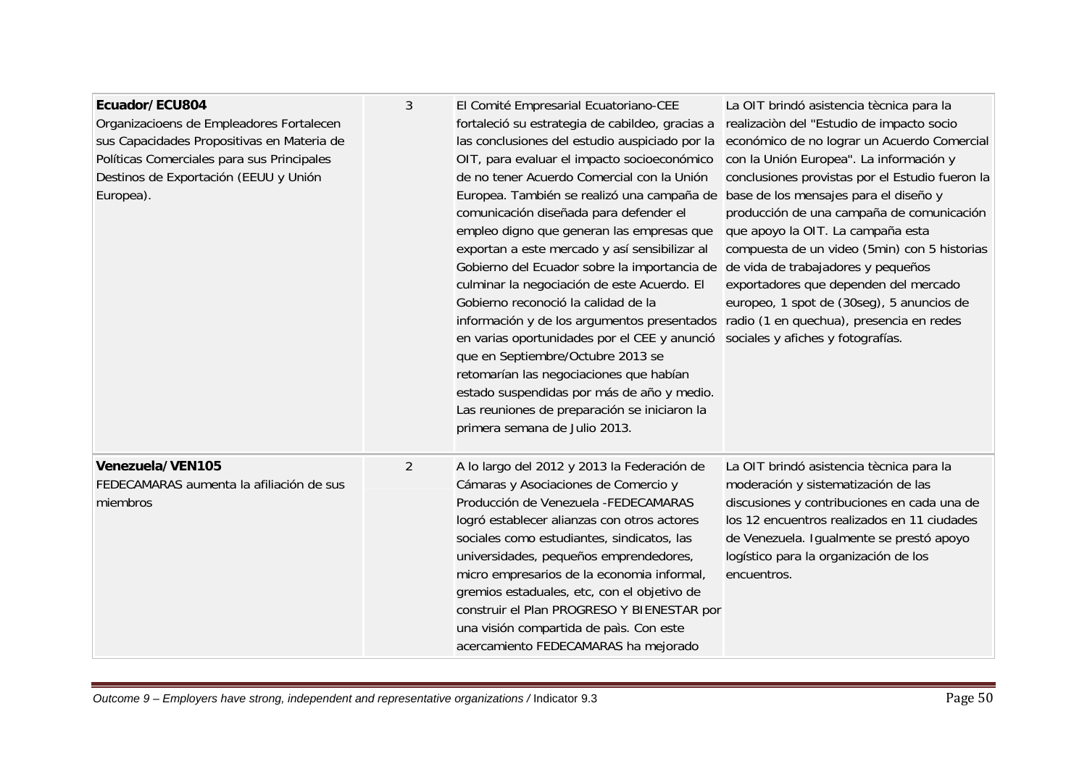| Ecuador/ECU804<br>Organizacioens de Empleadores Fortalecen<br>sus Capacidades Propositivas en Materia de<br>Políticas Comerciales para sus Principales<br>Destinos de Exportación (EEUU y Unión<br>Europea). | 3              | El Comité Empresarial Ecuatoriano-CEE<br>fortaleció su estrategia de cabildeo, gracias a<br>las conclusiones del estudio auspiciado por la<br>OIT, para evaluar el impacto socioeconómico<br>de no tener Acuerdo Comercial con la Unión<br>Europea. También se realizó una campaña de<br>comunicación diseñada para defender el<br>empleo digno que generan las empresas que<br>exportan a este mercado y así sensibilizar al<br>Gobierno del Ecuador sobre la importancia de de vida de trabajadores y pequeños<br>culminar la negociación de este Acuerdo. El<br>Gobierno reconoció la calidad de la<br>información y de los argumentos presentados<br>en varias oportunidades por el CEE y anunció<br>que en Septiembre/Octubre 2013 se<br>retomarían las negociaciones que habían<br>estado suspendidas por más de año y medio.<br>Las reuniones de preparación se iniciaron la<br>primera semana de Julio 2013. | La OIT brindó asistencia tècnica para la<br>realización del "Estudio de impacto socio<br>económico de no lograr un Acuerdo Comercial<br>con la Unión Europea". La información y<br>conclusiones provistas por el Estudio fueron la<br>base de los mensajes para el diseño y<br>producción de una campaña de comunicación<br>que apoyo la OIT. La campaña esta<br>compuesta de un video (5min) con 5 historias<br>exportadores que dependen del mercado<br>europeo, 1 spot de (30seg), 5 anuncios de<br>radio (1 en quechua), presencia en redes<br>sociales y afiches y fotografías. |
|--------------------------------------------------------------------------------------------------------------------------------------------------------------------------------------------------------------|----------------|----------------------------------------------------------------------------------------------------------------------------------------------------------------------------------------------------------------------------------------------------------------------------------------------------------------------------------------------------------------------------------------------------------------------------------------------------------------------------------------------------------------------------------------------------------------------------------------------------------------------------------------------------------------------------------------------------------------------------------------------------------------------------------------------------------------------------------------------------------------------------------------------------------------------|--------------------------------------------------------------------------------------------------------------------------------------------------------------------------------------------------------------------------------------------------------------------------------------------------------------------------------------------------------------------------------------------------------------------------------------------------------------------------------------------------------------------------------------------------------------------------------------|
| Venezuela/VEN105<br>FEDECAMARAS aumenta la afiliación de sus<br>miembros                                                                                                                                     | $\overline{2}$ | A lo largo del 2012 y 2013 la Federación de<br>Cámaras y Asociaciones de Comercio y<br>Producción de Venezuela - FEDECAMARAS<br>logró establecer alianzas con otros actores<br>sociales como estudiantes, sindicatos, las<br>universidades, pequeños emprendedores,<br>micro empresarios de la economia informal,<br>gremios estaduales, etc, con el objetivo de<br>construir el Plan PROGRESO Y BIENESTAR por<br>una visión compartida de país. Con este<br>acercamiento FEDECAMARAS ha mejorado                                                                                                                                                                                                                                                                                                                                                                                                                    | La OIT brindó asistencia tècnica para la<br>moderación y sistematización de las<br>discusiones y contribuciones en cada una de<br>los 12 encuentros realizados en 11 ciudades<br>de Venezuela. Igualmente se prestó apoyo<br>logístico para la organización de los<br>encuentros.                                                                                                                                                                                                                                                                                                    |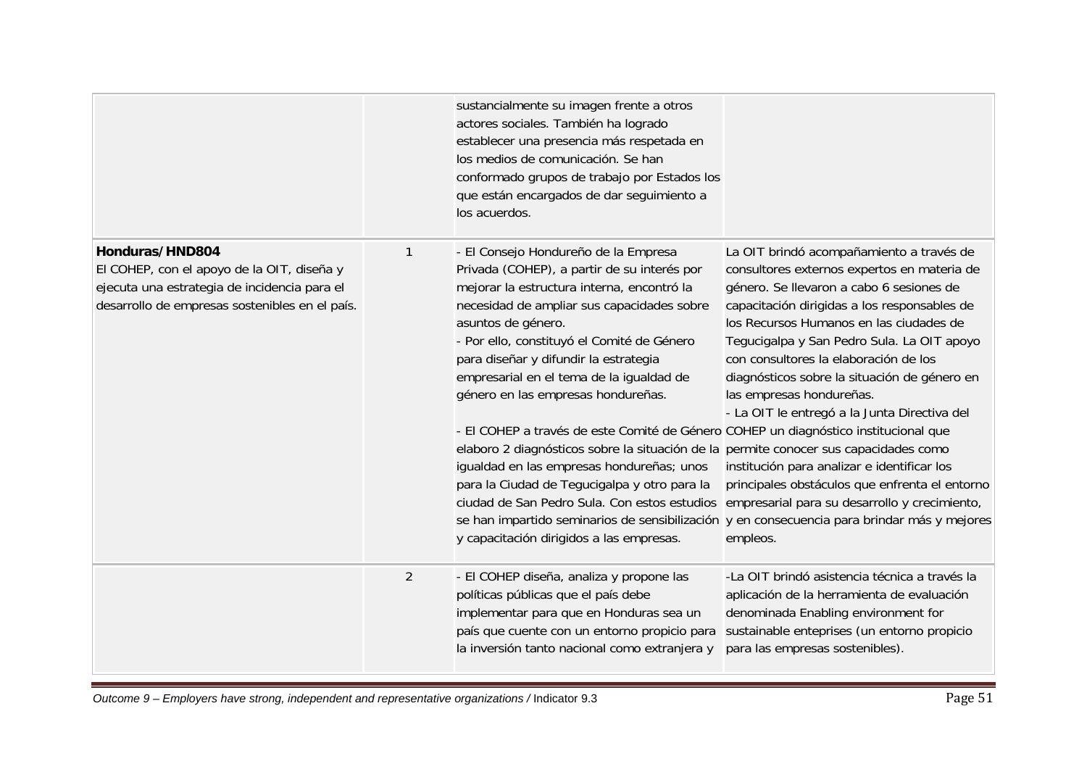|                                                                                                                                                                 |                | sustancialmente su imagen frente a otros<br>actores sociales. También ha logrado<br>establecer una presencia más respetada en<br>los medios de comunicación. Se han<br>conformado grupos de trabajo por Estados los<br>que están encargados de dar seguimiento a<br>los acuerdos.                                                                                                                                                                                                                                                                                                                                                                                                                                                                                                                    |                                                                                                                                                                                                                                                                                                                                                                                                                                                                                                                                                                                                                                                               |
|-----------------------------------------------------------------------------------------------------------------------------------------------------------------|----------------|------------------------------------------------------------------------------------------------------------------------------------------------------------------------------------------------------------------------------------------------------------------------------------------------------------------------------------------------------------------------------------------------------------------------------------------------------------------------------------------------------------------------------------------------------------------------------------------------------------------------------------------------------------------------------------------------------------------------------------------------------------------------------------------------------|---------------------------------------------------------------------------------------------------------------------------------------------------------------------------------------------------------------------------------------------------------------------------------------------------------------------------------------------------------------------------------------------------------------------------------------------------------------------------------------------------------------------------------------------------------------------------------------------------------------------------------------------------------------|
| Honduras/HND804<br>El COHEP, con el apoyo de la OIT, diseña y<br>ejecuta una estrategia de incidencia para el<br>desarrollo de empresas sostenibles en el país. | 1              | - El Consejo Hondureño de la Empresa<br>Privada (COHEP), a partir de su interés por<br>mejorar la estructura interna, encontró la<br>necesidad de ampliar sus capacidades sobre<br>asuntos de género.<br>- Por ello, constituyó el Comité de Género<br>para diseñar y difundir la estrategia<br>empresarial en el tema de la igualdad de<br>género en las empresas hondureñas.<br>- El COHEP a través de este Comité de Género COHEP un diagnóstico institucional que<br>elaboro 2 diagnósticos sobre la situación de la permite conocer sus capacidades como<br>igualdad en las empresas hondureñas; unos<br>para la Ciudad de Tegucigalpa y otro para la<br>ciudad de San Pedro Sula. Con estos estudios empresarial para su desarrollo y crecimiento,<br>y capacitación dirigidos a las empresas. | La OIT brindó acompañamiento a través de<br>consultores externos expertos en materia de<br>género. Se llevaron a cabo 6 sesiones de<br>capacitación dirigidas a los responsables de<br>los Recursos Humanos en las ciudades de<br>Tegucigalpa y San Pedro Sula. La OIT apoyo<br>con consultores la elaboración de los<br>diagnósticos sobre la situación de género en<br>las empresas hondureñas.<br>- La OIT le entregó a la Junta Directiva del<br>institución para analizar e identificar los<br>principales obstáculos que enfrenta el entorno<br>se han impartido seminarios de sensibilización y en consecuencia para brindar más y mejores<br>empleos. |
|                                                                                                                                                                 | $\overline{2}$ | - El COHEP diseña, analiza y propone las<br>políticas públicas que el país debe<br>implementar para que en Honduras sea un<br>país que cuente con un entorno propicio para<br>la inversión tanto nacional como extranjera y                                                                                                                                                                                                                                                                                                                                                                                                                                                                                                                                                                          | -La OIT brindó asistencia técnica a través la<br>aplicación de la herramienta de evaluación<br>denominada Enabling environment for<br>sustainable enteprises (un entorno propicio<br>para las empresas sostenibles).                                                                                                                                                                                                                                                                                                                                                                                                                                          |